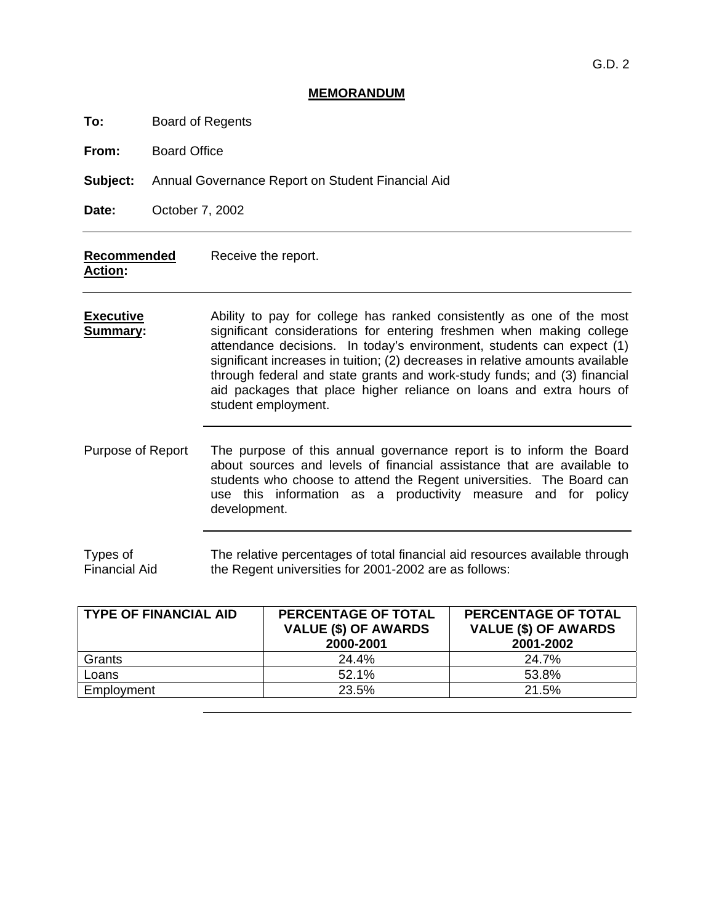#### **MEMORANDUM**

**To:** Board of Regents

**From:** Board Office

**Subject:** Annual Governance Report on Student Financial Aid

**Date:** October 7, 2002

| Recommended | Receive the report. |
|-------------|---------------------|
| Action:     |                     |

- **Executive Summary:** Ability to pay for college has ranked consistently as one of the most significant considerations for entering freshmen when making college attendance decisions. In today's environment, students can expect (1) significant increases in tuition; (2) decreases in relative amounts available through federal and state grants and work-study funds; and (3) financial aid packages that place higher reliance on loans and extra hours of student employment.
- Purpose of Report The purpose of this annual governance report is to inform the Board about sources and levels of financial assistance that are available to students who choose to attend the Regent universities. The Board can use this information as a productivity measure and for policy development.

Types of Financial Aid The relative percentages of total financial aid resources available through the Regent universities for 2001-2002 are as follows:

| TYPE OF FINANCIAL AID | <b>PERCENTAGE OF TOTAL</b><br><b>VALUE (\$) OF AWARDS</b><br>2000-2001 | <b>PERCENTAGE OF TOTAL</b><br><b>VALUE (\$) OF AWARDS</b><br>2001-2002 |  |
|-----------------------|------------------------------------------------------------------------|------------------------------------------------------------------------|--|
| Grants                | 24.4%                                                                  | 24.7%                                                                  |  |
| Loans                 | 52.1%                                                                  | 53.8%                                                                  |  |
| Employment            | 23.5%                                                                  | 21.5%                                                                  |  |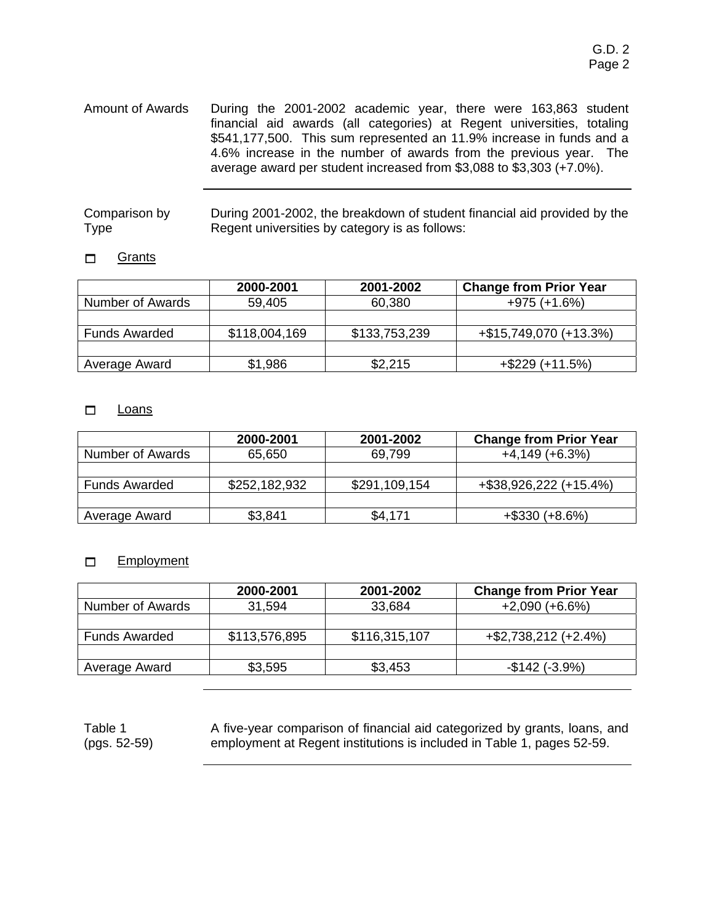Amount of Awards During the 2001-2002 academic year, there were 163,863 student financial aid awards (all categories) at Regent universities, totaling \$541,177,500. This sum represented an 11.9% increase in funds and a 4.6% increase in the number of awards from the previous year. The average award per student increased from \$3,088 to \$3,303 (+7.0%).

| Comparison by | During 2001-2002, the breakdown of student financial aid provided by the |
|---------------|--------------------------------------------------------------------------|
| <b>Type</b>   | Regent universities by category is as follows:                           |

#### **D** Grants

|                         | 2000-2001     | 2001-2002     | <b>Change from Prior Year</b> |
|-------------------------|---------------|---------------|-------------------------------|
| <b>Number of Awards</b> | 59,405        | 60,380        | $+975 (+1.6%)$                |
|                         |               |               |                               |
| <b>Funds Awarded</b>    | \$118,004,169 | \$133,753,239 | +\$15,749,070 (+13.3%)        |
|                         |               |               |                               |
| Average Award           | \$1,986       | \$2,215       | $+$ \$229 (+11.5%)            |

#### $\Box$  Loans

|                      | 2000-2001     | 2001-2002     | <b>Change from Prior Year</b> |
|----------------------|---------------|---------------|-------------------------------|
| Number of Awards     | 65,650        | 69,799        | $+4,149(+6.3%)$               |
|                      |               |               |                               |
| <b>Funds Awarded</b> | \$252,182,932 | \$291,109,154 | +\$38,926,222 (+15.4%)        |
|                      |               |               |                               |
| Average Award        | \$3,841       | \$4,171       | $+$ \$330 (+8.6%)             |

#### Employment

|                      | 2000-2001     | 2001-2002     | <b>Change from Prior Year</b> |
|----------------------|---------------|---------------|-------------------------------|
| Number of Awards     | 31,594        | 33,684        | $+2,090 (+6.6%)$              |
|                      |               |               |                               |
| <b>Funds Awarded</b> | \$113,576,895 | \$116,315,107 | $+$ \$2,738,212 (+2.4%)       |
|                      |               |               |                               |
| Average Award        | \$3,595       | \$3,453       | $-$142 (-3.9%)$               |

Table 1 (pgs. 52-59) A five-year comparison of financial aid categorized by grants, loans, and employment at Regent institutions is included in Table 1, pages 52-59.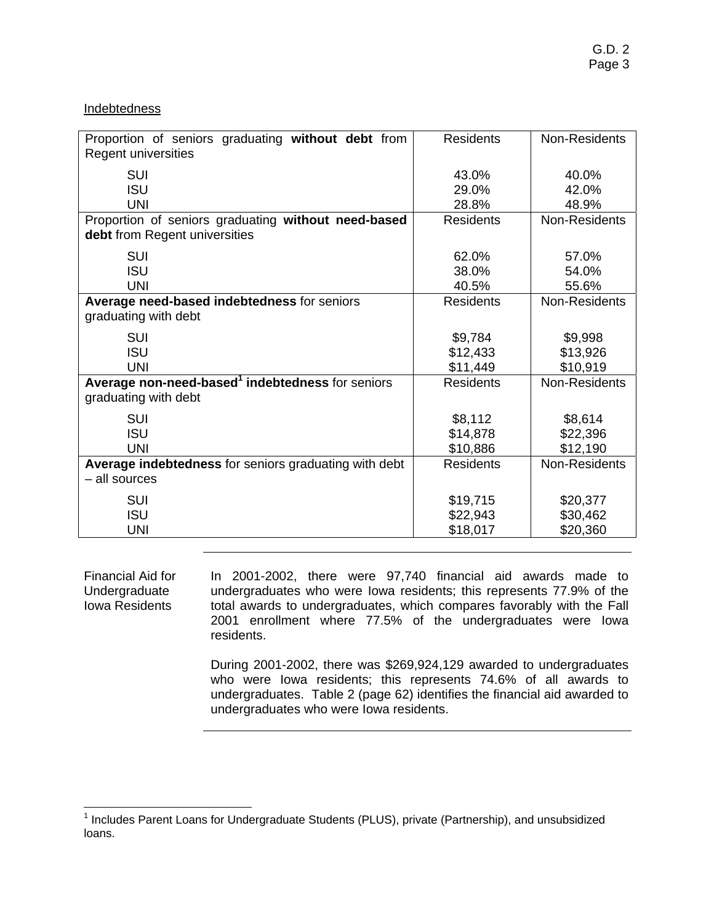#### **Indebtedness**

| Proportion of seniors graduating without debt from<br>Regent universities            | <b>Residents</b> | Non-Residents |
|--------------------------------------------------------------------------------------|------------------|---------------|
| <b>SUI</b>                                                                           | 43.0%            | 40.0%         |
| <b>ISU</b>                                                                           | 29.0%            | 42.0%         |
| <b>UNI</b>                                                                           | 28.8%            | 48.9%         |
| Proportion of seniors graduating without need-based<br>debt from Regent universities | <b>Residents</b> | Non-Residents |
| SUI                                                                                  | 62.0%            | 57.0%         |
| <b>ISU</b>                                                                           | 38.0%            | 54.0%         |
| <b>UNI</b>                                                                           | 40.5%            | 55.6%         |
| Average need-based indebtedness for seniors<br>graduating with debt                  | <b>Residents</b> | Non-Residents |
| <b>SUI</b>                                                                           | \$9,784          | \$9,998       |
| <b>ISU</b>                                                                           | \$12,433         | \$13,926      |
| <b>UNI</b>                                                                           | \$11,449         | \$10,919      |
| Average non-need-based <sup>1</sup> indebtedness for seniors<br>graduating with debt | <b>Residents</b> | Non-Residents |
| SUI                                                                                  | \$8,112          | \$8,614       |
| <b>ISU</b>                                                                           | \$14,878         | \$22,396      |
| <b>UNI</b>                                                                           | \$10,886         | \$12,190      |
| Average indebtedness for seniors graduating with debt<br>- all sources               | <b>Residents</b> | Non-Residents |
| <b>SUI</b>                                                                           | \$19,715         | \$20,377      |
| <b>ISU</b>                                                                           | \$22,943         | \$30,462      |
| <b>UNI</b>                                                                           | \$18,017         | \$20,360      |

Financial Aid for Undergraduate Iowa Residents In 2001-2002, there were 97,740 financial aid awards made to undergraduates who were Iowa residents; this represents 77.9% of the total awards to undergraduates, which compares favorably with the Fall 2001 enrollment where 77.5% of the undergraduates were Iowa residents.

> During 2001-2002, there was \$269,924,129 awarded to undergraduates who were Iowa residents; this represents 74.6% of all awards to undergraduates. Table 2 (page 62) identifies the financial aid awarded to undergraduates who were Iowa residents.

 1 Includes Parent Loans for Undergraduate Students (PLUS), private (Partnership), and unsubsidized loans.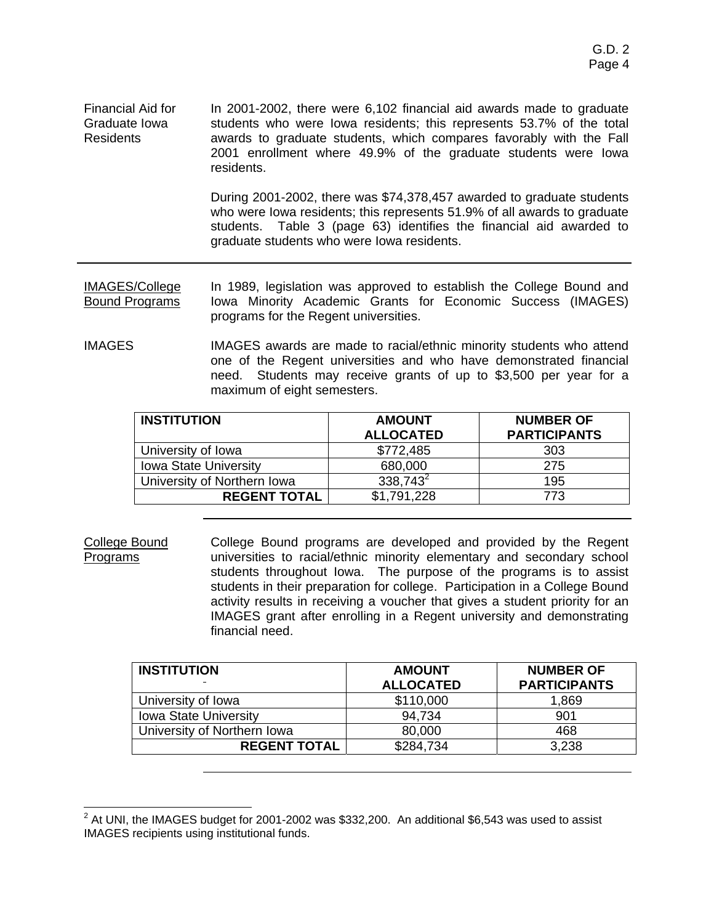Financial Aid for Graduate Iowa Residents In 2001-2002, there were 6,102 financial aid awards made to graduate students who were Iowa residents; this represents 53.7% of the total awards to graduate students, which compares favorably with the Fall 2001 enrollment where 49.9% of the graduate students were Iowa residents.

> During 2001-2002, there was \$74,378,457 awarded to graduate students who were Iowa residents; this represents 51.9% of all awards to graduate students. Table 3 (page 63) identifies the financial aid awarded to graduate students who were Iowa residents.

IMAGES/College Bound Programs In 1989, legislation was approved to establish the College Bound and Iowa Minority Academic Grants for Economic Success (IMAGES) programs for the Regent universities.

IMAGES IMAGES awards are made to racial/ethnic minority students who attend one of the Regent universities and who have demonstrated financial need. Students may receive grants of up to \$3,500 per year for a maximum of eight semesters.

| <b>INSTITUTION</b>           | <b>AMOUNT</b><br><b>ALLOCATED</b> | <b>NUMBER OF</b><br><b>PARTICIPANTS</b> |
|------------------------------|-----------------------------------|-----------------------------------------|
| University of Iowa           | \$772,485                         | 303                                     |
| <b>Iowa State University</b> | 680,000                           | 275                                     |
| University of Northern Iowa  | $338,743^2$                       | 195                                     |
| <b>REGENT TOTAL</b>          | \$1,791,228                       | 773                                     |

College Bound Programs College Bound programs are developed and provided by the Regent universities to racial/ethnic minority elementary and secondary school students throughout Iowa. The purpose of the programs is to assist students in their preparation for college. Participation in a College Bound activity results in receiving a voucher that gives a student priority for an IMAGES grant after enrolling in a Regent university and demonstrating financial need.

| <b>INSTITUTION</b>           | <b>AMOUNT</b>    | <b>NUMBER OF</b>    |
|------------------------------|------------------|---------------------|
|                              | <b>ALLOCATED</b> | <b>PARTICIPANTS</b> |
| University of Iowa           | \$110,000        | 1,869               |
| <b>Iowa State University</b> | 94,734           | 901                 |
| University of Northern Iowa  | 80,000           | 468                 |
| <b>REGENT TOTAL</b>          | \$284,734        | 3,238               |

 2 At UNI, the IMAGES budget for 2001-2002 was \$332,200. An additional \$6,543 was used to assist IMAGES recipients using institutional funds.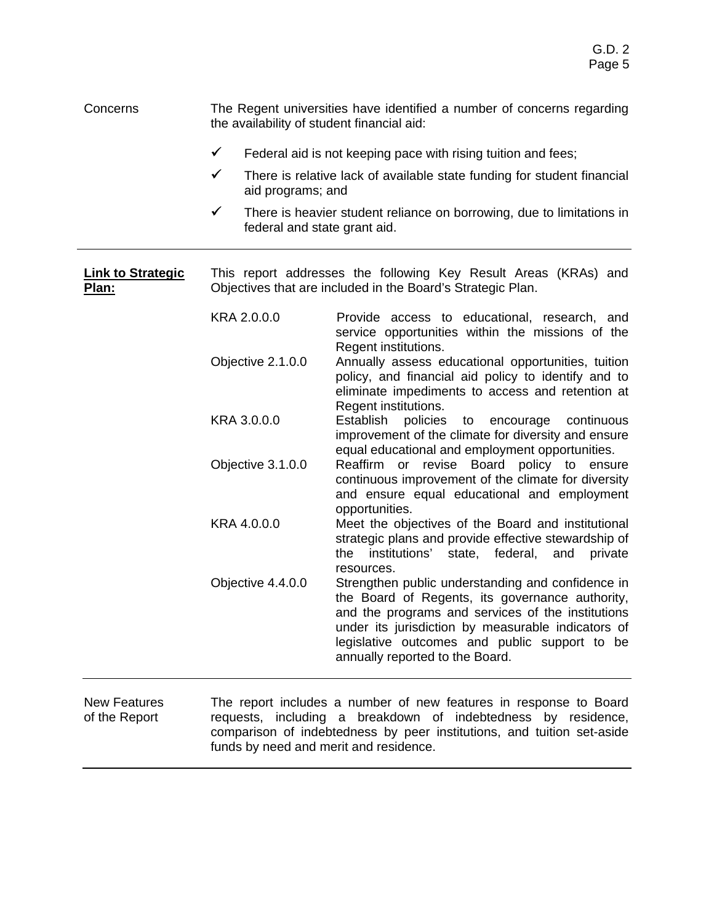#### Concerns The Regent universities have identified a number of concerns regarding the availability of student financial aid:

- $\checkmark$  Federal aid is not keeping pace with rising tuition and fees;
- $\checkmark$  There is relative lack of available state funding for student financial aid programs; and
- $\checkmark$  There is heavier student reliance on borrowing, due to limitations in federal and state grant aid.

**Link to Strategic Plan:** This report addresses the following Key Result Areas (KRAs) and Objectives that are included in the Board's Strategic Plan.

- KRA 2.0.0.0 Provide access to educational, research, and service opportunities within the missions of the Regent institutions. Objective 2.1.0.0 Annually assess educational opportunities, tuition policy, and financial aid policy to identify and to eliminate impediments to access and retention at Regent institutions. KRA 3.0.0.0 Establish policies to encourage continuous improvement of the climate for diversity and ensure equal educational and employment opportunities. Objective 3.1.0.0 Reaffirm or revise Board policy to ensure
- continuous improvement of the climate for diversity and ensure equal educational and employment opportunities. KRA 4.0.0.0 Meet the objectives of the Board and institutional
	- strategic plans and provide effective stewardship of the institutions' state, federal, and private resources.
- Objective 4.4.0.0 Strengthen public understanding and confidence in the Board of Regents, its governance authority, and the programs and services of the institutions under its jurisdiction by measurable indicators of legislative outcomes and public support to be annually reported to the Board.

New Features of the Report The report includes a number of new features in response to Board requests, including a breakdown of indebtedness by residence, comparison of indebtedness by peer institutions, and tuition set-aside funds by need and merit and residence.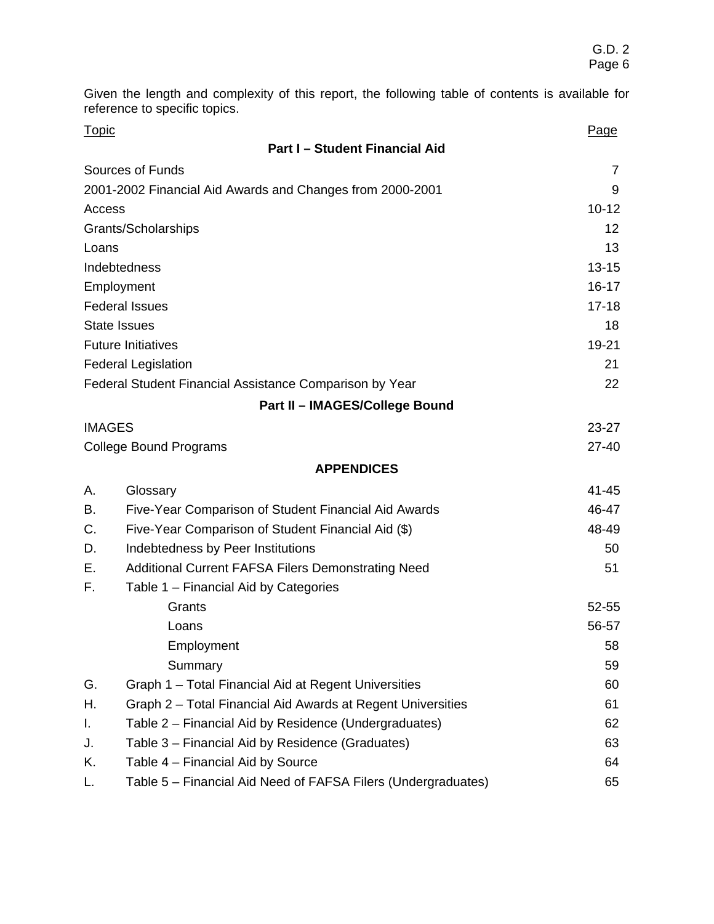Given the length and complexity of this report, the following table of contents is available for reference to specific topics.

| <b>Topic</b>                  |                                                               | Page      |
|-------------------------------|---------------------------------------------------------------|-----------|
|                               | <b>Part I-Student Financial Aid</b>                           |           |
|                               | Sources of Funds                                              | 7         |
|                               | 2001-2002 Financial Aid Awards and Changes from 2000-2001     | 9         |
| Access                        |                                                               | $10 - 12$ |
|                               | Grants/Scholarships                                           | 12        |
| Loans                         |                                                               | 13        |
|                               | Indebtedness                                                  | $13 - 15$ |
|                               | Employment                                                    | $16 - 17$ |
|                               | <b>Federal Issues</b>                                         | $17 - 18$ |
|                               | <b>State Issues</b>                                           | 18        |
|                               | <b>Future Initiatives</b>                                     | 19-21     |
|                               | <b>Federal Legislation</b>                                    | 21        |
|                               | Federal Student Financial Assistance Comparison by Year       | 22        |
|                               | Part II - IMAGES/College Bound                                |           |
|                               | <b>IMAGES</b>                                                 | $23 - 27$ |
| <b>College Bound Programs</b> |                                                               | $27 - 40$ |
|                               | <b>APPENDICES</b>                                             |           |
| А.                            | Glossary                                                      | $41 - 45$ |
| В.                            | Five-Year Comparison of Student Financial Aid Awards          | 46-47     |
| C.                            | Five-Year Comparison of Student Financial Aid (\$)            | 48-49     |
| D.                            | Indebtedness by Peer Institutions                             | 50        |
| Е.                            | <b>Additional Current FAFSA Filers Demonstrating Need</b>     | 51        |
| F.                            | Table 1 – Financial Aid by Categories                         |           |
|                               | Grants                                                        | 52-55     |
|                               | Loans                                                         | 56-57     |
|                               | Employment                                                    | 58        |
|                               | Summary                                                       | 59        |
| G.                            | Graph 1 - Total Financial Aid at Regent Universities          | 60        |
| Η.                            | Graph 2 - Total Financial Aid Awards at Regent Universities   | 61        |
| I.                            | Table 2 – Financial Aid by Residence (Undergraduates)         | 62        |
| J.                            | Table 3 - Financial Aid by Residence (Graduates)              | 63        |
| Κ.                            | Table 4 - Financial Aid by Source                             | 64        |
| L.                            | Table 5 - Financial Aid Need of FAFSA Filers (Undergraduates) | 65        |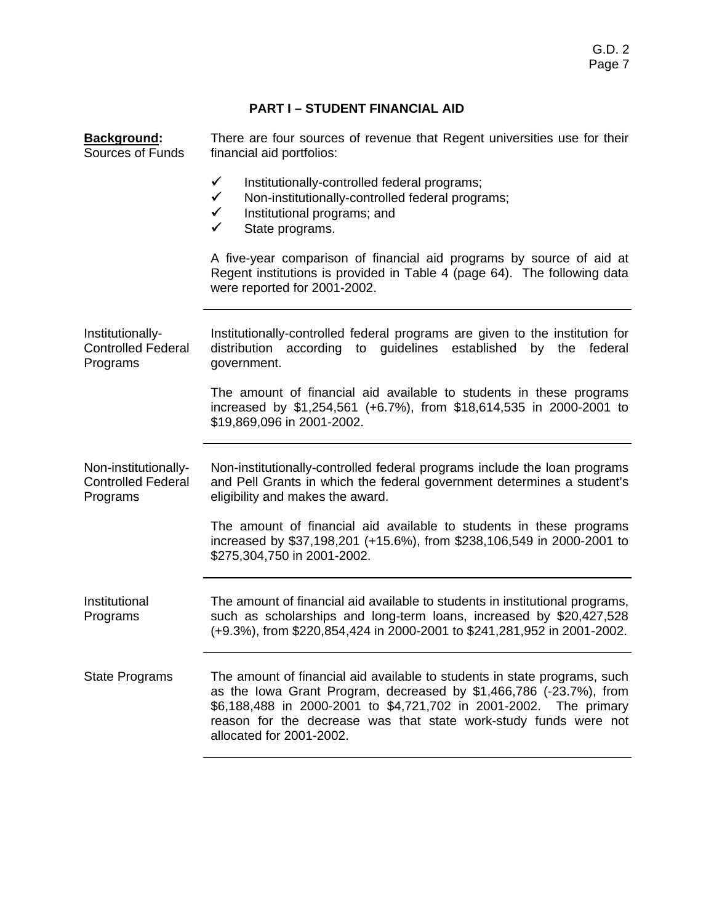# **PART I – STUDENT FINANCIAL AID**

| Background:<br>Sources of Funds                               | There are four sources of revenue that Regent universities use for their<br>financial aid portfolios:                                                                                                                                                                                                                |  |  |
|---------------------------------------------------------------|----------------------------------------------------------------------------------------------------------------------------------------------------------------------------------------------------------------------------------------------------------------------------------------------------------------------|--|--|
|                                                               | $\checkmark$<br>Institutionally-controlled federal programs;<br>$\checkmark$<br>Non-institutionally-controlled federal programs;<br>$\checkmark$<br>Institutional programs; and<br>$\checkmark$<br>State programs.                                                                                                   |  |  |
|                                                               | A five-year comparison of financial aid programs by source of aid at<br>Regent institutions is provided in Table 4 (page 64). The following data<br>were reported for 2001-2002.                                                                                                                                     |  |  |
| Institutionally-<br><b>Controlled Federal</b><br>Programs     | Institutionally-controlled federal programs are given to the institution for<br>distribution according to guidelines established by the federal<br>government.                                                                                                                                                       |  |  |
|                                                               | The amount of financial aid available to students in these programs<br>increased by \$1,254,561 (+6.7%), from \$18,614,535 in 2000-2001 to<br>\$19,869,096 in 2001-2002.                                                                                                                                             |  |  |
| Non-institutionally-<br><b>Controlled Federal</b><br>Programs | Non-institutionally-controlled federal programs include the loan programs<br>and Pell Grants in which the federal government determines a student's<br>eligibility and makes the award.                                                                                                                              |  |  |
|                                                               | The amount of financial aid available to students in these programs<br>increased by \$37,198,201 (+15.6%), from \$238,106,549 in 2000-2001 to<br>\$275,304,750 in 2001-2002.                                                                                                                                         |  |  |
| Institutional<br>Programs                                     | The amount of financial aid available to students in institutional programs,<br>such as scholarships and long-term loans, increased by \$20,427,528<br>(+9.3%), from \$220,854,424 in 2000-2001 to \$241,281,952 in 2001-2002.                                                                                       |  |  |
| <b>State Programs</b>                                         | The amount of financial aid available to students in state programs, such<br>as the lowa Grant Program, decreased by \$1,466,786 (-23.7%), from<br>\$6,188,488 in 2000-2001 to \$4,721,702 in 2001-2002. The primary<br>reason for the decrease was that state work-study funds were not<br>allocated for 2001-2002. |  |  |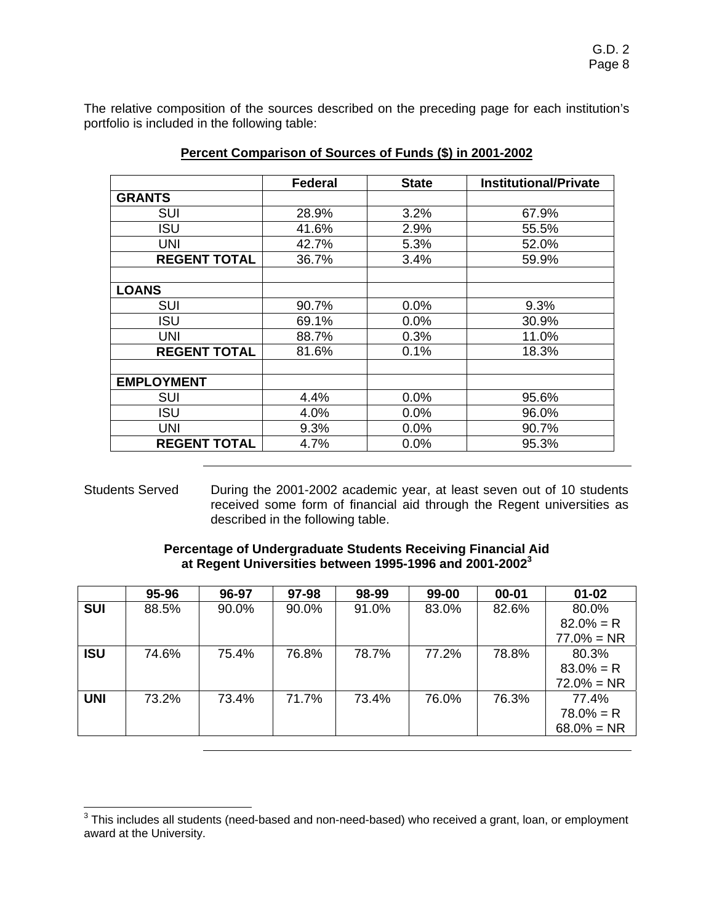The relative composition of the sources described on the preceding page for each institution's portfolio is included in the following table:

|                     | <b>Federal</b> | <b>State</b> | <b>Institutional/Private</b> |
|---------------------|----------------|--------------|------------------------------|
| <b>GRANTS</b>       |                |              |                              |
| <b>SUI</b>          | 28.9%          | 3.2%         | 67.9%                        |
| ISU                 | 41.6%          | 2.9%         | 55.5%                        |
| <b>UNI</b>          | 42.7%          | 5.3%         | 52.0%                        |
| <b>REGENT TOTAL</b> | 36.7%          | 3.4%         | 59.9%                        |
|                     |                |              |                              |
| <b>LOANS</b>        |                |              |                              |
| <b>SUI</b>          | 90.7%          | 0.0%         | 9.3%                         |
| <b>ISU</b>          | 69.1%          | 0.0%         | 30.9%                        |
| <b>UNI</b>          | 88.7%          | 0.3%         | 11.0%                        |
| <b>REGENT TOTAL</b> | 81.6%          | 0.1%         | 18.3%                        |
|                     |                |              |                              |
| <b>EMPLOYMENT</b>   |                |              |                              |
| <b>SUI</b>          | 4.4%           | 0.0%         | 95.6%                        |
| <b>ISU</b>          | 4.0%           | 0.0%         | 96.0%                        |
| <b>UNI</b>          | 9.3%           | 0.0%         | 90.7%                        |
| <b>REGENT TOTAL</b> | 4.7%           | 0.0%         | 95.3%                        |

## **Percent Comparison of Sources of Funds (\$) in 2001-2002**

Students Served During the 2001-2002 academic year, at least seven out of 10 students received some form of financial aid through the Regent universities as described in the following table.

## **Percentage of Undergraduate Students Receiving Financial Aid at Regent Universities between 1995-1996 and 2001-2002<sup>3</sup>**

|            | 95-96 | 96-97 | 97-98 | 98-99 | 99-00 | $00 - 01$ | $01 - 02$     |
|------------|-------|-------|-------|-------|-------|-----------|---------------|
| <b>SUI</b> | 88.5% | 90.0% | 90.0% | 91.0% | 83.0% | 82.6%     | 80.0%         |
|            |       |       |       |       |       |           | $82.0% = R$   |
|            |       |       |       |       |       |           | $77.0\% = NR$ |
| <b>ISU</b> | 74.6% | 75.4% | 76.8% | 78.7% | 77.2% | 78.8%     | 80.3%         |
|            |       |       |       |       |       |           | $83.0\% = R$  |
|            |       |       |       |       |       |           | $72.0\% = NR$ |
| <b>UNI</b> | 73.2% | 73.4% | 71.7% | 73.4% | 76.0% | 76.3%     | 77.4%         |
|            |       |       |       |       |       |           | $78.0\% = R$  |
|            |       |       |       |       |       |           | $68.0\% = NR$ |

 3 This includes all students (need-based and non-need-based) who received a grant, loan, or employment award at the University.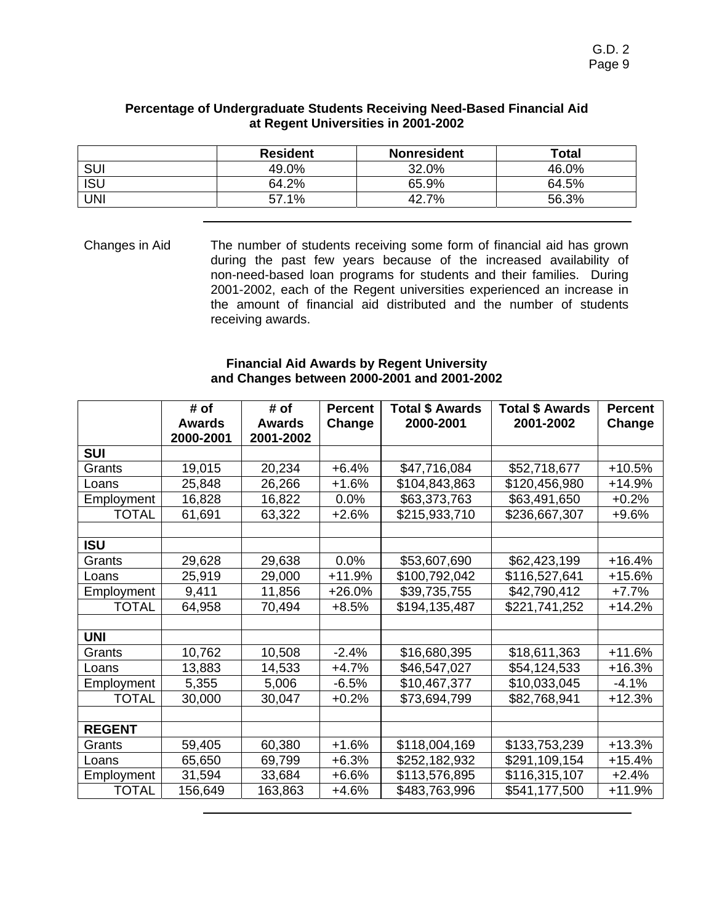|            | <b>Resident</b> | <b>Nonresident</b> | Total |
|------------|-----------------|--------------------|-------|
| SUI        | 49.0%           | 32.0%              | 46.0% |
| <b>ISU</b> | 64.2%           | 65.9%              | 64.5% |
| UNI        | 57.1%           | 42.7%              | 56.3% |

#### **Percentage of Undergraduate Students Receiving Need-Based Financial Aid at Regent Universities in 2001-2002**

Changes in Aid The number of students receiving some form of financial aid has grown during the past few years because of the increased availability of non-need-based loan programs for students and their families. During 2001-2002, each of the Regent universities experienced an increase in the amount of financial aid distributed and the number of students receiving awards.

#### **Financial Aid Awards by Regent University and Changes between 2000-2001 and 2001-2002**

|               | # of<br><b>Awards</b> | # of<br><b>Awards</b> | <b>Percent</b><br>Change | <b>Total \$ Awards</b><br>2000-2001 | <b>Total \$ Awards</b><br>2001-2002 | <b>Percent</b><br>Change |
|---------------|-----------------------|-----------------------|--------------------------|-------------------------------------|-------------------------------------|--------------------------|
|               | 2000-2001             | 2001-2002             |                          |                                     |                                     |                          |
| <b>SUI</b>    |                       |                       |                          |                                     |                                     |                          |
| Grants        | 19,015                | 20,234                | $+6.4%$                  | \$47,716,084                        | \$52,718,677                        | $+10.5%$                 |
| Loans         | 25,848                | 26,266                | $+1.6%$                  | \$104,843,863                       | \$120,456,980                       | $+14.9%$                 |
| Employment    | 16,828                | 16,822                | 0.0%                     | \$63,373,763                        | \$63,491,650                        | $+0.2%$                  |
| <b>TOTAL</b>  | 61,691                | 63,322                | $+2.6%$                  | \$215,933,710                       | \$236,667,307                       | $+9.6%$                  |
|               |                       |                       |                          |                                     |                                     |                          |
| <b>ISU</b>    |                       |                       |                          |                                     |                                     |                          |
| Grants        | 29,628                | 29,638                | 0.0%                     | \$53,607,690                        | \$62,423,199                        | $+16.4%$                 |
| Loans         | 25,919                | 29,000                | $+11.9%$                 | \$100,792,042                       | \$116,527,641                       | $+15.6%$                 |
| Employment    | 9,411                 | 11,856                | +26.0%                   | \$39,735,755                        | \$42,790,412                        | $+7.7%$                  |
| <b>TOTAL</b>  | 64,958                | 70,494                | $+8.5%$                  | \$194,135,487                       | \$221,741,252                       | $+14.2%$                 |
|               |                       |                       |                          |                                     |                                     |                          |
| UNI           |                       |                       |                          |                                     |                                     |                          |
| Grants        | 10,762                | 10,508                | $-2.4%$                  | \$16,680,395                        | \$18,611,363                        | $+11.6%$                 |
| Loans         | 13,883                | 14,533                | $+4.7%$                  | \$46,547,027                        | \$54,124,533                        | $+16.3%$                 |
| Employment    | 5,355                 | 5,006                 | $-6.5%$                  | \$10,467,377                        | \$10,033,045                        | $-4.1%$                  |
| <b>TOTAL</b>  | 30,000                | 30,047                | $+0.2%$                  | \$73,694,799                        | \$82,768,941                        | $+12.3%$                 |
|               |                       |                       |                          |                                     |                                     |                          |
| <b>REGENT</b> |                       |                       |                          |                                     |                                     |                          |
| Grants        | 59,405                | 60,380                | $+1.6%$                  | \$118,004,169                       | \$133,753,239                       | $+13.3%$                 |
| Loans         | 65,650                | 69,799                | $+6.3%$                  | \$252,182,932                       | \$291,109,154                       | $+15.4%$                 |
| Employment    | 31,594                | 33,684                | $+6.6%$                  | \$113,576,895                       | \$116,315,107                       | $+2.4%$                  |
| <b>TOTAL</b>  | 156,649               | 163,863               | +4.6%                    | \$483,763,996                       | \$541,177,500                       | $+11.9%$                 |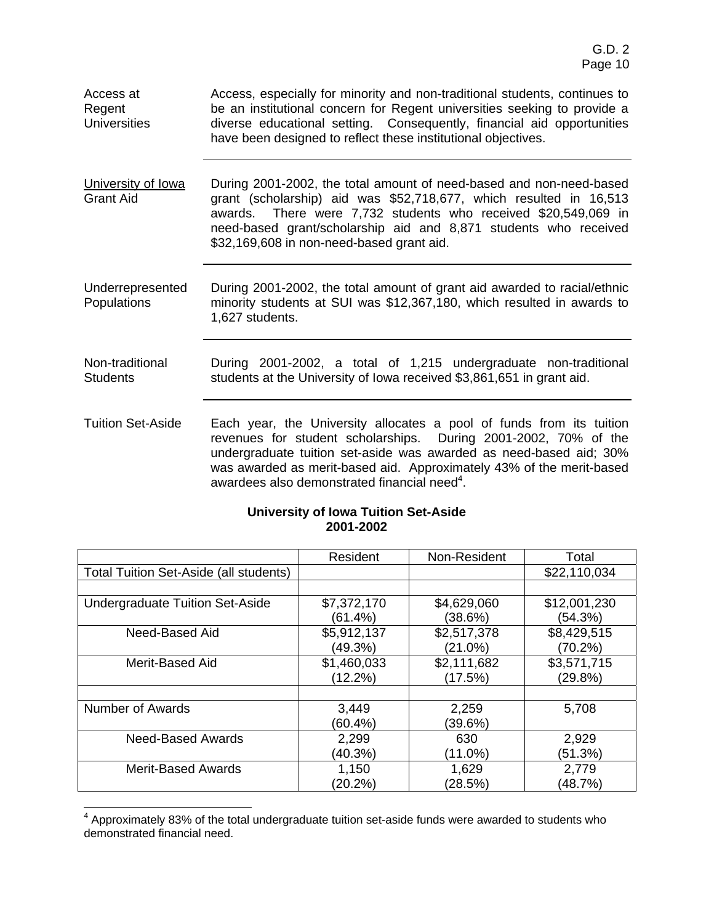| Access at<br>Regent<br><b>Universities</b> | Access, especially for minority and non-traditional students, continues to<br>be an institutional concern for Regent universities seeking to provide a<br>diverse educational setting. Consequently, financial aid opportunities<br>have been designed to reflect these institutional objectives.                                                 |
|--------------------------------------------|---------------------------------------------------------------------------------------------------------------------------------------------------------------------------------------------------------------------------------------------------------------------------------------------------------------------------------------------------|
| University of Iowa<br><b>Grant Aid</b>     | During 2001-2002, the total amount of need-based and non-need-based<br>grant (scholarship) aid was \$52,718,677, which resulted in 16,513<br>awards. There were 7,732 students who received \$20,549,069 in<br>need-based grant/scholarship aid and 8,871 students who received<br>\$32,169,608 in non-need-based grant aid.                      |
| Underrepresented<br>Populations            | During 2001-2002, the total amount of grant aid awarded to racial/ethnic<br>minority students at SUI was \$12,367,180, which resulted in awards to<br>1,627 students.                                                                                                                                                                             |
| Non-traditional<br><b>Students</b>         | During 2001-2002, a total of 1,215 undergraduate non-traditional<br>students at the University of Iowa received \$3,861,651 in grant aid.                                                                                                                                                                                                         |
| <b>Tuition Set-Aside</b>                   | Each year, the University allocates a pool of funds from its tuition<br>revenues for student scholarships. During 2001-2002, 70% of the<br>undergraduate tuition set-aside was awarded as need-based aid; 30%<br>was awarded as merit-based aid. Approximately 43% of the merit-based<br>awardees also demonstrated financial need <sup>4</sup> . |

## **University of Iowa Tuition Set-Aside 2001-2002**

|                                        | Resident    | Non-Resident | Total        |
|----------------------------------------|-------------|--------------|--------------|
| Total Tuition Set-Aside (all students) |             |              | \$22,110,034 |
|                                        |             |              |              |
| <b>Undergraduate Tuition Set-Aside</b> | \$7,372,170 | \$4,629,060  | \$12,001,230 |
|                                        | (61.4%)     | (38.6%)      | (54.3%)      |
| Need-Based Aid                         | \$5,912,137 | \$2,517,378  | \$8,429,515  |
|                                        | (49.3%)     | $(21.0\%)$   | (70.2%)      |
| Merit-Based Aid                        | \$1,460,033 | \$2,111,682  | \$3,571,715  |
|                                        | (12.2%)     | (17.5%)      | (29.8%)      |
|                                        |             |              |              |
| Number of Awards                       | 3,449       | 2,259        | 5,708        |
|                                        | (60.4%)     | (39.6%)      |              |
| <b>Need-Based Awards</b>               | 2,299       | 630          | 2,929        |
|                                        | (40.3%)     | $(11.0\%)$   | (51.3%)      |
| <b>Merit-Based Awards</b>              | 1,150       | 1,629        | 2,779        |
|                                        | (20.2%)     | (28.5%)      | (48.7%)      |

 4 Approximately 83% of the total undergraduate tuition set-aside funds were awarded to students who demonstrated financial need.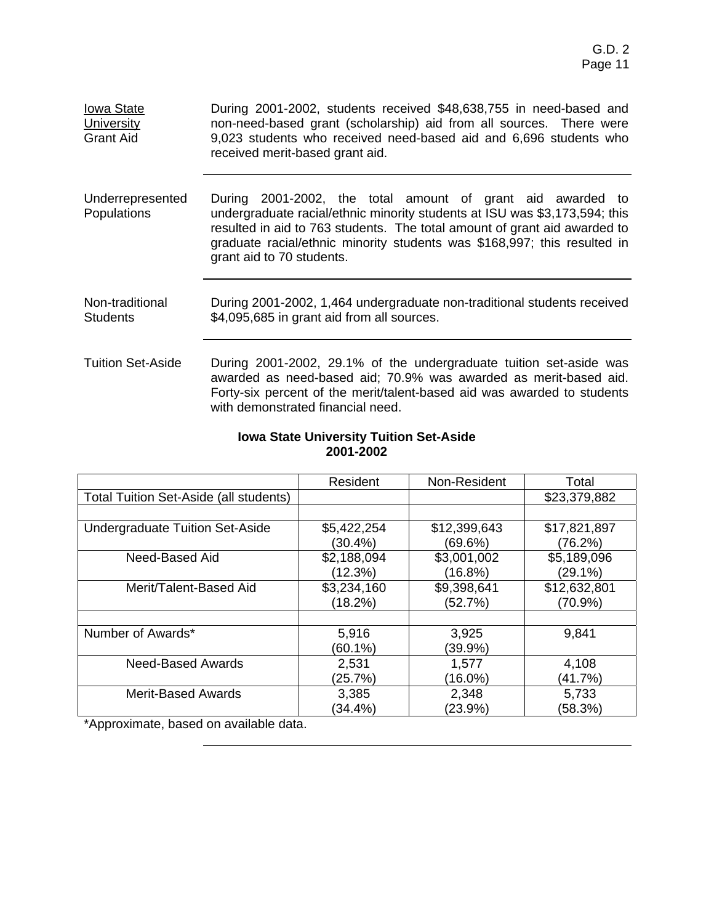| <b>Iowa State</b><br>University<br><b>Grant Aid</b> | During 2001-2002, students received \$48,638,755 in need-based and<br>non-need-based grant (scholarship) aid from all sources. There were<br>9,023 students who received need-based aid and 6,696 students who<br>received merit-based grant aid.                                                                              |
|-----------------------------------------------------|--------------------------------------------------------------------------------------------------------------------------------------------------------------------------------------------------------------------------------------------------------------------------------------------------------------------------------|
| Underrepresented<br><b>Populations</b>              | During 2001-2002, the total amount of grant aid awarded to<br>undergraduate racial/ethnic minority students at ISU was \$3,173,594; this<br>resulted in aid to 763 students. The total amount of grant aid awarded to<br>graduate racial/ethnic minority students was \$168,997; this resulted in<br>grant aid to 70 students. |
| Non-traditional<br><b>Students</b>                  | During 2001-2002, 1,464 undergraduate non-traditional students received<br>\$4,095,685 in grant aid from all sources.                                                                                                                                                                                                          |
| <b>Tuition Set-Aside</b>                            | During 2001-2002, 29.1% of the undergraduate tuition set-aside was<br>awarded as need-based aid; 70.9% was awarded as merit-based aid.<br>Forty-six percent of the merit/talent-based aid was awarded to students<br>with demonstrated financial need.                                                                         |

#### **Iowa State University Tuition Set-Aside 2001-2002**

|                                        | Resident    | Non-Resident | Total        |
|----------------------------------------|-------------|--------------|--------------|
| Total Tuition Set-Aside (all students) |             |              | \$23,379,882 |
|                                        |             |              |              |
| <b>Undergraduate Tuition Set-Aside</b> | \$5,422,254 | \$12,399,643 | \$17,821,897 |
|                                        | (30.4%)     | (69.6%)      | (76.2%)      |
| Need-Based Aid                         | \$2,188,094 | \$3,001,002  | \$5,189,096  |
|                                        | (12.3%)     | (16.8%)      | (29.1%)      |
| Merit/Talent-Based Aid                 | \$3,234,160 | \$9,398,641  | \$12,632,801 |
|                                        | (18.2%)     | (52.7%)      | (70.9%)      |
|                                        |             |              |              |
| Number of Awards*                      | 5,916       | 3,925        | 9,841        |
|                                        | (60.1%)     | (39.9%)      |              |
| Need-Based Awards                      | 2,531       | 1,577        | 4,108        |
|                                        | (25.7%)     | (16.0%)      | (41.7%)      |
| <b>Merit-Based Awards</b>              | 3,385       | 2,348        | 5,733        |
|                                        | (34.4%)     | (23.9%)      | (58.3%)      |
| *Approximate, based on available data. |             |              |              |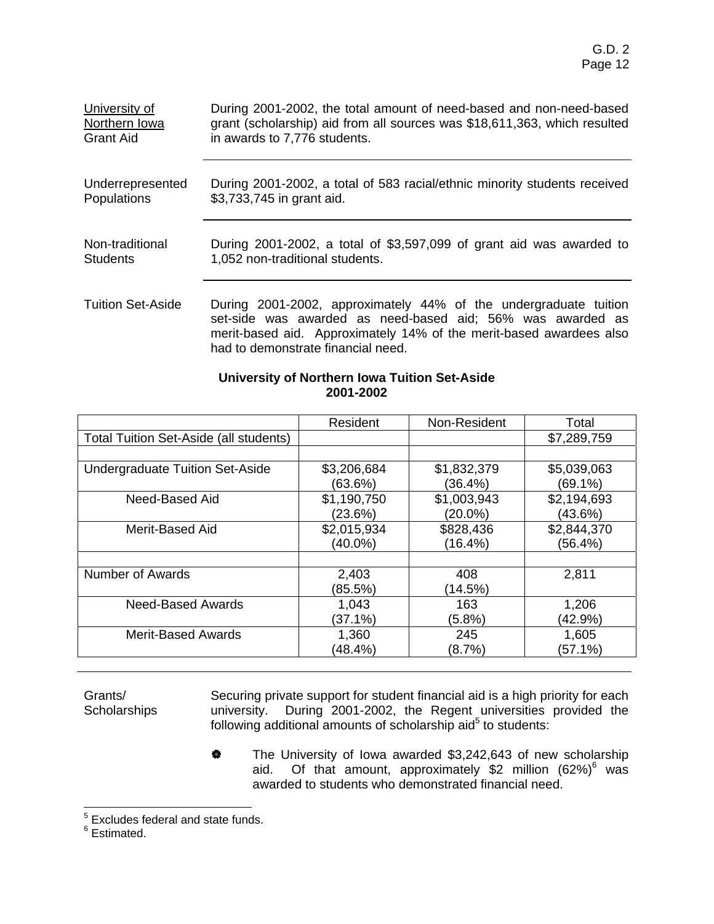| University of            | During 2001-2002, the total amount of need-based and non-need-based                                                                                                                                                                         |
|--------------------------|---------------------------------------------------------------------------------------------------------------------------------------------------------------------------------------------------------------------------------------------|
| Northern Iowa            | grant (scholarship) aid from all sources was \$18,611,363, which resulted                                                                                                                                                                   |
| <b>Grant Aid</b>         | in awards to 7,776 students.                                                                                                                                                                                                                |
| Underrepresented         | During 2001-2002, a total of 583 racial/ethnic minority students received                                                                                                                                                                   |
| Populations              | \$3,733,745 in grant aid.                                                                                                                                                                                                                   |
| Non-traditional          | During 2001-2002, a total of \$3,597,099 of grant aid was awarded to                                                                                                                                                                        |
| <b>Students</b>          | 1,052 non-traditional students.                                                                                                                                                                                                             |
| <b>Tuition Set-Aside</b> | During 2001-2002, approximately 44% of the undergraduate tuition<br>set-side was awarded as need-based aid; 56% was awarded as<br>merit-based aid. Approximately 14% of the merit-based awardees also<br>had to demonstrate financial need. |

# **University of Northern Iowa Tuition Set-Aside 2001-2002**

|                                               | Resident    | Non-Resident | Total       |
|-----------------------------------------------|-------------|--------------|-------------|
| <b>Total Tuition Set-Aside (all students)</b> |             |              | \$7,289,759 |
|                                               |             |              |             |
| <b>Undergraduate Tuition Set-Aside</b>        | \$3,206,684 | \$1,832,379  | \$5,039,063 |
|                                               | (63.6%)     | (36.4%)      | (69.1%)     |
| Need-Based Aid                                | \$1,190,750 | \$1,003,943  | \$2,194,693 |
|                                               | (23.6%)     | $(20.0\%)$   | (43.6%)     |
| Merit-Based Aid                               | \$2,015,934 | \$828,436    | \$2,844,370 |
|                                               | (40.0%)     | (16.4%)      | (56.4%)     |
|                                               |             |              |             |
| Number of Awards                              | 2,403       | 408          | 2,811       |
|                                               | (85.5%)     | (14.5%)      |             |
| Need-Based Awards                             | 1,043       | 163          | 1,206       |
|                                               | (37.1%)     | $(5.8\%)$    | (42.9%)     |
| <b>Merit-Based Awards</b>                     | 1,360       | 245          | 1,605       |
|                                               | (48.4%)     | (8.7%)       | (57.1%)     |

Grants/ **Scholarships** Securing private support for student financial aid is a high priority for each university. During 2001-2002, the Regent universities provided the following additional amounts of scholarship aid $5$  to students:

> **\*** The University of Iowa awarded \$3,242,643 of new scholarship aid. Of that amount, approximately \$2 million  $(62%)^6$  was awarded to students who demonstrated financial need.

<sup>5&</sup>lt;br><sup>5</sup> Excludes federal and state funds.<br><sup>6</sup> Estimated.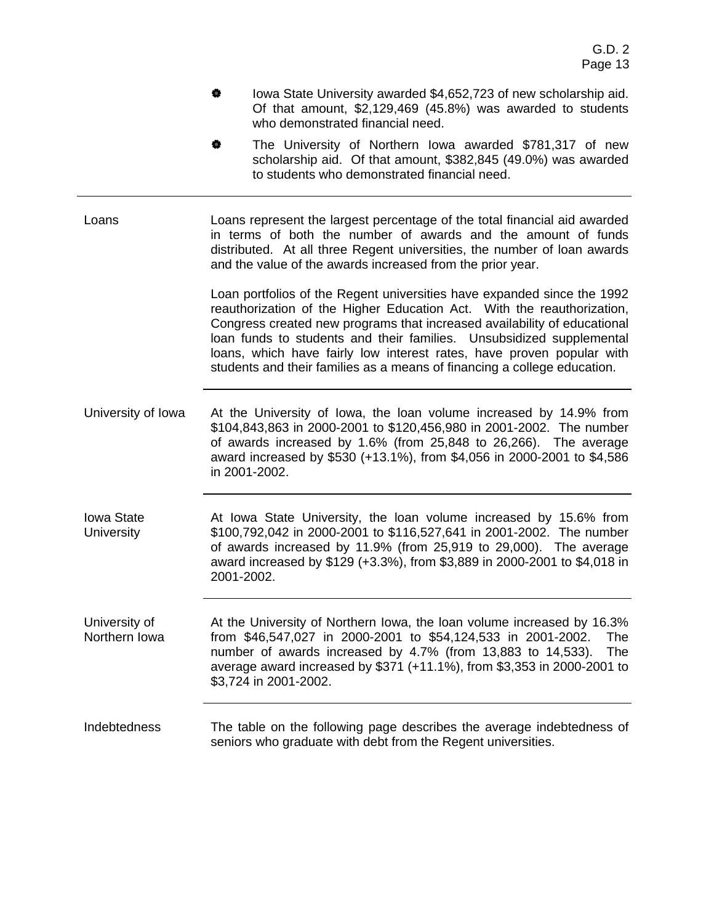- **\*** Iowa State University awarded \$4,652,723 of new scholarship aid. Of that amount, \$2,129,469 (45.8%) was awarded to students who demonstrated financial need.
- The University of Northern Iowa awarded \$781,317 of new scholarship aid. Of that amount, \$382,845 (49.0%) was awarded to students who demonstrated financial need.

Loans Loans represent the largest percentage of the total financial aid awarded in terms of both the number of awards and the amount of funds distributed. At all three Regent universities, the number of loan awards and the value of the awards increased from the prior year.

> Loan portfolios of the Regent universities have expanded since the 1992 reauthorization of the Higher Education Act. With the reauthorization, Congress created new programs that increased availability of educational loan funds to students and their families. Unsubsidized supplemental loans, which have fairly low interest rates, have proven popular with students and their families as a means of financing a college education.

University of Iowa At the University of Iowa, the loan volume increased by 14.9% from \$104,843,863 in 2000-2001 to \$120,456,980 in 2001-2002. The number of awards increased by 1.6% (from 25,848 to 26,266). The average award increased by \$530 (+13.1%), from \$4,056 in 2000-2001 to \$4,586 in 2001-2002.

Iowa State **University** At Iowa State University, the loan volume increased by 15.6% from \$100,792,042 in 2000-2001 to \$116,527,641 in 2001-2002. The number of awards increased by 11.9% (from 25,919 to 29,000). The average award increased by \$129 (+3.3%), from \$3,889 in 2000-2001 to \$4,018 in 2001-2002.

University of Northern Iowa At the University of Northern Iowa, the loan volume increased by 16.3% from \$46,547,027 in 2000-2001 to \$54,124,533 in 2001-2002. The number of awards increased by 4.7% (from 13,883 to 14,533). The average award increased by \$371 (+11.1%), from \$3,353 in 2000-2001 to \$3,724 in 2001-2002.

Indebtedness The table on the following page describes the average indebtedness of seniors who graduate with debt from the Regent universities.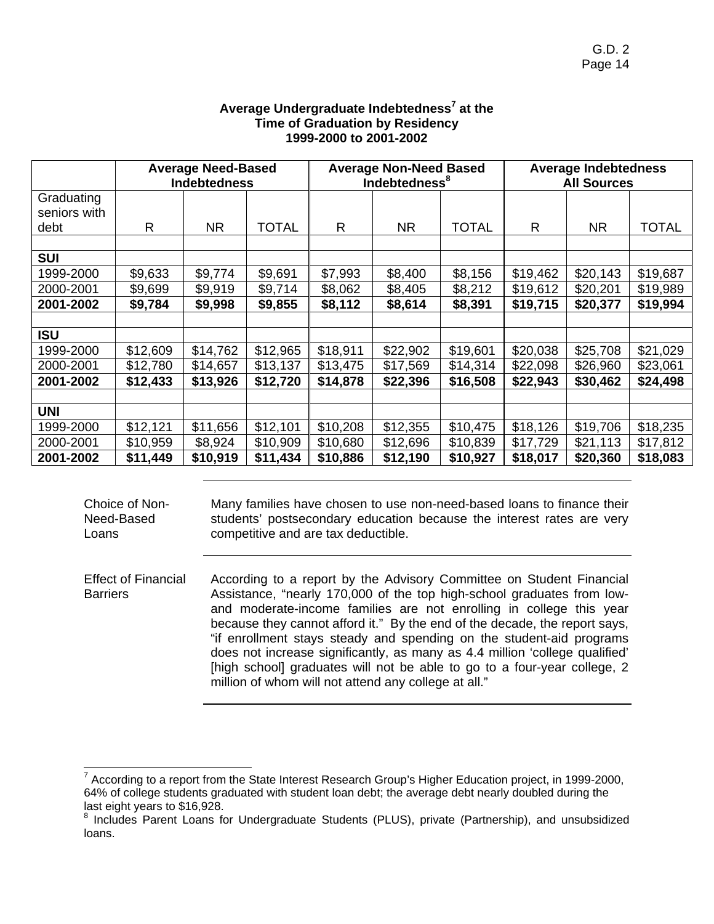|              | <b>Average Need-Based</b><br><b>Indebtedness</b> |          |              | <b>Average Non-Need Based</b><br>Indebtedness <sup>8</sup> |           | <b>Average Indebtedness</b><br><b>All Sources</b> |          |          |              |
|--------------|--------------------------------------------------|----------|--------------|------------------------------------------------------------|-----------|---------------------------------------------------|----------|----------|--------------|
| Graduating   |                                                  |          |              |                                                            |           |                                                   |          |          |              |
| seniors with |                                                  |          |              |                                                            |           |                                                   |          |          |              |
| debt         | R                                                | NR.      | <b>TOTAL</b> | R                                                          | <b>NR</b> | <b>TOTAL</b>                                      | R        | NR.      | <b>TOTAL</b> |
|              |                                                  |          |              |                                                            |           |                                                   |          |          |              |
| <b>SUI</b>   |                                                  |          |              |                                                            |           |                                                   |          |          |              |
| 1999-2000    | \$9,633                                          | \$9,774  | \$9,691      | \$7,993                                                    | \$8,400   | \$8,156                                           | \$19,462 | \$20,143 | \$19,687     |
| 2000-2001    | \$9,699                                          | \$9,919  | \$9,714      | \$8,062                                                    | \$8,405   | \$8,212                                           | \$19,612 | \$20,201 | \$19,989     |
| 2001-2002    | \$9,784                                          | \$9,998  | \$9,855      | \$8,112                                                    | \$8,614   | \$8,391                                           | \$19,715 | \$20,377 | \$19,994     |
|              |                                                  |          |              |                                                            |           |                                                   |          |          |              |
| <b>ISU</b>   |                                                  |          |              |                                                            |           |                                                   |          |          |              |
| 1999-2000    | \$12,609                                         | \$14,762 | \$12,965     | \$18,911                                                   | \$22,902  | \$19,601                                          | \$20,038 | \$25,708 | \$21,029     |
| 2000-2001    | \$12,780                                         | \$14,657 | \$13,137     | \$13,475                                                   | \$17,569  | \$14,314                                          | \$22,098 | \$26,960 | \$23,061     |
| 2001-2002    | \$12,433                                         | \$13,926 | \$12,720     | \$14,878                                                   | \$22,396  | \$16,508                                          | \$22,943 | \$30,462 | \$24,498     |
|              |                                                  |          |              |                                                            |           |                                                   |          |          |              |
| <b>UNI</b>   |                                                  |          |              |                                                            |           |                                                   |          |          |              |
| 1999-2000    | \$12,121                                         | \$11,656 | \$12,101     | \$10,208                                                   | \$12,355  | \$10,475                                          | \$18,126 | \$19,706 | \$18,235     |
| 2000-2001    | \$10,959                                         | \$8,924  | \$10,909     | \$10,680                                                   | \$12,696  | \$10,839                                          | \$17,729 | \$21,113 | \$17,812     |
| 2001-2002    | \$11,449                                         | \$10,919 | \$11,434     | \$10,886                                                   | \$12,190  | \$10,927                                          | \$18,017 | \$20,360 | \$18,083     |

# **Average Undergraduate Indebtedness<sup>7</sup> at the Time of Graduation by Residency 1999-2000 to 2001-2002**

Many families have chosen to use non-need-based loans to finance their students' postsecondary education because the interest rates are very competitive and are tax deductible.

Effect of Financial **Barriers** According to a report by the Advisory Committee on Student Financial Assistance, "nearly 170,000 of the top high-school graduates from lowand moderate-income families are not enrolling in college this year because they cannot afford it." By the end of the decade, the report says, "if enrollment stays steady and spending on the student-aid programs does not increase significantly, as many as 4.4 million 'college qualified' [high school] graduates will not be able to go to a four-year college, 2 million of whom will not attend any college at all."

Choice of Non-Need-Based

Loans

<sup>&</sup>lt;sup>7</sup> According to a report from the State Interest Research Group's Higher Education project, in 1999-2000, 64% of college students graduated with student loan debt; the average debt nearly doubled during the last eight years to \$16,928.

<sup>&</sup>lt;sup>8</sup> Includes Parent Loans for Undergraduate Students (PLUS), private (Partnership), and unsubsidized loans.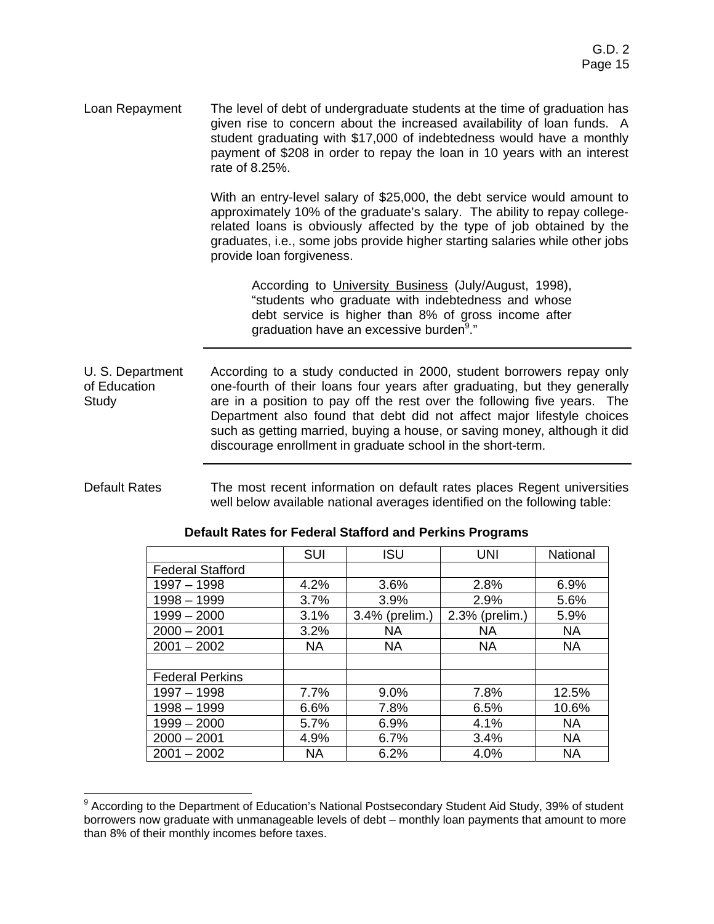Loan Repayment The level of debt of undergraduate students at the time of graduation has given rise to concern about the increased availability of loan funds. A student graduating with \$17,000 of indebtedness would have a monthly payment of \$208 in order to repay the loan in 10 years with an interest rate of 8.25%.

> With an entry-level salary of \$25,000, the debt service would amount to approximately 10% of the graduate's salary. The ability to repay collegerelated loans is obviously affected by the type of job obtained by the graduates, i.e., some jobs provide higher starting salaries while other jobs provide loan forgiveness.

 According to University Business (July/August, 1998), "students who graduate with indebtedness and whose debt service is higher than 8% of gross income after graduation have an excessive burden<sup>9</sup>."

U. S. Department of Education Study According to a study conducted in 2000, student borrowers repay only one-fourth of their loans four years after graduating, but they generally are in a position to pay off the rest over the following five years. The Department also found that debt did not affect major lifestyle choices such as getting married, buying a house, or saving money, although it did discourage enrollment in graduate school in the short-term.

#### Default Rates The most recent information on default rates places Regent universities well below available national averages identified on the following table:

|                         | <b>SUI</b> | <b>ISU</b>     | UNI            | National  |
|-------------------------|------------|----------------|----------------|-----------|
| <b>Federal Stafford</b> |            |                |                |           |
| $1997 - 1998$           | 4.2%       | 3.6%           | 2.8%           | 6.9%      |
| 1998 - 1999             | 3.7%       | 3.9%           | 2.9%           | 5.6%      |
| $1999 - 2000$           | 3.1%       | 3.4% (prelim.) | 2.3% (prelim.) | 5.9%      |
| $2000 - 2001$           | 3.2%       | NA.            | NA.            | <b>NA</b> |
| $2001 - 2002$           | <b>NA</b>  | <b>NA</b>      | <b>NA</b>      | <b>NA</b> |
|                         |            |                |                |           |
| <b>Federal Perkins</b>  |            |                |                |           |
| 1997 - 1998             | $7.7\%$    | 9.0%           | 7.8%           | 12.5%     |
| 1998 - 1999             | 6.6%       | 7.8%           | 6.5%           | 10.6%     |
| $1999 - 2000$           | 5.7%       | 6.9%           | 4.1%           | <b>NA</b> |
| $2000 - 2001$           | 4.9%       | 6.7%           | 3.4%           | <b>NA</b> |
| $2001 - 2002$           | <b>NA</b>  | 6.2%           | 4.0%           | <b>NA</b> |
|                         |            |                |                |           |

#### **Default Rates for Federal Stafford and Perkins Programs**

 <sup>9</sup> According to the Department of Education's National Postsecondary Student Aid Study, 39% of student borrowers now graduate with unmanageable levels of debt – monthly loan payments that amount to more than 8% of their monthly incomes before taxes.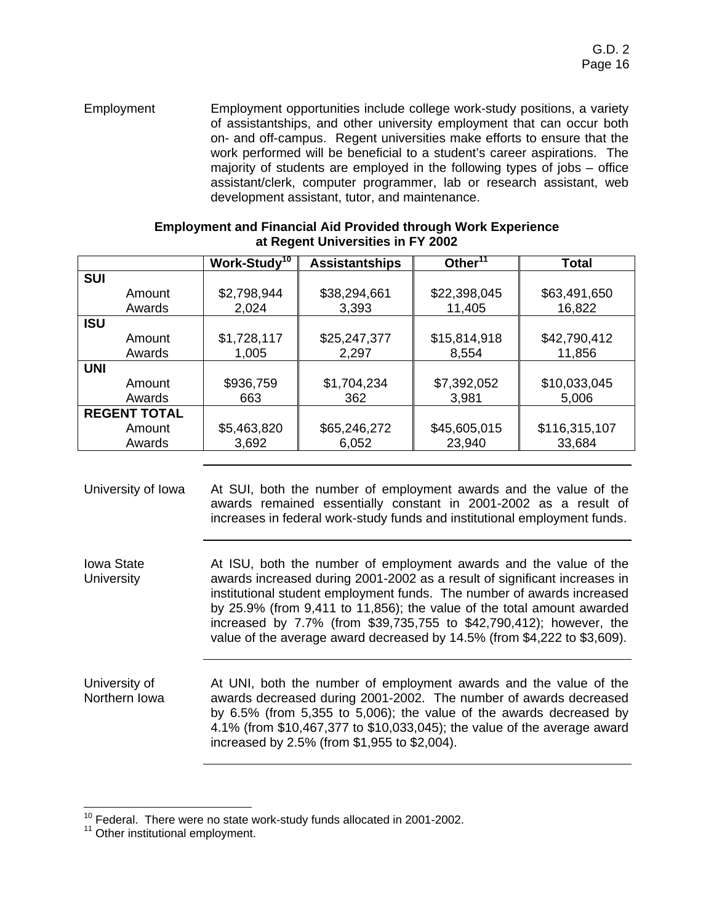Employment Employment opportunities include college work-study positions, a variety of assistantships, and other university employment that can occur both on- and off-campus. Regent universities make efforts to ensure that the work performed will be beneficial to a student's career aspirations. The majority of students are employed in the following types of jobs – office assistant/clerk, computer programmer, lab or research assistant, web development assistant, tutor, and maintenance.

|                     | Work-Study <sup>10</sup> | <b>Assistantships</b> | Other $11$   | Total         |
|---------------------|--------------------------|-----------------------|--------------|---------------|
| <b>SUI</b>          |                          |                       |              |               |
| Amount              | \$2,798,944              | \$38,294,661          | \$22,398,045 | \$63,491,650  |
| Awards              | 2,024                    | 3,393                 | 11,405       | 16,822        |
| <b>ISU</b>          |                          |                       |              |               |
| Amount              | \$1,728,117              | \$25,247,377          | \$15,814,918 | \$42,790,412  |
| Awards              | 1,005                    | 2,297                 | 8,554        | 11,856        |
| <b>UNI</b>          |                          |                       |              |               |
| Amount              | \$936,759                | \$1,704,234           | \$7,392,052  | \$10,033,045  |
| Awards              | 663                      | 362                   | 3,981        | 5,006         |
| <b>REGENT TOTAL</b> |                          |                       |              |               |
| Amount              | \$5,463,820              | \$65,246,272          | \$45,605,015 | \$116,315,107 |
| Awards              | 3,692                    | 6,052                 | 23,940       | 33,684        |

#### **Employment and Financial Aid Provided through Work Experience at Regent Universities in FY 2002**

University of Iowa At SUI, both the number of employment awards and the value of the awards remained essentially constant in 2001-2002 as a result of increases in federal work-study funds and institutional employment funds.

Iowa State **University** At ISU, both the number of employment awards and the value of the awards increased during 2001-2002 as a result of significant increases in institutional student employment funds. The number of awards increased by 25.9% (from 9,411 to 11,856); the value of the total amount awarded increased by 7.7% (from \$39,735,755 to \$42,790,412); however, the value of the average award decreased by 14.5% (from \$4,222 to \$3,609).

University of Northern Iowa At UNI, both the number of employment awards and the value of the awards decreased during 2001-2002. The number of awards decreased by 6.5% (from 5,355 to 5,006); the value of the awards decreased by 4.1% (from \$10,467,377 to \$10,033,045); the value of the average award increased by 2.5% (from \$1,955 to \$2,004).

 $10$  Federal. There were no state work-study funds allocated in 2001-2002.<br> $11$  Other institutional employment.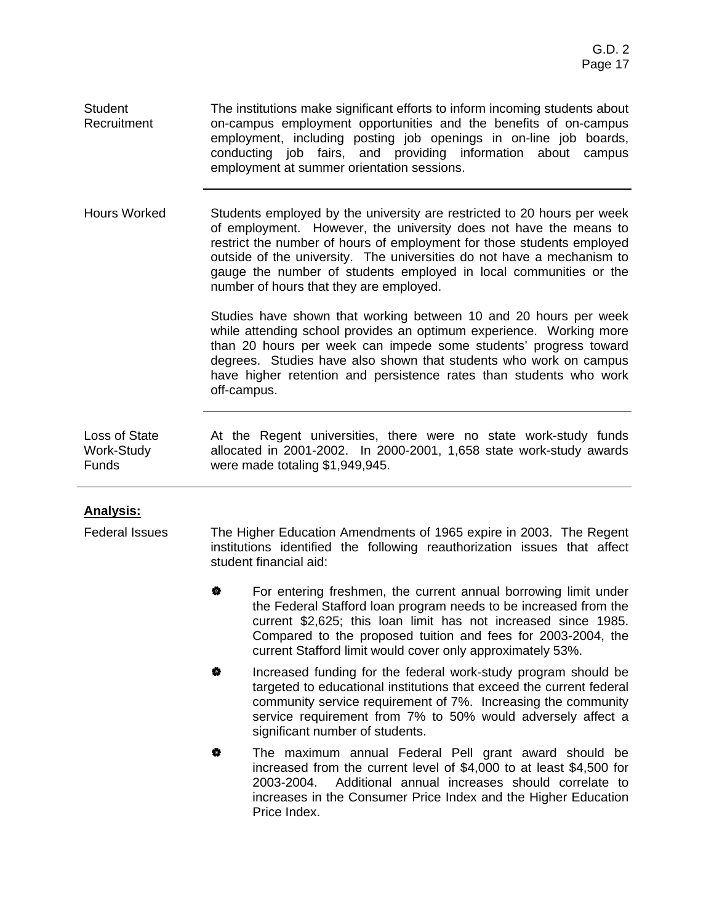**Student Recruitment** The institutions make significant efforts to inform incoming students about on-campus employment opportunities and the benefits of on-campus employment, including posting job openings in on-line job boards, conducting job fairs, and providing information about campus employment at summer orientation sessions.

Hours Worked Students employed by the university are restricted to 20 hours per week of employment. However, the university does not have the means to restrict the number of hours of employment for those students employed outside of the university. The universities do not have a mechanism to gauge the number of students employed in local communities or the number of hours that they are employed.

> Studies have shown that working between 10 and 20 hours per week while attending school provides an optimum experience. Working more than 20 hours per week can impede some students' progress toward degrees. Studies have also shown that students who work on campus have higher retention and persistence rates than students who work off-campus.

Loss of State Work-Study Funds At the Regent universities, there were no state work-study funds allocated in 2001-2002. In 2000-2001, 1,658 state work-study awards were made totaling \$1,949,945.

# **Analysis:**

Federal Issues The Higher Education Amendments of 1965 expire in 2003. The Regent institutions identified the following reauthorization issues that affect student financial aid:

- **\*** For entering freshmen, the current annual borrowing limit under the Federal Stafford loan program needs to be increased from the current \$2,625; this loan limit has not increased since 1985. Compared to the proposed tuition and fees for 2003-2004, the current Stafford limit would cover only approximately 53%.
- **\*** Increased funding for the federal work-study program should be targeted to educational institutions that exceed the current federal community service requirement of 7%. Increasing the community service requirement from 7% to 50% would adversely affect a significant number of students.
- **\*** The maximum annual Federal Pell grant award should be increased from the current level of \$4,000 to at least \$4,500 for 2003-2004. Additional annual increases should correlate to increases in the Consumer Price Index and the Higher Education Price Index.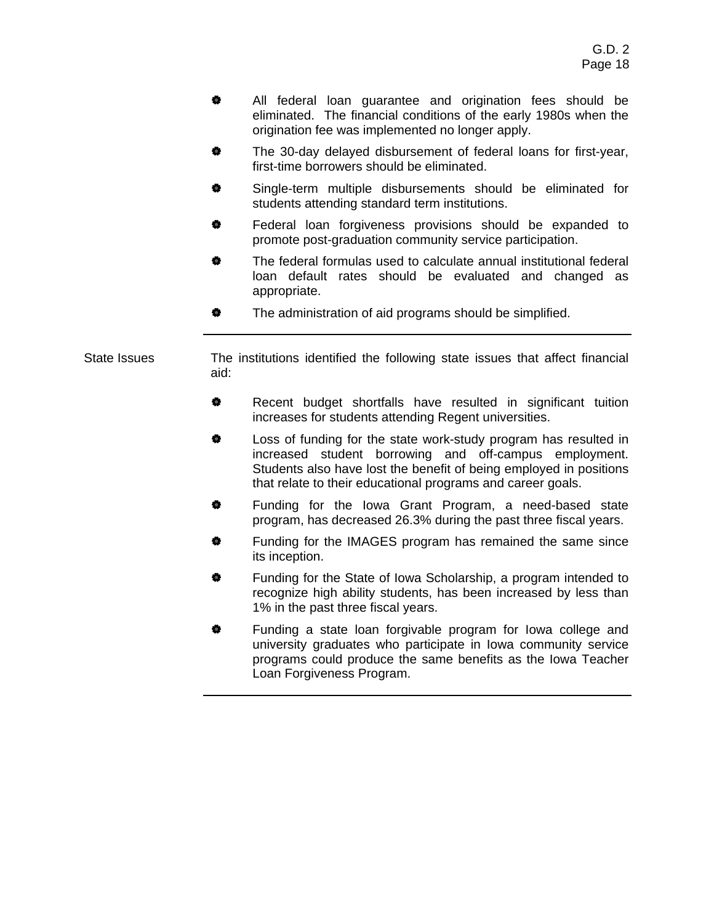- # All federal loan guarantee and origination fees should be eliminated. The financial conditions of the early 1980s when the origination fee was implemented no longer apply.
- **\*** The 30-day delayed disbursement of federal loans for first-year, first-time borrowers should be eliminated.
- Single-term multiple disbursements should be eliminated for students attending standard term institutions.
- Federal loan forgiveness provisions should be expanded to promote post-graduation community service participation.
- The federal formulas used to calculate annual institutional federal loan default rates should be evaluated and changed as appropriate.
- **\*** The administration of aid programs should be simplified.

State Issues The institutions identified the following state issues that affect financial aid:

- # Recent budget shortfalls have resulted in significant tuition increases for students attending Regent universities.
- $\bullet$  Loss of funding for the state work-study program has resulted in increased student borrowing and off-campus employment. Students also have lost the benefit of being employed in positions that relate to their educational programs and career goals.
- **\*** Funding for the Iowa Grant Program, a need-based state program, has decreased 26.3% during the past three fiscal years.
- $\bullet$  Funding for the IMAGES program has remained the same since its inception.
- Funding for the State of Iowa Scholarship, a program intended to recognize high ability students, has been increased by less than 1% in the past three fiscal years.
- **#** Funding a state loan forgivable program for lowa college and university graduates who participate in Iowa community service programs could produce the same benefits as the Iowa Teacher Loan Forgiveness Program.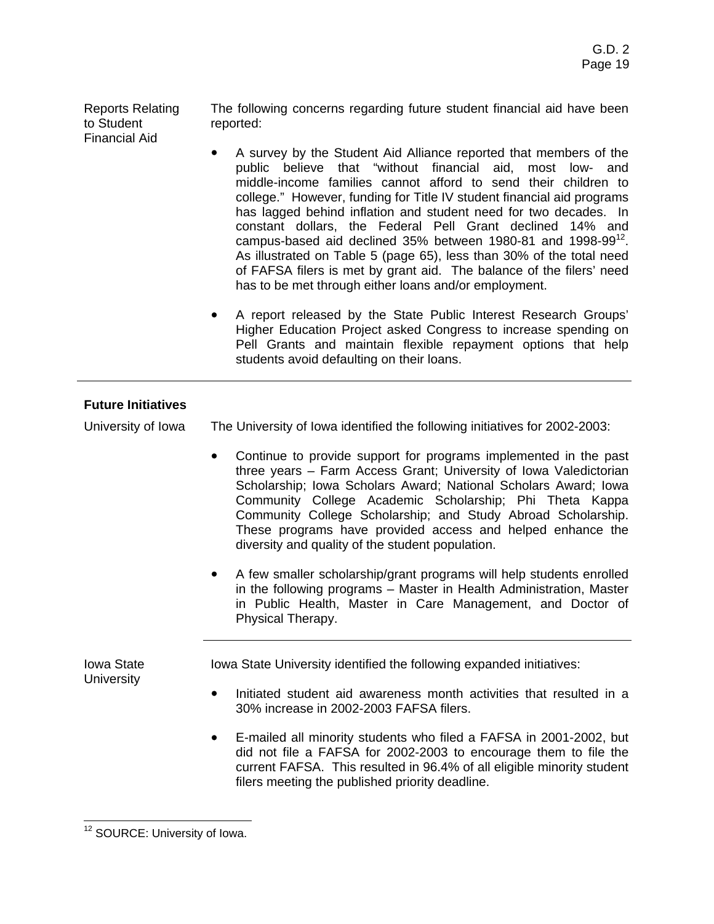Reports Relating to Student Financial Aid

The following concerns regarding future student financial aid have been reported:

- A survey by the Student Aid Alliance reported that members of the public believe that "without financial aid, most low- and middle-income families cannot afford to send their children to college." However, funding for Title IV student financial aid programs has lagged behind inflation and student need for two decades. In constant dollars, the Federal Pell Grant declined 14% and campus-based aid declined  $35%$  between 1980-81 and 1998-99 $^{12}$ . As illustrated on Table 5 (page 65), less than 30% of the total need of FAFSA filers is met by grant aid. The balance of the filers' need has to be met through either loans and/or employment.
- A report released by the State Public Interest Research Groups' Higher Education Project asked Congress to increase spending on Pell Grants and maintain flexible repayment options that help students avoid defaulting on their loans.

# **Future Initiatives**

University of Iowa The University of Iowa identified the following initiatives for 2002-2003:

- Continue to provide support for programs implemented in the past three years – Farm Access Grant; University of Iowa Valedictorian Scholarship; Iowa Scholars Award; National Scholars Award; Iowa Community College Academic Scholarship; Phi Theta Kappa Community College Scholarship; and Study Abroad Scholarship. These programs have provided access and helped enhance the diversity and quality of the student population.
- A few smaller scholarship/grant programs will help students enrolled in the following programs – Master in Health Administration, Master in Public Health, Master in Care Management, and Doctor of Physical Therapy.

Iowa State **University** Iowa State University identified the following expanded initiatives:

- Initiated student aid awareness month activities that resulted in a 30% increase in 2002-2003 FAFSA filers.
- ! E-mailed all minority students who filed a FAFSA in 2001-2002, but did not file a FAFSA for 2002-2003 to encourage them to file the current FAFSA. This resulted in 96.4% of all eligible minority student filers meeting the published priority deadline.

 <sup>12</sup> SOURCE: University of Iowa.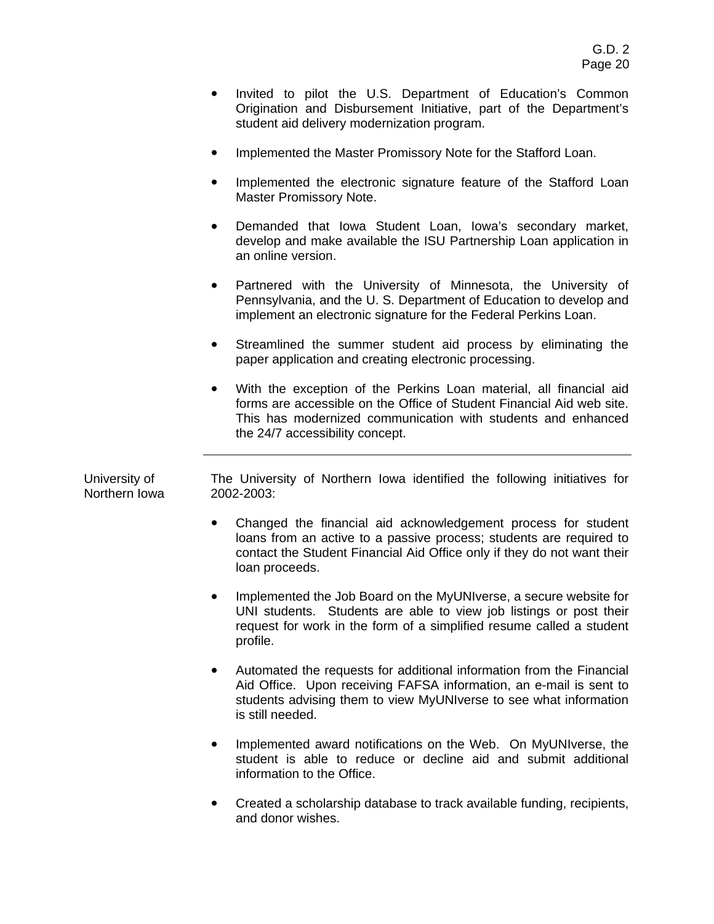- Invited to pilot the U.S. Department of Education's Common Origination and Disbursement Initiative, part of the Department's student aid delivery modernization program.
- **Implemented the Master Promissory Note for the Stafford Loan.**
- Implemented the electronic signature feature of the Stafford Loan Master Promissory Note.
- Demanded that Iowa Student Loan, Iowa's secondary market, develop and make available the ISU Partnership Loan application in an online version.
- Partnered with the University of Minnesota, the University of Pennsylvania, and the U. S. Department of Education to develop and implement an electronic signature for the Federal Perkins Loan.
- Streamlined the summer student aid process by eliminating the paper application and creating electronic processing.
- ! With the exception of the Perkins Loan material, all financial aid forms are accessible on the Office of Student Financial Aid web site. This has modernized communication with students and enhanced the 24/7 accessibility concept.

University of Northern Iowa The University of Northern Iowa identified the following initiatives for 2002-2003:

- Changed the financial aid acknowledgement process for student loans from an active to a passive process; students are required to contact the Student Financial Aid Office only if they do not want their loan proceeds.
- Implemented the Job Board on the MyUNIverse, a secure website for UNI students. Students are able to view job listings or post their request for work in the form of a simplified resume called a student profile.
- ! Automated the requests for additional information from the Financial Aid Office. Upon receiving FAFSA information, an e-mail is sent to students advising them to view MyUNIverse to see what information is still needed.
- ! Implemented award notifications on the Web. On MyUNIverse, the student is able to reduce or decline aid and submit additional information to the Office.
- ! Created a scholarship database to track available funding, recipients, and donor wishes.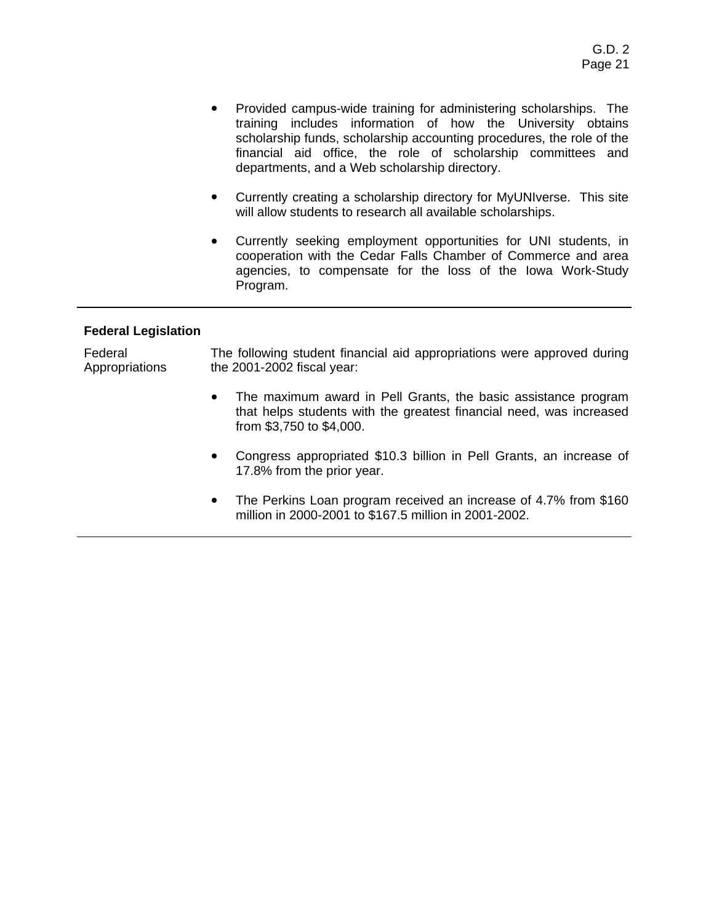- Provided campus-wide training for administering scholarships. The training includes information of how the University obtains scholarship funds, scholarship accounting procedures, the role of the financial aid office, the role of scholarship committees and departments, and a Web scholarship directory.
- Currently creating a scholarship directory for MyUNIverse. This site will allow students to research all available scholarships.
- ! Currently seeking employment opportunities for UNI students, in cooperation with the Cedar Falls Chamber of Commerce and area agencies, to compensate for the loss of the Iowa Work-Study Program.

#### **Federal Legislation**

Federal Appropriations The following student financial aid appropriations were approved during the 2001-2002 fiscal year:

- The maximum award in Pell Grants, the basic assistance program that helps students with the greatest financial need, was increased from \$3,750 to \$4,000.
- ! Congress appropriated \$10.3 billion in Pell Grants, an increase of 17.8% from the prior year.
- The Perkins Loan program received an increase of 4.7% from \$160 million in 2000-2001 to \$167.5 million in 2001-2002.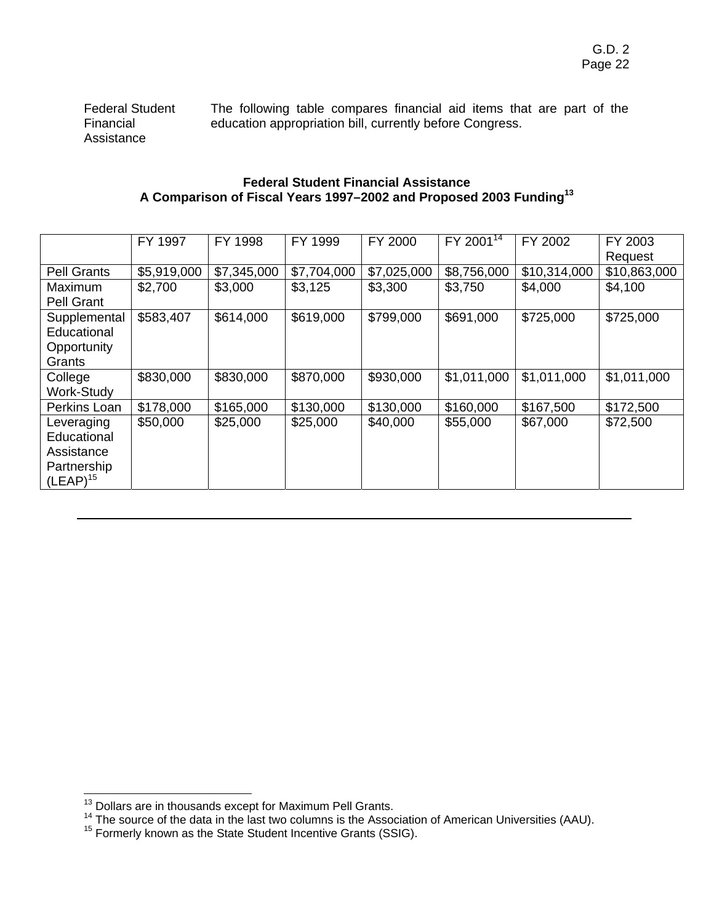Federal Student Financial Assistance The following table compares financial aid items that are part of the education appropriation bill, currently before Congress.

### **Federal Student Financial Assistance A Comparison of Fiscal Years 1997–2002 and Proposed 2003 Funding<sup>13</sup>**

|                    | FY 1997     | FY 1998     | FY 1999     | FY 2000     | FY 2001 $\frac{1}{14}$ | FY 2002      | FY 2003      |
|--------------------|-------------|-------------|-------------|-------------|------------------------|--------------|--------------|
|                    |             |             |             |             |                        |              | Request      |
| <b>Pell Grants</b> | \$5,919,000 | \$7,345,000 | \$7,704,000 | \$7,025,000 | \$8,756,000            | \$10,314,000 | \$10,863,000 |
| <b>Maximum</b>     | \$2,700     | \$3,000     | \$3,125     | \$3,300     | \$3,750                | \$4,000      | \$4,100      |
| Pell Grant         |             |             |             |             |                        |              |              |
| Supplemental       | \$583,407   | \$614,000   | \$619,000   | \$799,000   | \$691,000              | \$725,000    | \$725,000    |
| Educational        |             |             |             |             |                        |              |              |
| Opportunity        |             |             |             |             |                        |              |              |
| Grants             |             |             |             |             |                        |              |              |
| College            | \$830,000   | \$830,000   | \$870,000   | \$930,000   | \$1,011,000            | \$1,011,000  | \$1,011,000  |
| <b>Work-Study</b>  |             |             |             |             |                        |              |              |
| Perkins Loan       | \$178,000   | \$165,000   | \$130,000   | \$130,000   | \$160,000              | \$167,500    | \$172,500    |
| Leveraging         | \$50,000    | \$25,000    | \$25,000    | \$40,000    | \$55,000               | \$67,000     | \$72,500     |
| Educational        |             |             |             |             |                        |              |              |
| Assistance         |             |             |             |             |                        |              |              |
| Partnership        |             |             |             |             |                        |              |              |
| $(LEAP)^{15}$      |             |             |             |             |                        |              |              |

<sup>&</sup>lt;sup>13</sup> Dollars are in thousands except for Maximum Pell Grants.<br><sup>14</sup> The source of the data in the last two columns is the Association of American Universities (AAU).<br><sup>15</sup> Formerly known as the State Student Incentive Grant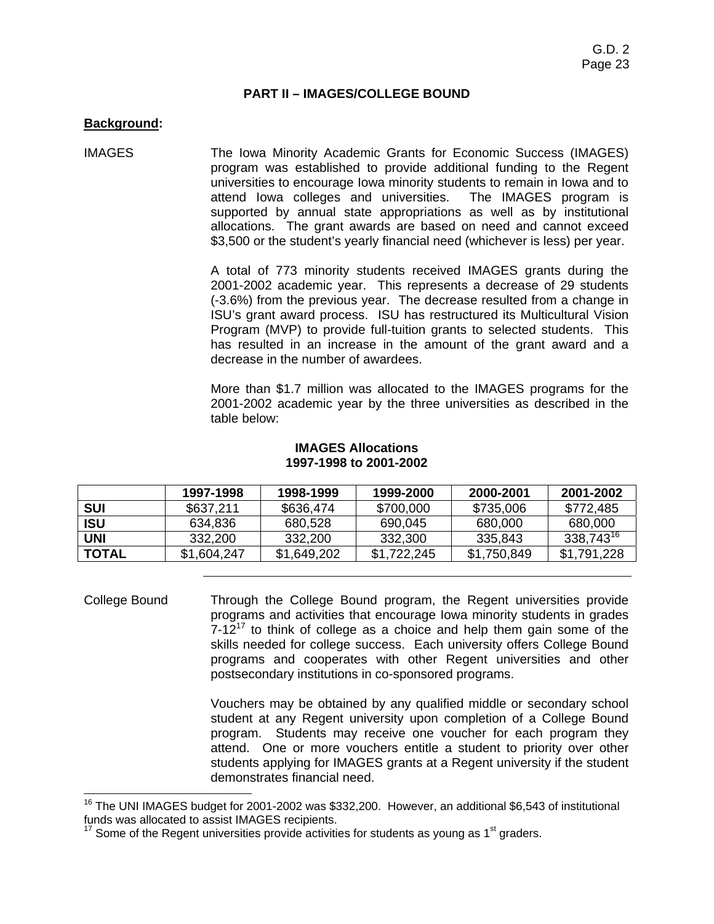#### **PART II – IMAGES/COLLEGE BOUND**

#### **Background:**

IMAGES The Iowa Minority Academic Grants for Economic Success (IMAGES) program was established to provide additional funding to the Regent universities to encourage Iowa minority students to remain in Iowa and to attend Iowa colleges and universities. The IMAGES program is supported by annual state appropriations as well as by institutional allocations. The grant awards are based on need and cannot exceed \$3,500 or the student's yearly financial need (whichever is less) per year.

> A total of 773 minority students received IMAGES grants during the 2001-2002 academic year. This represents a decrease of 29 students (-3.6%) from the previous year. The decrease resulted from a change in ISU's grant award process. ISU has restructured its Multicultural Vision Program (MVP) to provide full-tuition grants to selected students. This has resulted in an increase in the amount of the grant award and a decrease in the number of awardees.

> More than \$1.7 million was allocated to the IMAGES programs for the 2001-2002 academic year by the three universities as described in the table below:

#### **IMAGES Allocations 1997-1998 to 2001-2002**

|              | 1997-1998   | 1998-1999   | 1999-2000   | 2000-2001   | 2001-2002             |
|--------------|-------------|-------------|-------------|-------------|-----------------------|
| SUI          | \$637.211   | \$636,474   | \$700,000   | \$735,006   | \$772,485             |
| ISU          | 634.836     | 680.528     | 690.045     | 680,000     | 680,000               |
| UNI          | 332,200     | 332.200     | 332,300     | 335,843     | 338,743 <sup>16</sup> |
| <b>TOTAL</b> | \$1,604,247 | \$1,649,202 | \$1,722,245 | \$1,750,849 | \$1,791,228           |

College Bound Through the College Bound program, the Regent universities provide programs and activities that encourage Iowa minority students in grades  $7-12^{17}$  to think of college as a choice and help them gain some of the skills needed for college success. Each university offers College Bound programs and cooperates with other Regent universities and other postsecondary institutions in co-sponsored programs.

> Vouchers may be obtained by any qualified middle or secondary school student at any Regent university upon completion of a College Bound program. Students may receive one voucher for each program they attend. One or more vouchers entitle a student to priority over other students applying for IMAGES grants at a Regent university if the student demonstrates financial need.

<sup>&</sup>lt;sup>16</sup> The UNI IMAGES budget for 2001-2002 was \$332,200. However, an additional \$6,543 of institutional funds was allocated to assist IMAGES recipients.

Some of the Regent universities provide activities for students as young as 1<sup>st</sup> graders.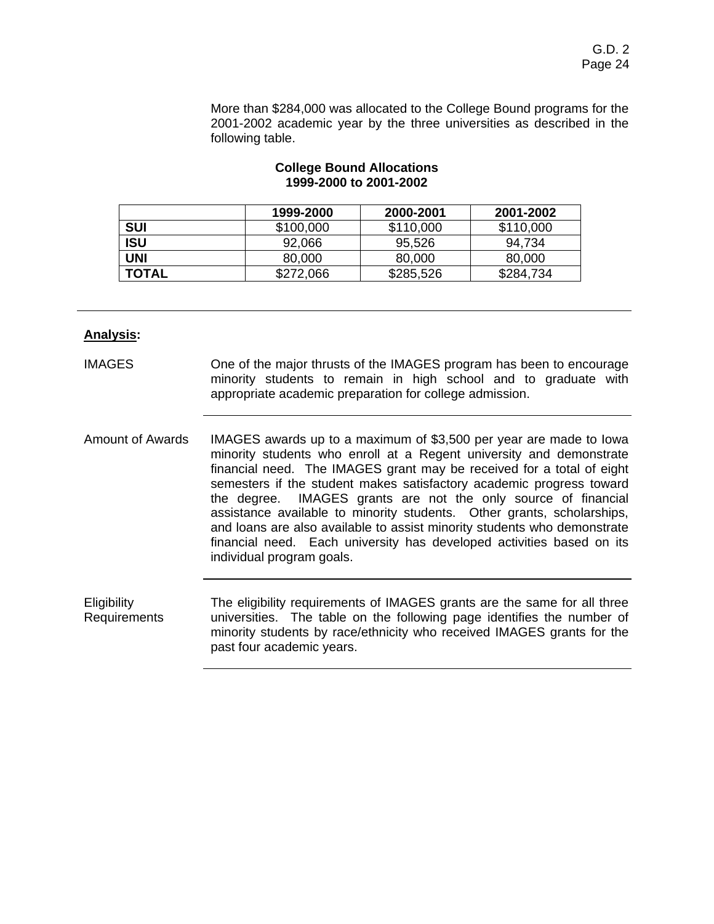More than \$284,000 was allocated to the College Bound programs for the 2001-2002 academic year by the three universities as described in the following table.

|              | 1999-2000 | 2000-2001 | 2001-2002 |
|--------------|-----------|-----------|-----------|
| SUI          | \$100,000 | \$110,000 | \$110,000 |
| ISU          | 92,066    | 95,526    | 94.734    |
| UNI          | 80,000    | 80,000    | 80,000    |
| <b>TOTAL</b> | \$272,066 | \$285,526 | \$284,734 |

#### **College Bound Allocations 1999-2000 to 2001-2002**

## **Analysis:**

| <b>IMAGES</b> |                                                         |  |  |  | One of the major thrusts of the IMAGES program has been to encourage |  |
|---------------|---------------------------------------------------------|--|--|--|----------------------------------------------------------------------|--|
|               |                                                         |  |  |  | minority students to remain in high school and to graduate with      |  |
|               | appropriate academic preparation for college admission. |  |  |  |                                                                      |  |

Amount of Awards IMAGES awards up to a maximum of \$3,500 per year are made to Iowa minority students who enroll at a Regent university and demonstrate financial need. The IMAGES grant may be received for a total of eight semesters if the student makes satisfactory academic progress toward the degree. IMAGES grants are not the only source of financial assistance available to minority students. Other grants, scholarships, and loans are also available to assist minority students who demonstrate financial need. Each university has developed activities based on its individual program goals.

**Eligibility** Requirements The eligibility requirements of IMAGES grants are the same for all three universities. The table on the following page identifies the number of minority students by race/ethnicity who received IMAGES grants for the past four academic years.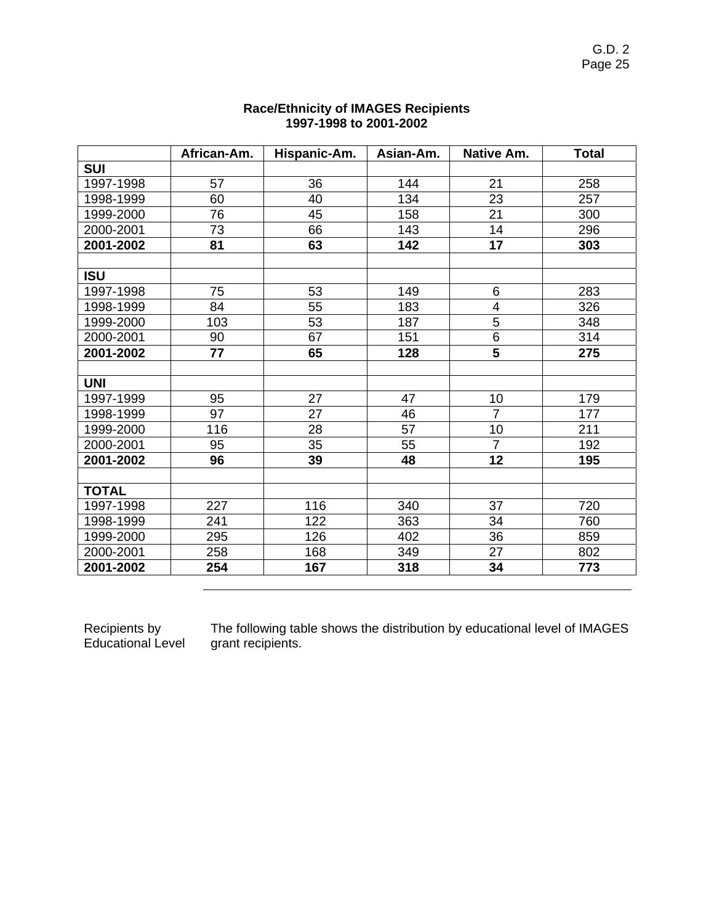|              | African-Am. | Hispanic-Am. | Asian-Am. | Native Am.               | <b>Total</b> |
|--------------|-------------|--------------|-----------|--------------------------|--------------|
| <b>SUI</b>   |             |              |           |                          |              |
| 1997-1998    | 57          | 36           | 144       | 21                       | 258          |
| 1998-1999    | 60          | 40           | 134       | 23                       | 257          |
| 1999-2000    | 76          | 45           | 158       | 21                       | 300          |
| 2000-2001    | 73          | 66           | 143       | 14                       | 296          |
| 2001-2002    | 81          | 63           | 142       | 17                       | 303          |
|              |             |              |           |                          |              |
| <b>ISU</b>   |             |              |           |                          |              |
| 1997-1998    | 75          | 53           | 149       | 6                        | 283          |
| 1998-1999    | 84          | 55           | 183       | $\overline{\mathcal{A}}$ | 326          |
| 1999-2000    | 103         | 53           | 187       | $\overline{5}$           | 348          |
| 2000-2001    | 90          | 67           | 151       | 6                        | 314          |
| 2001-2002    | 77          | 65           | 128       | $\overline{5}$           | 275          |
|              |             |              |           |                          |              |
| <b>UNI</b>   |             |              |           |                          |              |
| 1997-1999    | 95          | 27           | 47        | 10                       | 179          |
| 1998-1999    | 97          | 27           | 46        | $\overline{7}$           | 177          |
| 1999-2000    | 116         | 28           | 57        | 10                       | 211          |
| 2000-2001    | 95          | 35           | 55        | $\overline{7}$           | 192          |
| 2001-2002    | 96          | 39           | 48        | 12                       | 195          |
|              |             |              |           |                          |              |
| <b>TOTAL</b> |             |              |           |                          |              |
| 1997-1998    | 227         | 116          | 340       | 37                       | 720          |
| 1998-1999    | 241         | 122          | 363       | 34                       | 760          |
| 1999-2000    | 295         | 126          | 402       | 36                       | 859          |
| 2000-2001    | 258         | 168          | 349       | 27                       | 802          |
| 2001-2002    | 254         | 167          | 318       | 34                       | 773          |

## **Race/Ethnicity of IMAGES Recipients 1997-1998 to 2001-2002**

Recipients by Educational Level The following table shows the distribution by educational level of IMAGES grant recipients.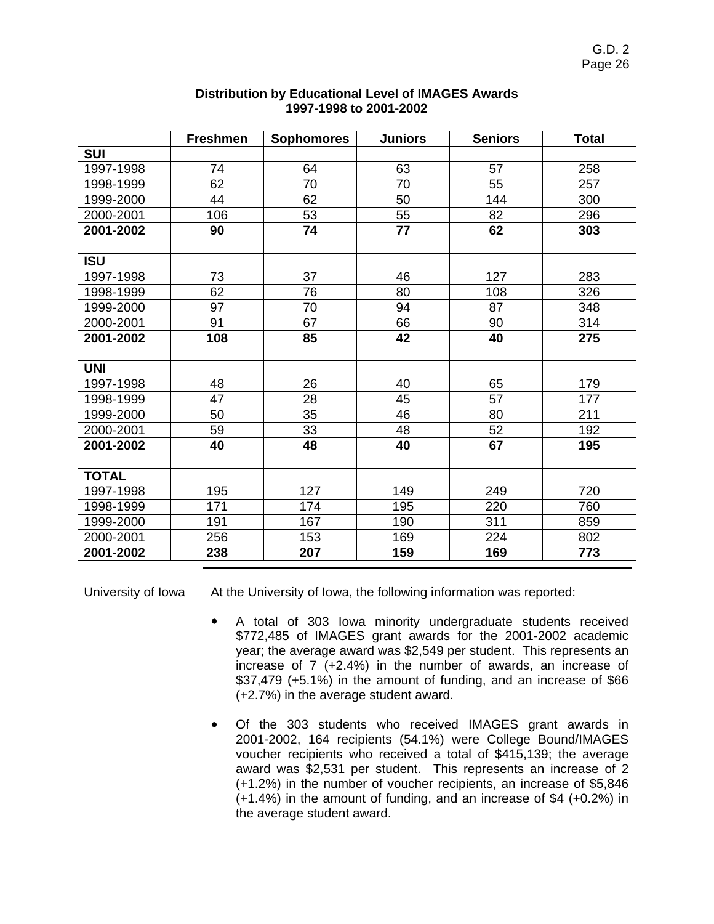|              | <b>Freshmen</b> | <b>Sophomores</b> | <b>Juniors</b> | <b>Seniors</b> | <b>Total</b> |
|--------------|-----------------|-------------------|----------------|----------------|--------------|
| <b>SUI</b>   |                 |                   |                |                |              |
| 1997-1998    | 74              | 64                | 63             | 57             | 258          |
| 1998-1999    | 62              | 70                | 70             | 55             | 257          |
| 1999-2000    | 44              | 62                | 50             | 144            | 300          |
| 2000-2001    | 106             | 53                | 55             | 82             | 296          |
| 2001-2002    | 90              | 74                | 77             | 62             | 303          |
|              |                 |                   |                |                |              |
| <b>ISU</b>   |                 |                   |                |                |              |
| 1997-1998    | 73              | 37                | 46             | 127            | 283          |
| 1998-1999    | 62              | 76                | 80             | 108            | 326          |
| 1999-2000    | 97              | 70                | 94             | 87             | 348          |
| 2000-2001    | 91              | 67                | 66             | 90             | 314          |
| 2001-2002    | 108             | 85                | 42             | 40             | 275          |
|              |                 |                   |                |                |              |
| <b>UNI</b>   |                 |                   |                |                |              |
| 1997-1998    | 48              | 26                | 40             | 65             | 179          |
| 1998-1999    | 47              | 28                | 45             | 57             | 177          |
| 1999-2000    | 50              | 35                | 46             | 80             | 211          |
| 2000-2001    | 59              | 33                | 48             | 52             | 192          |
| 2001-2002    | 40              | 48                | 40             | 67             | 195          |
|              |                 |                   |                |                |              |
| <b>TOTAL</b> |                 |                   |                |                |              |
| 1997-1998    | 195             | 127               | 149            | 249            | 720          |
| 1998-1999    | 171             | 174               | 195            | 220            | 760          |
| 1999-2000    | 191             | 167               | 190            | 311            | 859          |
| 2000-2001    | 256             | 153               | 169            | 224            | 802          |
| 2001-2002    | 238             | 207               | 159            | 169            | 773          |

#### **Distribution by Educational Level of IMAGES Awards 1997-1998 to 2001-2002**

University of Iowa At the University of Iowa, the following information was reported:

- A total of 303 Iowa minority undergraduate students received \$772,485 of IMAGES grant awards for the 2001-2002 academic year; the average award was \$2,549 per student. This represents an increase of 7 (+2.4%) in the number of awards, an increase of \$37,479 (+5.1%) in the amount of funding, and an increase of \$66 (+2.7%) in the average student award.
- ! Of the 303 students who received IMAGES grant awards in 2001-2002, 164 recipients (54.1%) were College Bound/IMAGES voucher recipients who received a total of \$415,139; the average award was \$2,531 per student. This represents an increase of 2 (+1.2%) in the number of voucher recipients, an increase of \$5,846 (+1.4%) in the amount of funding, and an increase of \$4 (+0.2%) in the average student award.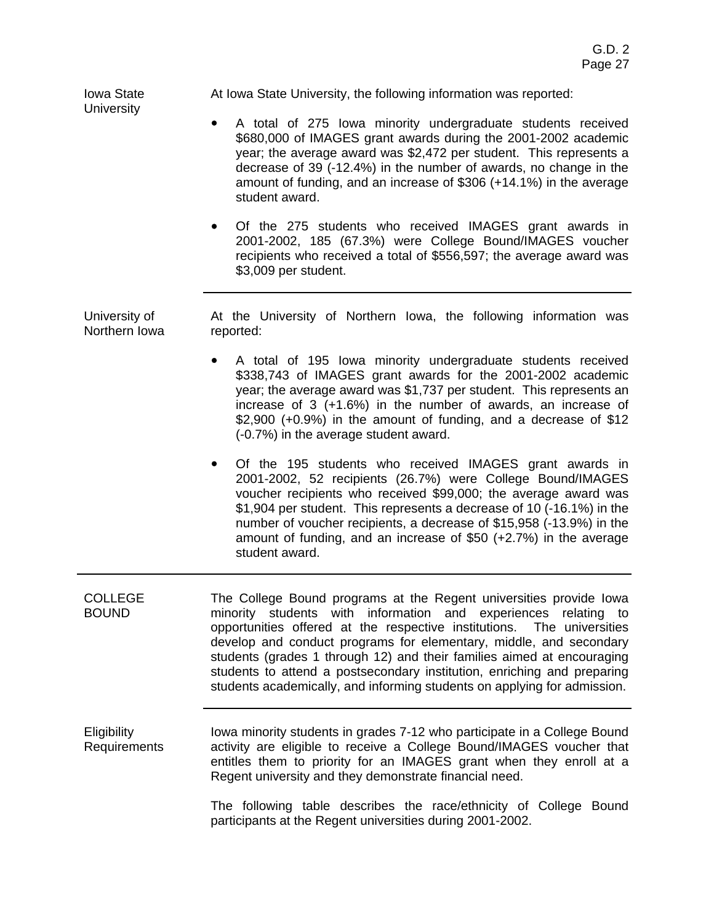| <b>Iowa State</b><br><b>University</b> | At Iowa State University, the following information was reported:                                                                                                                                                                                                                                                                                                                                                                                                                                                     |
|----------------------------------------|-----------------------------------------------------------------------------------------------------------------------------------------------------------------------------------------------------------------------------------------------------------------------------------------------------------------------------------------------------------------------------------------------------------------------------------------------------------------------------------------------------------------------|
|                                        | A total of 275 lowa minority undergraduate students received<br>\$680,000 of IMAGES grant awards during the 2001-2002 academic<br>year; the average award was \$2,472 per student. This represents a<br>decrease of 39 (-12.4%) in the number of awards, no change in the<br>amount of funding, and an increase of \$306 (+14.1%) in the average<br>student award.                                                                                                                                                    |
|                                        | Of the 275 students who received IMAGES grant awards in<br>2001-2002, 185 (67.3%) were College Bound/IMAGES voucher<br>recipients who received a total of \$556,597; the average award was<br>\$3,009 per student.                                                                                                                                                                                                                                                                                                    |
| University of<br>Northern Iowa         | At the University of Northern Iowa, the following information was<br>reported:                                                                                                                                                                                                                                                                                                                                                                                                                                        |
|                                        | A total of 195 Iowa minority undergraduate students received<br>\$338,743 of IMAGES grant awards for the 2001-2002 academic<br>year; the average award was \$1,737 per student. This represents an<br>increase of 3 (+1.6%) in the number of awards, an increase of<br>$$2,900$ (+0.9%) in the amount of funding, and a decrease of $$12$<br>(-0.7%) in the average student award.                                                                                                                                    |
|                                        | Of the 195 students who received IMAGES grant awards in<br>2001-2002, 52 recipients (26.7%) were College Bound/IMAGES<br>voucher recipients who received \$99,000; the average award was<br>\$1,904 per student. This represents a decrease of 10 (-16.1%) in the<br>number of voucher recipients, a decrease of \$15,958 (-13.9%) in the<br>amount of funding, and an increase of \$50 $(+2.7%)$ in the average<br>student award.                                                                                    |
| <b>COLLEGE</b><br><b>BOUND</b>         | The College Bound programs at the Regent universities provide lowa<br>minority students with information and experiences relating to<br>opportunities offered at the respective institutions. The universities<br>develop and conduct programs for elementary, middle, and secondary<br>students (grades 1 through 12) and their families aimed at encouraging<br>students to attend a postsecondary institution, enriching and preparing<br>students academically, and informing students on applying for admission. |
| Eligibility<br>Requirements            | lowa minority students in grades 7-12 who participate in a College Bound<br>activity are eligible to receive a College Bound/IMAGES voucher that<br>entitles them to priority for an IMAGES grant when they enroll at a<br>Regent university and they demonstrate financial need.                                                                                                                                                                                                                                     |
|                                        | The following table describes the resoluthnicity of College Round                                                                                                                                                                                                                                                                                                                                                                                                                                                     |

The following table describes the race/ethnicity of College Bound participants at the Regent universities during 2001-2002.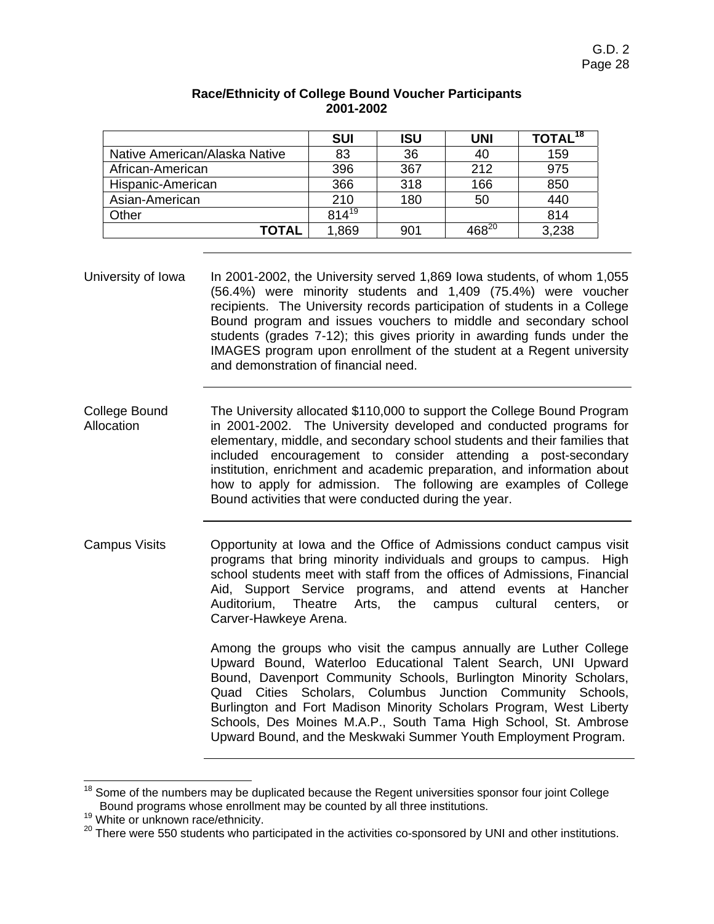|                               | <b>SUI</b> | <b>ISU</b> | <b>UNI</b>            | TOTAL <sup>18</sup> |
|-------------------------------|------------|------------|-----------------------|---------------------|
| Native American/Alaska Native | 83         | 36         | 40                    | 159                 |
| African-American              | 396        | 367        | 212                   | 975                 |
| Hispanic-American             | 366        | 318        | 166                   | 850                 |
| Asian-American                | 210        | 180        | 50                    | 440                 |
| Other                         | $814^{19}$ |            |                       | 814                 |
| TOTAL                         | 1,869      | 901        | $\overline{468}^{20}$ | 3,238               |

# **Race/Ethnicity of College Bound Voucher Participants 2001-2002**

- University of Iowa In 2001-2002, the University served 1,869 Iowa students, of whom 1,055 (56.4%) were minority students and 1,409 (75.4%) were voucher recipients. The University records participation of students in a College Bound program and issues vouchers to middle and secondary school students (grades 7-12); this gives priority in awarding funds under the IMAGES program upon enrollment of the student at a Regent university and demonstration of financial need.
- College Bound **Allocation** The University allocated \$110,000 to support the College Bound Program in 2001-2002. The University developed and conducted programs for elementary, middle, and secondary school students and their families that included encouragement to consider attending a post-secondary institution, enrichment and academic preparation, and information about how to apply for admission. The following are examples of College Bound activities that were conducted during the year.
- Campus Visits Opportunity at Iowa and the Office of Admissions conduct campus visit programs that bring minority individuals and groups to campus. High school students meet with staff from the offices of Admissions, Financial Aid, Support Service programs, and attend events at Hancher Auditorium, Theatre Arts, the campus cultural centers, or Carver-Hawkeye Arena.

Among the groups who visit the campus annually are Luther College Upward Bound, Waterloo Educational Talent Search, UNI Upward Bound, Davenport Community Schools, Burlington Minority Scholars, Quad Cities Scholars, Columbus Junction Community Schools, Burlington and Fort Madison Minority Scholars Program, West Liberty Schools, Des Moines M.A.P., South Tama High School, St. Ambrose Upward Bound, and the Meskwaki Summer Youth Employment Program.

<sup>&</sup>lt;sup>18</sup> Some of the numbers may be duplicated because the Regent universities sponsor four joint College<br>Bound programs whose enrollment may be counted by all three institutions.

<sup>&</sup>lt;sup>19</sup> White or unknown race/ethnicity.  $^{20}$  There were 550 students who participated in the activities co-sponsored by UNI and other institutions.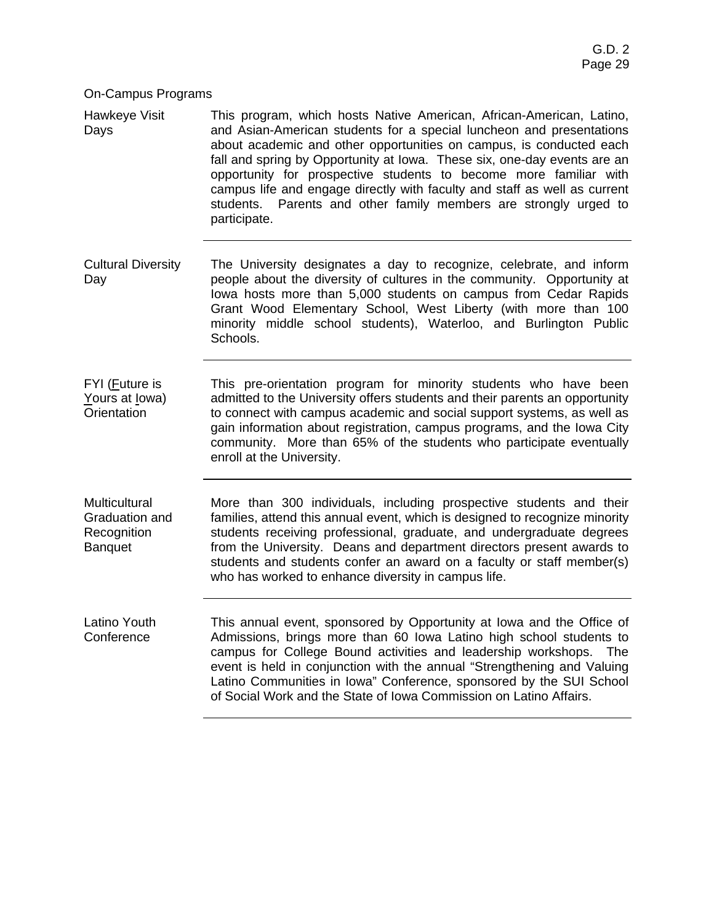#### On-Campus Programs

Hawkeye Visit Days This program, which hosts Native American, African-American, Latino, and Asian-American students for a special luncheon and presentations about academic and other opportunities on campus, is conducted each fall and spring by Opportunity at Iowa. These six, one-day events are an opportunity for prospective students to become more familiar with campus life and engage directly with faculty and staff as well as current students. Parents and other family members are strongly urged to participate.

- Cultural Diversity Day The University designates a day to recognize, celebrate, and inform people about the diversity of cultures in the community. Opportunity at Iowa hosts more than 5,000 students on campus from Cedar Rapids Grant Wood Elementary School, West Liberty (with more than 100 minority middle school students), Waterloo, and Burlington Public Schools.
- FYI (Future is Yours at lowa) **Orientation** This pre-orientation program for minority students who have been admitted to the University offers students and their parents an opportunity to connect with campus academic and social support systems, as well as gain information about registration, campus programs, and the Iowa City community. More than 65% of the students who participate eventually enroll at the University.

**Multicultural** Graduation and Recognition **Banquet** More than 300 individuals, including prospective students and their families, attend this annual event, which is designed to recognize minority students receiving professional, graduate, and undergraduate degrees from the University. Deans and department directors present awards to students and students confer an award on a faculty or staff member(s) who has worked to enhance diversity in campus life.

Latino Youth **Conference** This annual event, sponsored by Opportunity at Iowa and the Office of Admissions, brings more than 60 Iowa Latino high school students to campus for College Bound activities and leadership workshops. The event is held in conjunction with the annual "Strengthening and Valuing Latino Communities in Iowa" Conference, sponsored by the SUI School of Social Work and the State of Iowa Commission on Latino Affairs.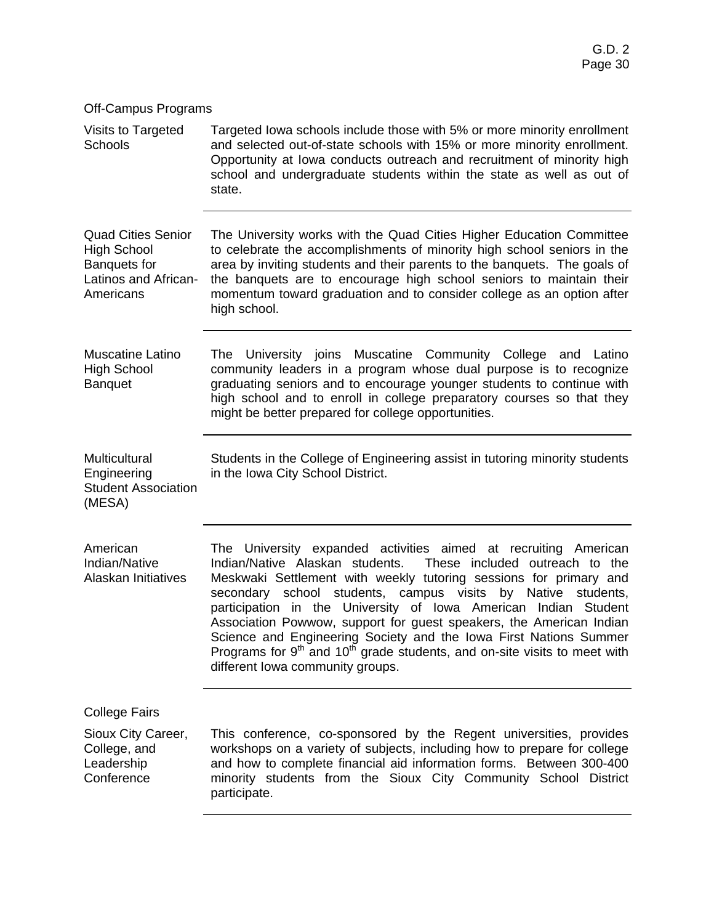Visits to Targeted Schools Targeted Iowa schools include those with 5% or more minority enrollment and selected out-of-state schools with 15% or more minority enrollment. Opportunity at Iowa conducts outreach and recruitment of minority high school and undergraduate students within the state as well as out of state.

Quad Cities Senior High School Banquets for Latinos and African-Americans The University works with the Quad Cities Higher Education Committee to celebrate the accomplishments of minority high school seniors in the area by inviting students and their parents to the banquets. The goals of the banquets are to encourage high school seniors to maintain their momentum toward graduation and to consider college as an option after high school.

Muscatine Latino High School **Banquet** The University joins Muscatine Community College and Latino community leaders in a program whose dual purpose is to recognize graduating seniors and to encourage younger students to continue with high school and to enroll in college preparatory courses so that they might be better prepared for college opportunities.

Multicultural Engineering Student Association Students in the College of Engineering assist in tutoring minority students in the Iowa City School District.

American Indian/Native Alaskan Initiatives The University expanded activities aimed at recruiting American Indian/Native Alaskan students. These included outreach to the Meskwaki Settlement with weekly tutoring sessions for primary and secondary school students, campus visits by Native students, participation in the University of Iowa American Indian Student Association Powwow, support for guest speakers, the American Indian Science and Engineering Society and the Iowa First Nations Summer Programs for  $9<sup>th</sup>$  and  $10<sup>th</sup>$  grade students, and on-site visits to meet with different Iowa community groups.

College Fairs

(MESA)

Sioux City Career, College, and Leadership **Conference** This conference, co-sponsored by the Regent universities, provides workshops on a variety of subjects, including how to prepare for college and how to complete financial aid information forms. Between 300-400 minority students from the Sioux City Community School District participate.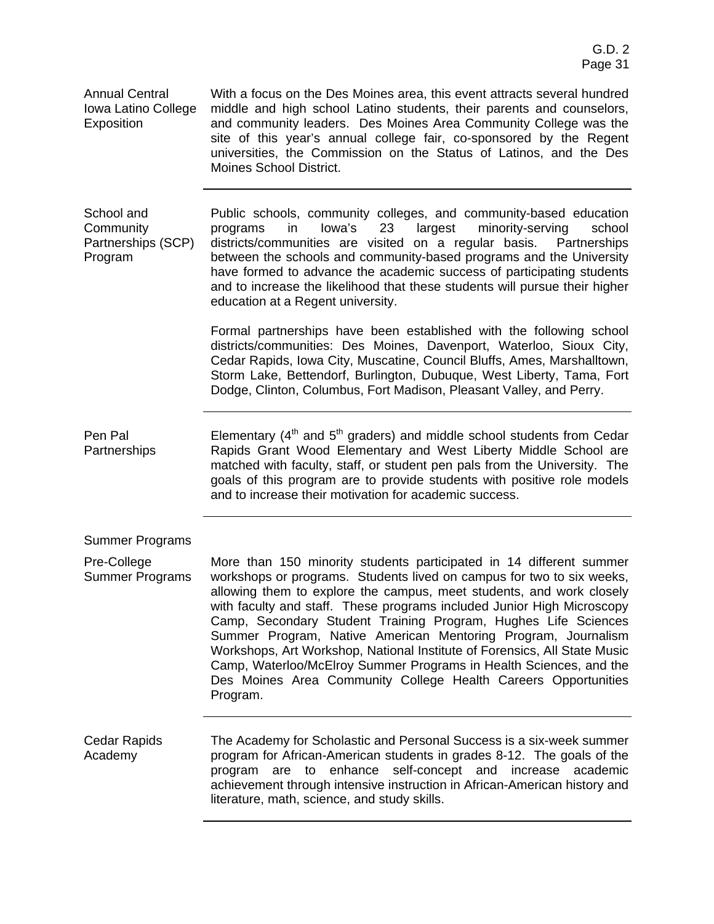Annual Central Iowa Latino College Exposition With a focus on the Des Moines area, this event attracts several hundred middle and high school Latino students, their parents and counselors, and community leaders. Des Moines Area Community College was the site of this year's annual college fair, co-sponsored by the Regent universities, the Commission on the Status of Latinos, and the Des Moines School District. School and **Community** Partnerships (SCP) Program Public schools, community colleges, and community-based education programs in Iowa's 23 largest minority-serving school districts/communities are visited on a regular basis. Partnerships between the schools and community-based programs and the University have formed to advance the academic success of participating students and to increase the likelihood that these students will pursue their higher education at a Regent university. Formal partnerships have been established with the following school districts/communities: Des Moines, Davenport, Waterloo, Sioux City, Cedar Rapids, Iowa City, Muscatine, Council Bluffs, Ames, Marshalltown, Storm Lake, Bettendorf, Burlington, Dubuque, West Liberty, Tama, Fort Dodge, Clinton, Columbus, Fort Madison, Pleasant Valley, and Perry. Pen Pal **Partnerships** Elementary  $(4<sup>th</sup>$  and  $5<sup>th</sup>$  graders) and middle school students from Cedar Rapids Grant Wood Elementary and West Liberty Middle School are matched with faculty, staff, or student pen pals from the University. The goals of this program are to provide students with positive role models and to increase their motivation for academic success. Summer Programs Pre-College Summer Programs More than 150 minority students participated in 14 different summer workshops or programs. Students lived on campus for two to six weeks, allowing them to explore the campus, meet students, and work closely with faculty and staff. These programs included Junior High Microscopy Camp, Secondary Student Training Program, Hughes Life Sciences Summer Program, Native American Mentoring Program, Journalism Workshops, Art Workshop, National Institute of Forensics, All State Music Camp, Waterloo/McElroy Summer Programs in Health Sciences, and the Des Moines Area Community College Health Careers Opportunities Program. Cedar Rapids Academy The Academy for Scholastic and Personal Success is a six-week summer program for African-American students in grades 8-12. The goals of the program are to enhance self-concept and increase academic achievement through intensive instruction in African-American history and literature, math, science, and study skills.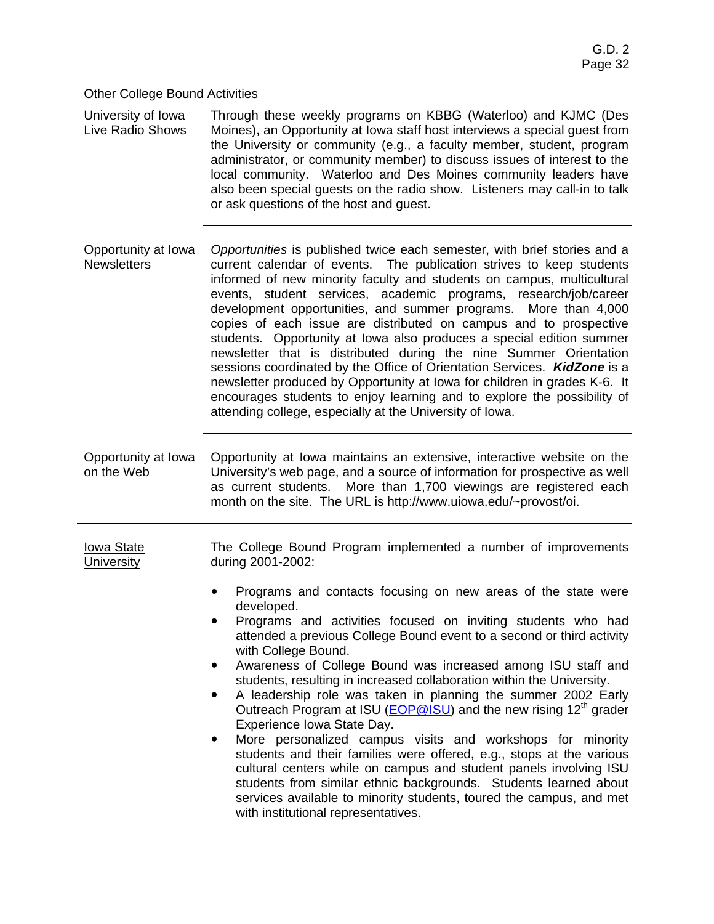Other College Bound Activities

University of Iowa Live Radio Shows Through these weekly programs on KBBG (Waterloo) and KJMC (Des Moines), an Opportunity at Iowa staff host interviews a special guest from the University or community (e.g., a faculty member, student, program administrator, or community member) to discuss issues of interest to the local community. Waterloo and Des Moines community leaders have also been special guests on the radio show. Listeners may call-in to talk or ask questions of the host and guest.

Opportunity at Iowa **Newsletters** *Opportunities* is published twice each semester, with brief stories and a current calendar of events. The publication strives to keep students informed of new minority faculty and students on campus, multicultural events, student services, academic programs, research/job/career development opportunities, and summer programs. More than 4,000 copies of each issue are distributed on campus and to prospective students. Opportunity at Iowa also produces a special edition summer newsletter that is distributed during the nine Summer Orientation sessions coordinated by the Office of Orientation Services. *KidZone* is a newsletter produced by Opportunity at Iowa for children in grades K-6. It encourages students to enjoy learning and to explore the possibility of attending college, especially at the University of Iowa.

Opportunity at Iowa on the Web Opportunity at Iowa maintains an extensive, interactive website on the University's web page, and a source of information for prospective as well as current students. More than 1,700 viewings are registered each month on the site. The URL is http://www.uiowa.edu/~provost/oi.

Iowa State **University** 

The College Bound Program implemented a number of improvements during 2001-2002:

- Programs and contacts focusing on new areas of the state were developed.
- ! Programs and activities focused on inviting students who had attended a previous College Bound event to a second or third activity with College Bound.
- Awareness of College Bound was increased among ISU staff and students, resulting in increased collaboration within the University.
- A leadership role was taken in planning the summer 2002 Early Outreach Program at ISU ( $EOP@ISU$ ) and the new rising 12<sup>th</sup> grader Experience Iowa State Day.
- ! More personalized campus visits and workshops for minority students and their families were offered, e.g., stops at the various cultural centers while on campus and student panels involving ISU students from similar ethnic backgrounds. Students learned about services available to minority students, toured the campus, and met with institutional representatives.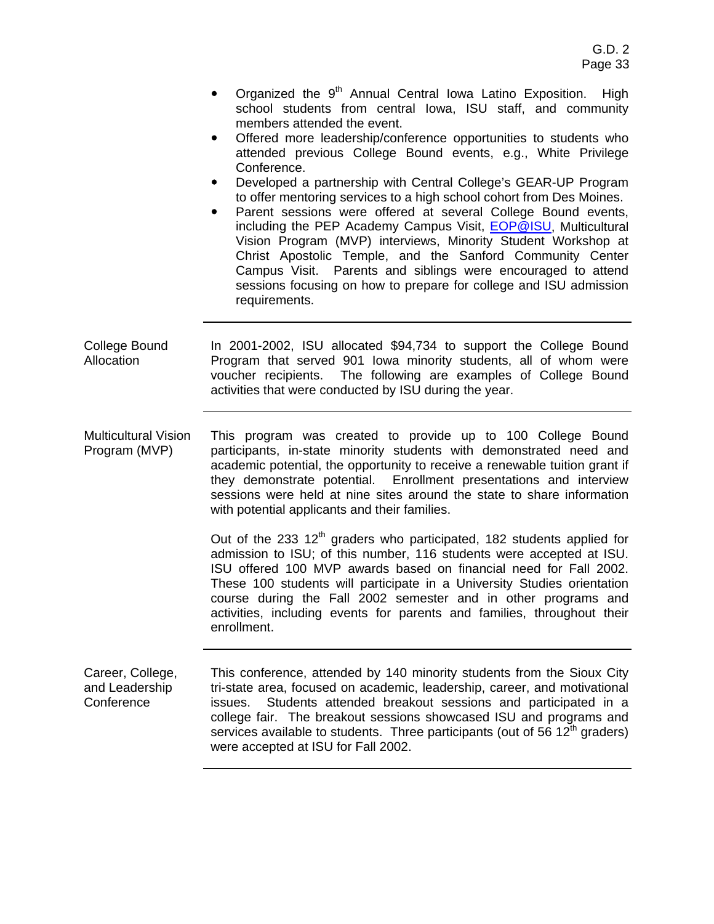- Organized the  $9<sup>th</sup>$  Annual Central Iowa Latino Exposition. High school students from central Iowa, ISU staff, and community members attended the event.
- Offered more leadership/conference opportunities to students who attended previous College Bound events, e.g., White Privilege Conference.
- Developed a partnership with Central College's GEAR-UP Program to offer mentoring services to a high school cohort from Des Moines.
- Parent sessions were offered at several College Bound events, including the PEP Academy Campus Visit, EOP@ISU, Multicultural Vision Program (MVP) interviews, Minority Student Workshop at Christ Apostolic Temple, and the Sanford Community Center Campus Visit. Parents and siblings were encouraged to attend sessions focusing on how to prepare for college and ISU admission requirements.
- College Bound Allocation In 2001-2002, ISU allocated \$94,734 to support the College Bound Program that served 901 Iowa minority students, all of whom were voucher recipients. The following are examples of College Bound activities that were conducted by ISU during the year.
- Multicultural Vision Program (MVP) This program was created to provide up to 100 College Bound participants, in-state minority students with demonstrated need and academic potential, the opportunity to receive a renewable tuition grant if they demonstrate potential. Enrollment presentations and interview sessions were held at nine sites around the state to share information with potential applicants and their families.

Out of the 233 12<sup>th</sup> graders who participated, 182 students applied for admission to ISU; of this number, 116 students were accepted at ISU. ISU offered 100 MVP awards based on financial need for Fall 2002. These 100 students will participate in a University Studies orientation course during the Fall 2002 semester and in other programs and activities, including events for parents and families, throughout their enrollment.

Career, College, and Leadership **Conference** This conference, attended by 140 minority students from the Sioux City tri-state area, focused on academic, leadership, career, and motivational issues. Students attended breakout sessions and participated in a college fair. The breakout sessions showcased ISU and programs and services available to students. Three participants (out of 56  $12<sup>th</sup>$  graders) were accepted at ISU for Fall 2002.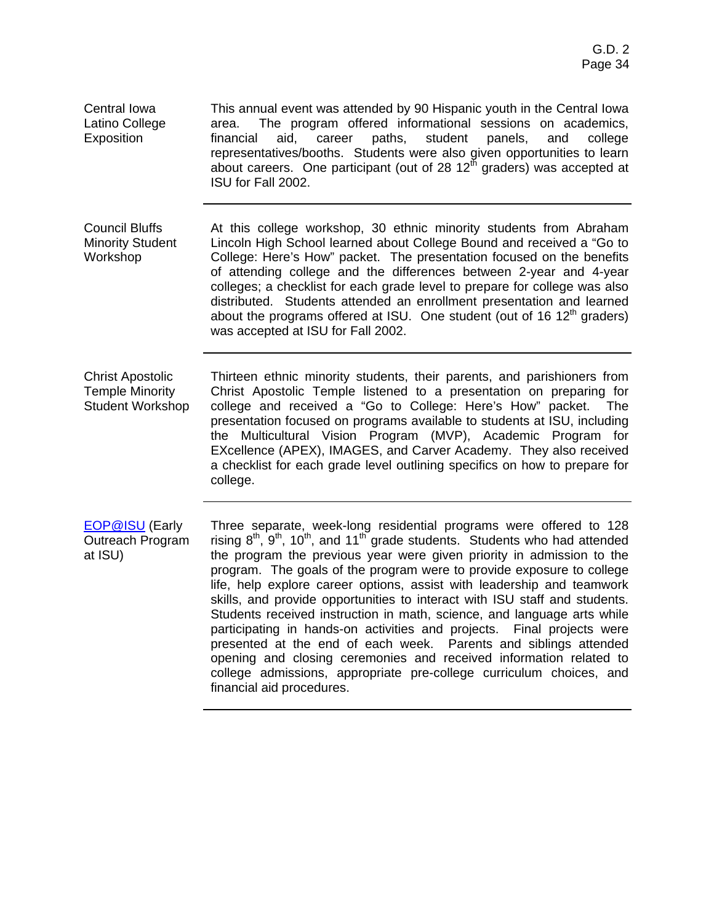Central Iowa Latino College Exposition

This annual event was attended by 90 Hispanic youth in the Central Iowa area. The program offered informational sessions on academics, financial aid, career paths, student panels, and college representatives/booths. Students were also given opportunities to learn about careers. One participant (out of 28  $12<sup>th</sup>$  graders) was accepted at ISU for Fall 2002.

Council Bluffs Minority Student Workshop At this college workshop, 30 ethnic minority students from Abraham Lincoln High School learned about College Bound and received a "Go to College: Here's How" packet. The presentation focused on the benefits of attending college and the differences between 2-year and 4-year colleges; a checklist for each grade level to prepare for college was also distributed. Students attended an enrollment presentation and learned about the programs offered at ISU. One student (out of 16  $12<sup>th</sup>$  graders) was accepted at ISU for Fall 2002.

Christ Apostolic Temple Minority Student Workshop Thirteen ethnic minority students, their parents, and parishioners from Christ Apostolic Temple listened to a presentation on preparing for college and received a "Go to College: Here's How" packet. The presentation focused on programs available to students at ISU, including the Multicultural Vision Program (MVP), Academic Program for EXcellence (APEX), IMAGES, and Carver Academy. They also received a checklist for each grade level outlining specifics on how to prepare for college.

EOP@ISU (Early Outreach Program at ISU) Three separate, week-long residential programs were offered to 128 rising  $8<sup>th</sup>$ ,  $9<sup>th</sup>$ ,  $10<sup>th</sup>$ , and  $11<sup>th</sup>$  grade students. Students who had attended the program the previous year were given priority in admission to the program. The goals of the program were to provide exposure to college life, help explore career options, assist with leadership and teamwork skills, and provide opportunities to interact with ISU staff and students. Students received instruction in math, science, and language arts while participating in hands-on activities and projects. Final projects were presented at the end of each week. Parents and siblings attended opening and closing ceremonies and received information related to college admissions, appropriate pre-college curriculum choices, and financial aid procedures.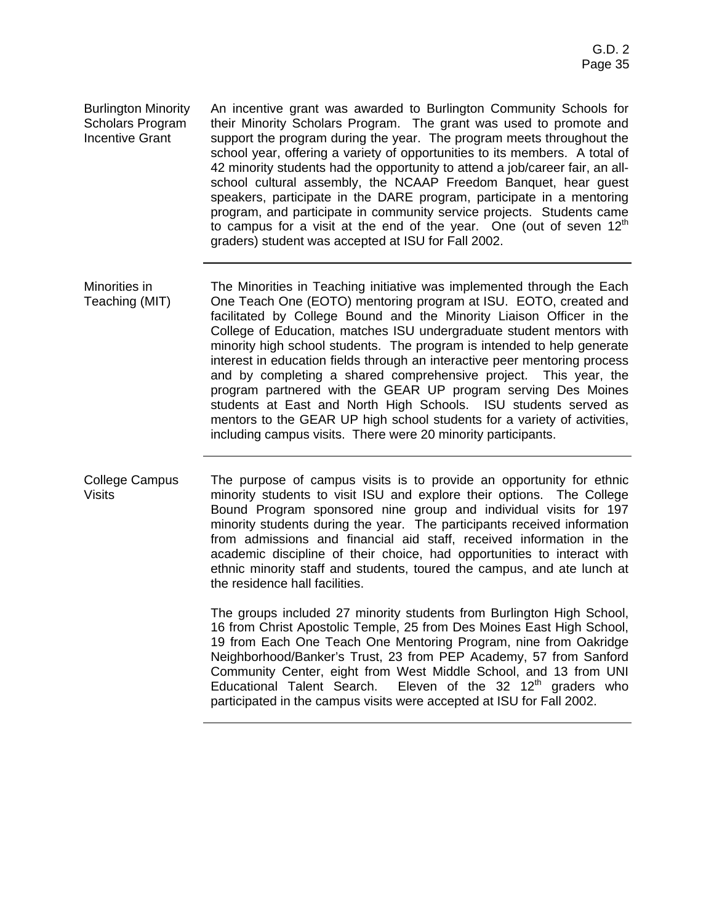Burlington Minority Scholars Program Incentive Grant An incentive grant was awarded to Burlington Community Schools for their Minority Scholars Program. The grant was used to promote and support the program during the year. The program meets throughout the school year, offering a variety of opportunities to its members. A total of 42 minority students had the opportunity to attend a job/career fair, an allschool cultural assembly, the NCAAP Freedom Banquet, hear guest speakers, participate in the DARE program, participate in a mentoring program, and participate in community service projects. Students came to campus for a visit at the end of the year. One (out of seven  $12<sup>th</sup>$ graders) student was accepted at ISU for Fall 2002.

- Minorities in Teaching (MIT) The Minorities in Teaching initiative was implemented through the Each One Teach One (EOTO) mentoring program at ISU. EOTO, created and facilitated by College Bound and the Minority Liaison Officer in the College of Education, matches ISU undergraduate student mentors with minority high school students. The program is intended to help generate interest in education fields through an interactive peer mentoring process and by completing a shared comprehensive project. This year, the program partnered with the GEAR UP program serving Des Moines students at East and North High Schools. ISU students served as mentors to the GEAR UP high school students for a variety of activities, including campus visits. There were 20 minority participants.
- College Campus Visits The purpose of campus visits is to provide an opportunity for ethnic minority students to visit ISU and explore their options. The College Bound Program sponsored nine group and individual visits for 197 minority students during the year. The participants received information from admissions and financial aid staff, received information in the academic discipline of their choice, had opportunities to interact with ethnic minority staff and students, toured the campus, and ate lunch at the residence hall facilities.

The groups included 27 minority students from Burlington High School, 16 from Christ Apostolic Temple, 25 from Des Moines East High School, 19 from Each One Teach One Mentoring Program, nine from Oakridge Neighborhood/Banker's Trust, 23 from PEP Academy, 57 from Sanford Community Center, eight from West Middle School, and 13 from UNI Educational Talent Search. Eleven of the  $32 \t12<sup>th</sup>$  graders who participated in the campus visits were accepted at ISU for Fall 2002.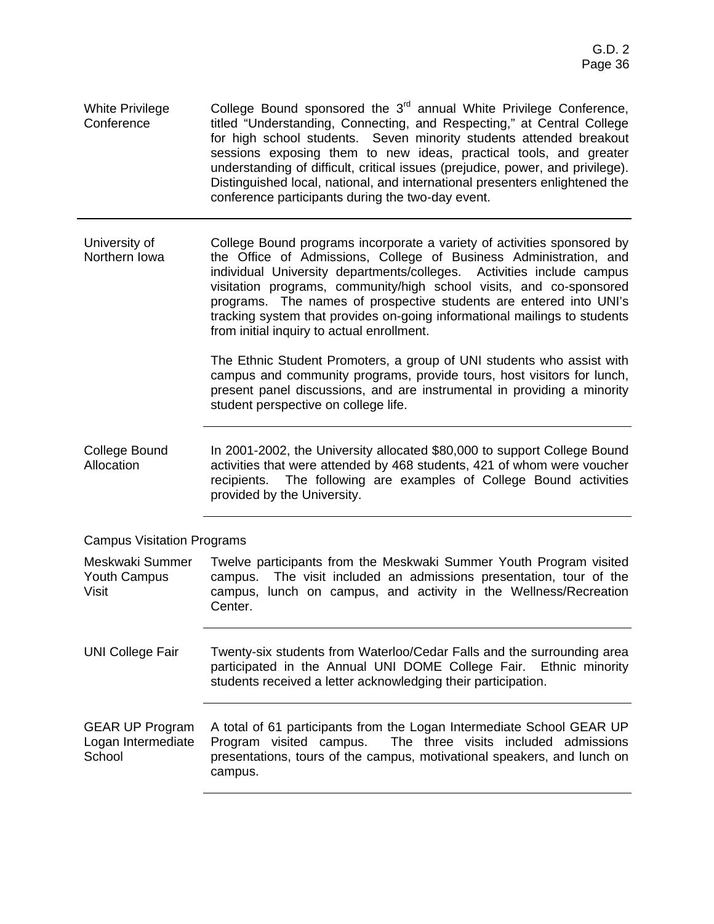| White Privilege | College Bound sponsored the 3 <sup>rd</sup> annual White Privilege Conference, |
|-----------------|--------------------------------------------------------------------------------|
| Conference      | titled "Understanding, Connecting, and Respecting," at Central College         |
|                 | for high school students. Seven minority students attended breakout            |
|                 | sessions exposing them to new ideas, practical tools, and greater              |
|                 | understanding of difficult, critical issues (prejudice, power, and privilege). |
|                 | Distinguished local, national, and international presenters enlightened the    |
|                 | conference participants during the two-day event.                              |

University of Northern Iowa College Bound programs incorporate a variety of activities sponsored by the Office of Admissions, College of Business Administration, and individual University departments/colleges. Activities include campus visitation programs, community/high school visits, and co-sponsored programs. The names of prospective students are entered into UNI's tracking system that provides on-going informational mailings to students from initial inquiry to actual enrollment.

> The Ethnic Student Promoters, a group of UNI students who assist with campus and community programs, provide tours, host visitors for lunch, present panel discussions, and are instrumental in providing a minority student perspective on college life.

College Bound Allocation In 2001-2002, the University allocated \$80,000 to support College Bound activities that were attended by 468 students, 421 of whom were voucher recipients. The following are examples of College Bound activities provided by the University.

Campus Visitation Programs

Meskwaki Summer Youth Campus Visit Twelve participants from the Meskwaki Summer Youth Program visited campus. The visit included an admissions presentation, tour of the campus, lunch on campus, and activity in the Wellness/Recreation Center.

UNI College Fair Twenty-six students from Waterloo/Cedar Falls and the surrounding area participated in the Annual UNI DOME College Fair. Ethnic minority students received a letter acknowledging their participation.

GEAR UP Program Logan Intermediate **School** A total of 61 participants from the Logan Intermediate School GEAR UP Program visited campus. The three visits included admissions presentations, tours of the campus, motivational speakers, and lunch on campus.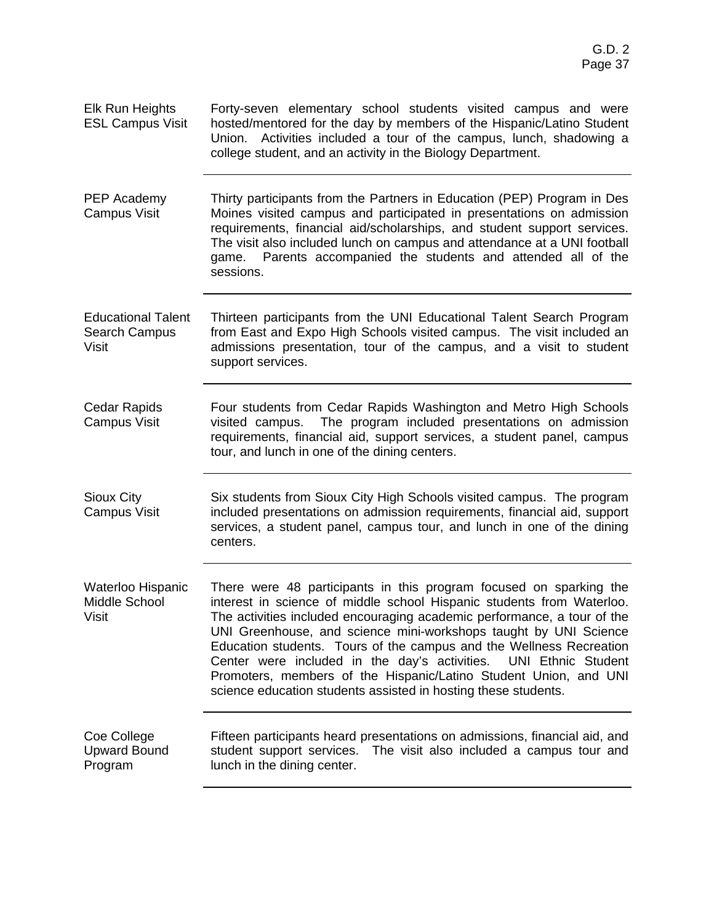| <b>Elk Run Heights</b><br><b>ESL Campus Visit</b>          | Forty-seven elementary school students visited campus and were<br>hosted/mentored for the day by members of the Hispanic/Latino Student<br>Union. Activities included a tour of the campus, lunch, shadowing a<br>college student, and an activity in the Biology Department.                                                                                                                                                                                                                                                                                               |
|------------------------------------------------------------|-----------------------------------------------------------------------------------------------------------------------------------------------------------------------------------------------------------------------------------------------------------------------------------------------------------------------------------------------------------------------------------------------------------------------------------------------------------------------------------------------------------------------------------------------------------------------------|
| PEP Academy<br><b>Campus Visit</b>                         | Thirty participants from the Partners in Education (PEP) Program in Des<br>Moines visited campus and participated in presentations on admission<br>requirements, financial aid/scholarships, and student support services.<br>The visit also included lunch on campus and attendance at a UNI football<br>game. Parents accompanied the students and attended all of the<br>sessions.                                                                                                                                                                                       |
| <b>Educational Talent</b><br>Search Campus<br><b>Visit</b> | Thirteen participants from the UNI Educational Talent Search Program<br>from East and Expo High Schools visited campus. The visit included an<br>admissions presentation, tour of the campus, and a visit to student<br>support services.                                                                                                                                                                                                                                                                                                                                   |
| <b>Cedar Rapids</b><br><b>Campus Visit</b>                 | Four students from Cedar Rapids Washington and Metro High Schools<br>The program included presentations on admission<br>visited campus.<br>requirements, financial aid, support services, a student panel, campus<br>tour, and lunch in one of the dining centers.                                                                                                                                                                                                                                                                                                          |
| Sioux City<br><b>Campus Visit</b>                          | Six students from Sioux City High Schools visited campus. The program<br>included presentations on admission requirements, financial aid, support<br>services, a student panel, campus tour, and lunch in one of the dining<br>centers.                                                                                                                                                                                                                                                                                                                                     |
| Waterloo Hispanic<br>Middle School<br>Visit                | There were 48 participants in this program focused on sparking the<br>interest in science of middle school Hispanic students from Waterloo.<br>The activities included encouraging academic performance, a tour of the<br>UNI Greenhouse, and science mini-workshops taught by UNI Science<br>Education students. Tours of the campus and the Wellness Recreation<br>Center were included in the day's activities. UNI Ethnic Student<br>Promoters, members of the Hispanic/Latino Student Union, and UNI<br>science education students assisted in hosting these students. |
| Coe College<br><b>Upward Bound</b><br>Program              | Fifteen participants heard presentations on admissions, financial aid, and<br>student support services. The visit also included a campus tour and<br>lunch in the dining center.                                                                                                                                                                                                                                                                                                                                                                                            |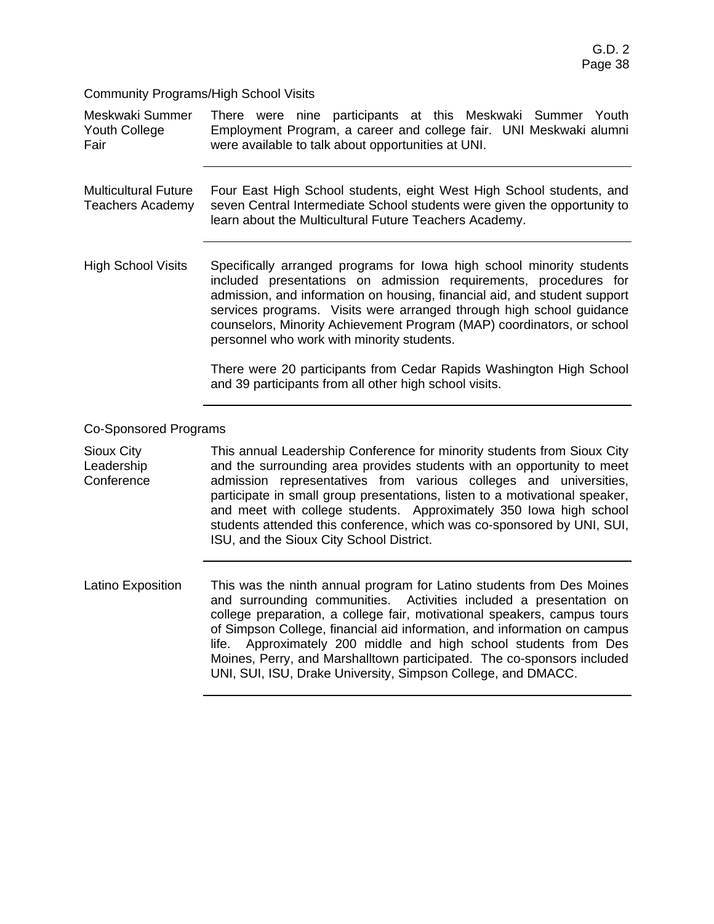Community Programs/High School Visits

| Meskwaki Summer<br>Youth College<br>Fair               | There were nine participants at this Meskwaki Summer Youth<br>Employment Program, a career and college fair. UNI Meskwaki alumni<br>were available to talk about opportunities at UNI.                                                                                                                                                                                                                                                                                                                                  |  |  |  |  |  |  |
|--------------------------------------------------------|-------------------------------------------------------------------------------------------------------------------------------------------------------------------------------------------------------------------------------------------------------------------------------------------------------------------------------------------------------------------------------------------------------------------------------------------------------------------------------------------------------------------------|--|--|--|--|--|--|
| <b>Multicultural Future</b><br><b>Teachers Academy</b> | Four East High School students, eight West High School students, and<br>seven Central Intermediate School students were given the opportunity to<br>learn about the Multicultural Future Teachers Academy.                                                                                                                                                                                                                                                                                                              |  |  |  |  |  |  |
| <b>High School Visits</b>                              | Specifically arranged programs for lowa high school minority students<br>included presentations on admission requirements, procedures for<br>admission, and information on housing, financial aid, and student support<br>services programs. Visits were arranged through high school guidance<br>counselors, Minority Achievement Program (MAP) coordinators, or school<br>personnel who work with minority students.                                                                                                  |  |  |  |  |  |  |
|                                                        | There were 20 participants from Cedar Rapids Washington High School<br>and 39 participants from all other high school visits.                                                                                                                                                                                                                                                                                                                                                                                           |  |  |  |  |  |  |
| <b>Co-Sponsored Programs</b>                           |                                                                                                                                                                                                                                                                                                                                                                                                                                                                                                                         |  |  |  |  |  |  |
| Sioux City<br>Leadership<br>Conference                 | This annual Leadership Conference for minority students from Sioux City<br>and the surrounding area provides students with an opportunity to meet<br>admission representatives from various colleges and universities,<br>participate in small group presentations, listen to a motivational speaker,<br>and meet with college students. Approximately 350 lowa high school<br>students attended this conference, which was co-sponsored by UNI, SUI,<br>ISU, and the Sioux City School District.                       |  |  |  |  |  |  |
| Latino Exposition                                      | This was the ninth annual program for Latino students from Des Moines<br>and surrounding communities.<br>Activities included a presentation on<br>college preparation, a college fair, motivational speakers, campus tours<br>of Simpson College, financial aid information, and information on campus<br>Approximately 200 middle and high school students from Des<br>life.<br>Moines, Perry, and Marshalltown participated. The co-sponsors included<br>UNI, SUI, ISU, Drake University, Simpson College, and DMACC. |  |  |  |  |  |  |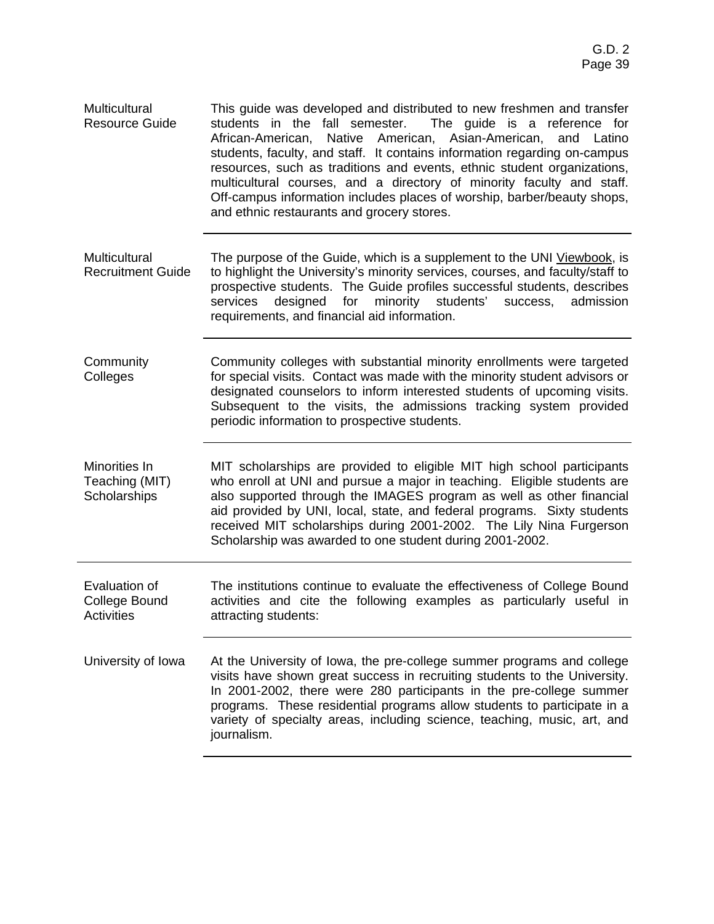| Multicultural<br><b>Resource Guide</b> | This quide was developed and distributed to new freshmen and transfer<br>students in the fall semester. The guide is a reference for                                                                                        |
|----------------------------------------|-----------------------------------------------------------------------------------------------------------------------------------------------------------------------------------------------------------------------------|
|                                        | African-American, Native American, Asian-American, and Latino<br>students, faculty, and staff. It contains information regarding on-campus                                                                                  |
|                                        | resources, such as traditions and events, ethnic student organizations,<br>multicultural courses, and a directory of minority faculty and staff.<br>Off-campus information includes places of worship, barber/beauty shops, |
|                                        | and ethnic restaurants and grocery stores.                                                                                                                                                                                  |

- **Multicultural** Recruitment Guide The purpose of the Guide, which is a supplement to the UNI Viewbook, is to highlight the University's minority services, courses, and faculty/staff to prospective students. The Guide profiles successful students, describes services designed for minority students' success, admission requirements, and financial aid information.
- **Community Colleges** Community colleges with substantial minority enrollments were targeted for special visits. Contact was made with the minority student advisors or designated counselors to inform interested students of upcoming visits. Subsequent to the visits, the admissions tracking system provided periodic information to prospective students.

Minorities In Teaching (MIT) **Scholarships** MIT scholarships are provided to eligible MIT high school participants who enroll at UNI and pursue a major in teaching. Eligible students are also supported through the IMAGES program as well as other financial aid provided by UNI, local, state, and federal programs. Sixty students received MIT scholarships during 2001-2002. The Lily Nina Furgerson Scholarship was awarded to one student during 2001-2002.

- Evaluation of College Bound **Activities** The institutions continue to evaluate the effectiveness of College Bound activities and cite the following examples as particularly useful in attracting students:
- University of Iowa At the University of Iowa, the pre-college summer programs and college visits have shown great success in recruiting students to the University. In 2001-2002, there were 280 participants in the pre-college summer programs. These residential programs allow students to participate in a variety of specialty areas, including science, teaching, music, art, and journalism.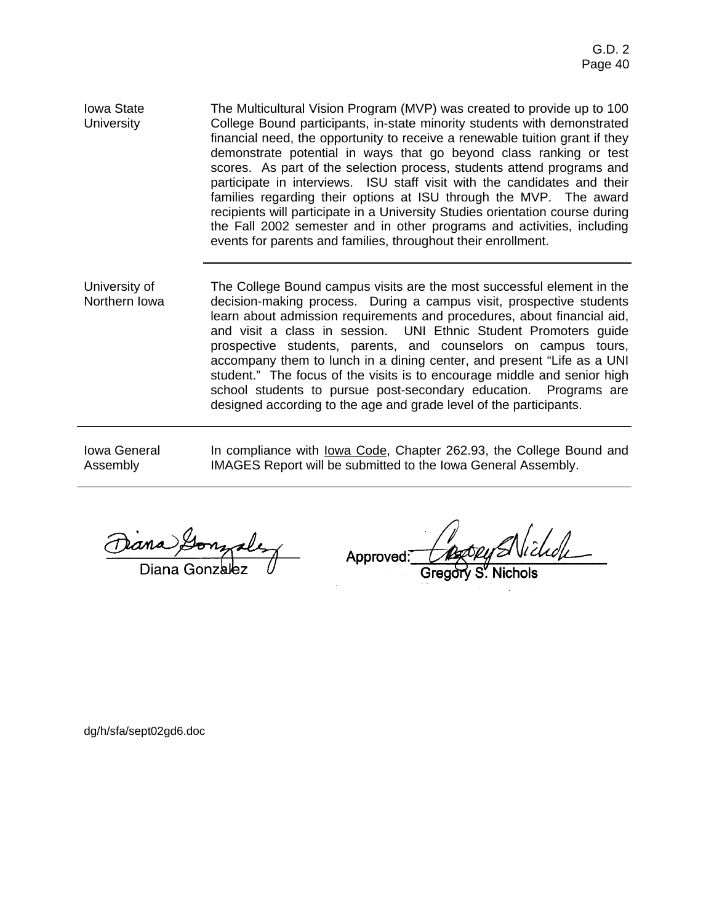- Iowa State **University** The Multicultural Vision Program (MVP) was created to provide up to 100 College Bound participants, in-state minority students with demonstrated financial need, the opportunity to receive a renewable tuition grant if they demonstrate potential in ways that go beyond class ranking or test scores. As part of the selection process, students attend programs and participate in interviews. ISU staff visit with the candidates and their families regarding their options at ISU through the MVP. The award recipients will participate in a University Studies orientation course during the Fall 2002 semester and in other programs and activities, including events for parents and families, throughout their enrollment.
- University of Northern Iowa The College Bound campus visits are the most successful element in the decision-making process. During a campus visit, prospective students learn about admission requirements and procedures, about financial aid, and visit a class in session. UNI Ethnic Student Promoters guide prospective students, parents, and counselors on campus tours, accompany them to lunch in a dining center, and present "Life as a UNI student." The focus of the visits is to encourage middle and senior high school students to pursue post-secondary education. Programs are designed according to the age and grade level of the participants.

Iowa General Assembly

In compliance with lowa Code, Chapter 262.93, the College Bound and IMAGES Report will be submitted to the Iowa General Assembly.

Approved:

dg/h/sfa/sept02gd6.doc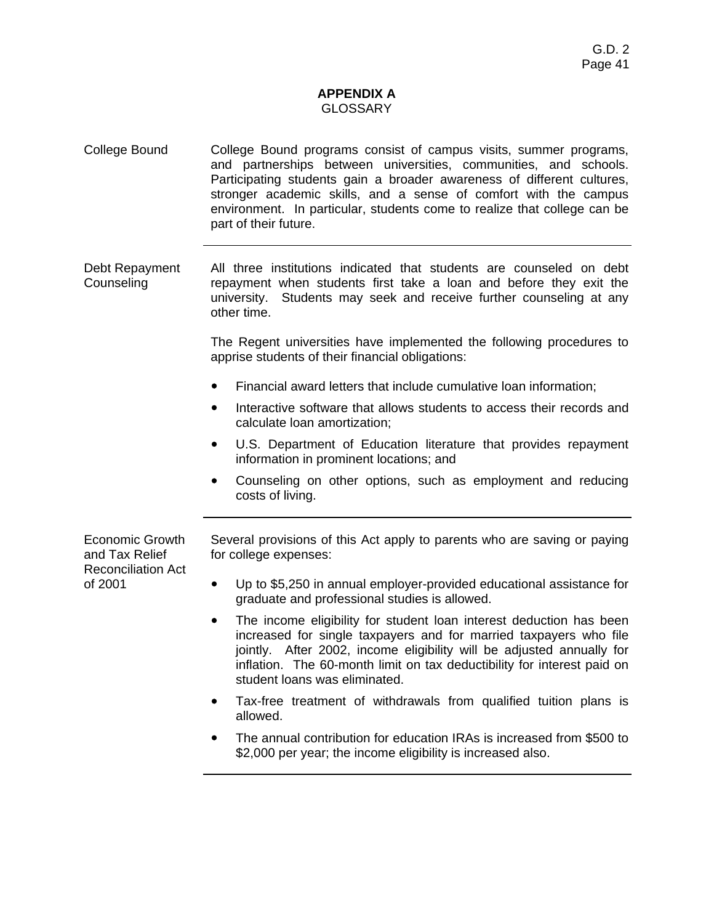### **APPENDIX A**  GLOSSARY

- College Bound College Bound programs consist of campus visits, summer programs, and partnerships between universities, communities, and schools. Participating students gain a broader awareness of different cultures, stronger academic skills, and a sense of comfort with the campus environment. In particular, students come to realize that college can be part of their future.
- Debt Repayment **Counseling** All three institutions indicated that students are counseled on debt repayment when students first take a loan and before they exit the university. Students may seek and receive further counseling at any other time.

The Regent universities have implemented the following procedures to apprise students of their financial obligations:

- Financial award letters that include cumulative loan information;
- Interactive software that allows students to access their records and calculate loan amortization;
- U.S. Department of Education literature that provides repayment information in prominent locations; and
- Counseling on other options, such as employment and reducing costs of living.

Economic Growth and Tax Relief Reconciliation Act of 2001

Several provisions of this Act apply to parents who are saving or paying for college expenses:

- Up to \$5,250 in annual employer-provided educational assistance for graduate and professional studies is allowed.
- The income eligibility for student loan interest deduction has been increased for single taxpayers and for married taxpayers who file jointly. After 2002, income eligibility will be adjusted annually for inflation. The 60-month limit on tax deductibility for interest paid on student loans was eliminated.
- Tax-free treatment of withdrawals from qualified tuition plans is allowed.
- ! The annual contribution for education IRAs is increased from \$500 to \$2,000 per year; the income eligibility is increased also.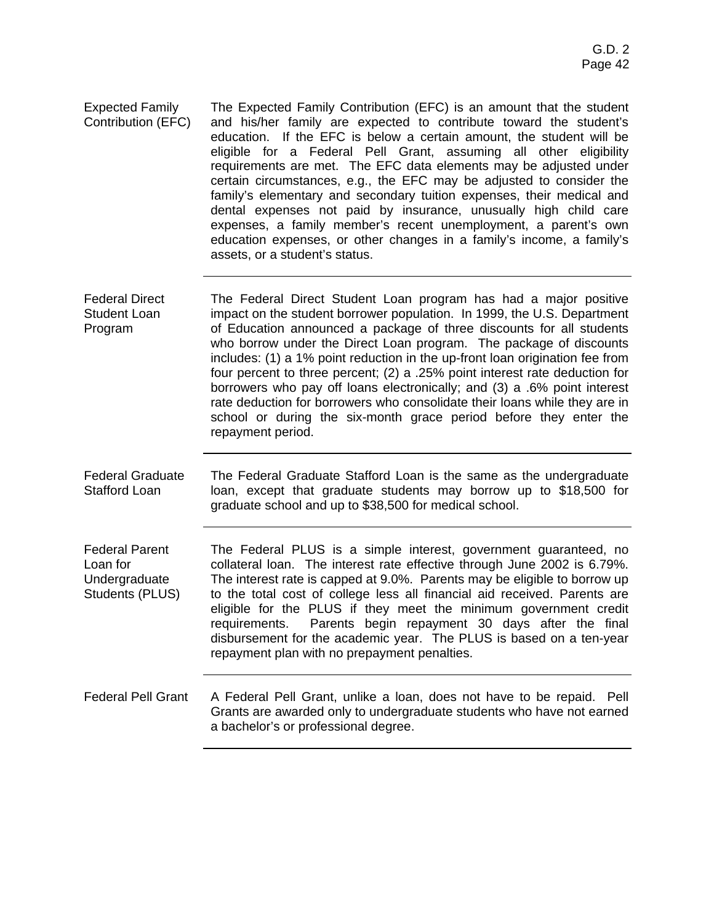- Expected Family Contribution (EFC) The Expected Family Contribution (EFC) is an amount that the student and his/her family are expected to contribute toward the student's education. If the EFC is below a certain amount, the student will be eligible for a Federal Pell Grant, assuming all other eligibility requirements are met. The EFC data elements may be adjusted under certain circumstances, e.g., the EFC may be adjusted to consider the family's elementary and secondary tuition expenses, their medical and dental expenses not paid by insurance, unusually high child care expenses, a family member's recent unemployment, a parent's own education expenses, or other changes in a family's income, a family's assets, or a student's status.
- Federal Direct Student Loan Program The Federal Direct Student Loan program has had a major positive impact on the student borrower population. In 1999, the U.S. Department of Education announced a package of three discounts for all students who borrow under the Direct Loan program. The package of discounts includes: (1) a 1% point reduction in the up-front loan origination fee from four percent to three percent; (2) a .25% point interest rate deduction for borrowers who pay off loans electronically; and (3) a .6% point interest rate deduction for borrowers who consolidate their loans while they are in school or during the six-month grace period before they enter the repayment period.
- Federal Graduate Stafford Loan The Federal Graduate Stafford Loan is the same as the undergraduate loan, except that graduate students may borrow up to \$18,500 for graduate school and up to \$38,500 for medical school.
- Federal Parent Loan for **Undergraduate** Students (PLUS) The Federal PLUS is a simple interest, government guaranteed, no collateral loan. The interest rate effective through June 2002 is 6.79%. The interest rate is capped at 9.0%. Parents may be eligible to borrow up to the total cost of college less all financial aid received. Parents are eligible for the PLUS if they meet the minimum government credit requirements. Parents begin repayment 30 days after the final disbursement for the academic year. The PLUS is based on a ten-year repayment plan with no prepayment penalties.
- Federal Pell Grant A Federal Pell Grant, unlike a loan, does not have to be repaid. Pell Grants are awarded only to undergraduate students who have not earned a bachelor's or professional degree.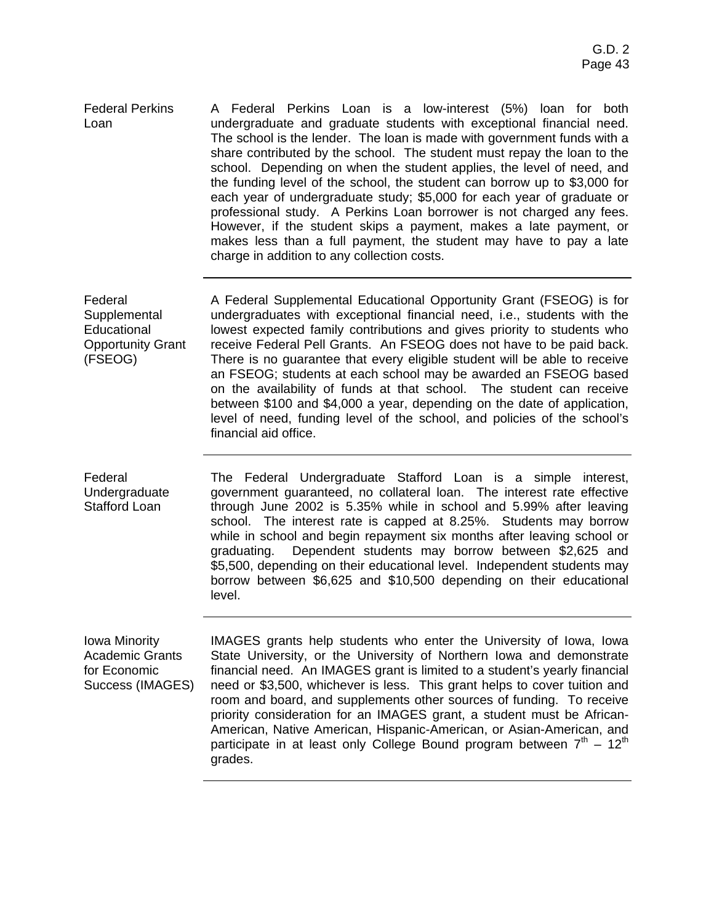Federal Perkins Loan A Federal Perkins Loan is a low-interest (5%) loan for both undergraduate and graduate students with exceptional financial need. The school is the lender. The loan is made with government funds with a share contributed by the school. The student must repay the loan to the school. Depending on when the student applies, the level of need, and the funding level of the school, the student can borrow up to \$3,000 for each year of undergraduate study; \$5,000 for each year of graduate or professional study. A Perkins Loan borrower is not charged any fees. However, if the student skips a payment, makes a late payment, or makes less than a full payment, the student may have to pay a late charge in addition to any collection costs.

Federal **Supplemental Educational** Opportunity Grant (FSEOG) A Federal Supplemental Educational Opportunity Grant (FSEOG) is for undergraduates with exceptional financial need, i.e., students with the lowest expected family contributions and gives priority to students who receive Federal Pell Grants. An FSEOG does not have to be paid back. There is no guarantee that every eligible student will be able to receive an FSEOG; students at each school may be awarded an FSEOG based on the availability of funds at that school. The student can receive between \$100 and \$4,000 a year, depending on the date of application, level of need, funding level of the school, and policies of the school's financial aid office.

> The Federal Undergraduate Stafford Loan is a simple interest, government guaranteed, no collateral loan. The interest rate effective through June 2002 is 5.35% while in school and 5.99% after leaving school. The interest rate is capped at 8.25%. Students may borrow while in school and begin repayment six months after leaving school or graduating. Dependent students may borrow between \$2,625 and \$5,500, depending on their educational level. Independent students may borrow between \$6,625 and \$10,500 depending on their educational level.

Iowa Minority Academic Grants for Economic Success (IMAGES)

Federal

Undergraduate Stafford Loan

> IMAGES grants help students who enter the University of Iowa, Iowa State University, or the University of Northern Iowa and demonstrate financial need. An IMAGES grant is limited to a student's yearly financial need or \$3,500, whichever is less. This grant helps to cover tuition and room and board, and supplements other sources of funding. To receive priority consideration for an IMAGES grant, a student must be African-American, Native American, Hispanic-American, or Asian-American, and participate in at least only College Bound program between  $7<sup>th</sup> - 12<sup>th</sup>$ grades.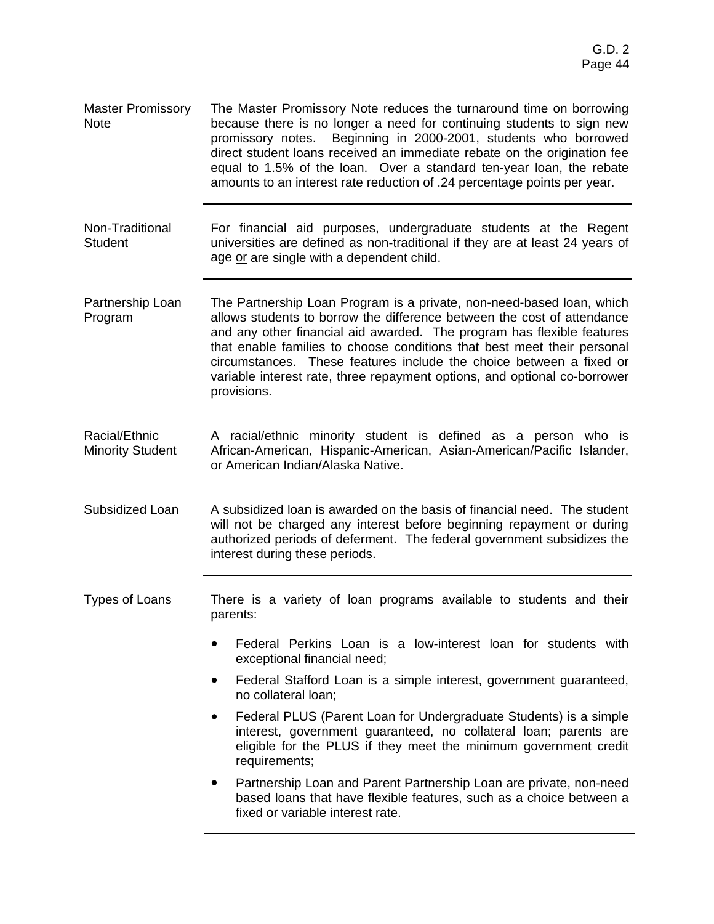- Master Promissory Note The Master Promissory Note reduces the turnaround time on borrowing because there is no longer a need for continuing students to sign new promissory notes. Beginning in 2000-2001, students who borrowed direct student loans received an immediate rebate on the origination fee equal to 1.5% of the loan. Over a standard ten-year loan, the rebate amounts to an interest rate reduction of .24 percentage points per year. Non-Traditional **Student** For financial aid purposes, undergraduate students at the Regent universities are defined as non-traditional if they are at least 24 years of age or are single with a dependent child. Partnership Loan Program The Partnership Loan Program is a private, non-need-based loan, which allows students to borrow the difference between the cost of attendance and any other financial aid awarded. The program has flexible features that enable families to choose conditions that best meet their personal circumstances. These features include the choice between a fixed or variable interest rate, three repayment options, and optional co-borrower provisions. Racial/Ethnic Minority Student A racial/ethnic minority student is defined as a person who is African-American, Hispanic-American, Asian-American/Pacific Islander, or American Indian/Alaska Native. Subsidized Loan A subsidized loan is awarded on the basis of financial need. The student will not be charged any interest before beginning repayment or during authorized periods of deferment. The federal government subsidizes the interest during these periods. Types of Loans There is a variety of loan programs available to students and their parents: ! Federal Perkins Loan is a low-interest loan for students with exceptional financial need; Federal Stafford Loan is a simple interest, government guaranteed, no collateral loan; ! Federal PLUS (Parent Loan for Undergraduate Students) is a simple interest, government guaranteed, no collateral loan; parents are eligible for the PLUS if they meet the minimum government credit requirements;
	- Partnership Loan and Parent Partnership Loan are private, non-need based loans that have flexible features, such as a choice between a fixed or variable interest rate.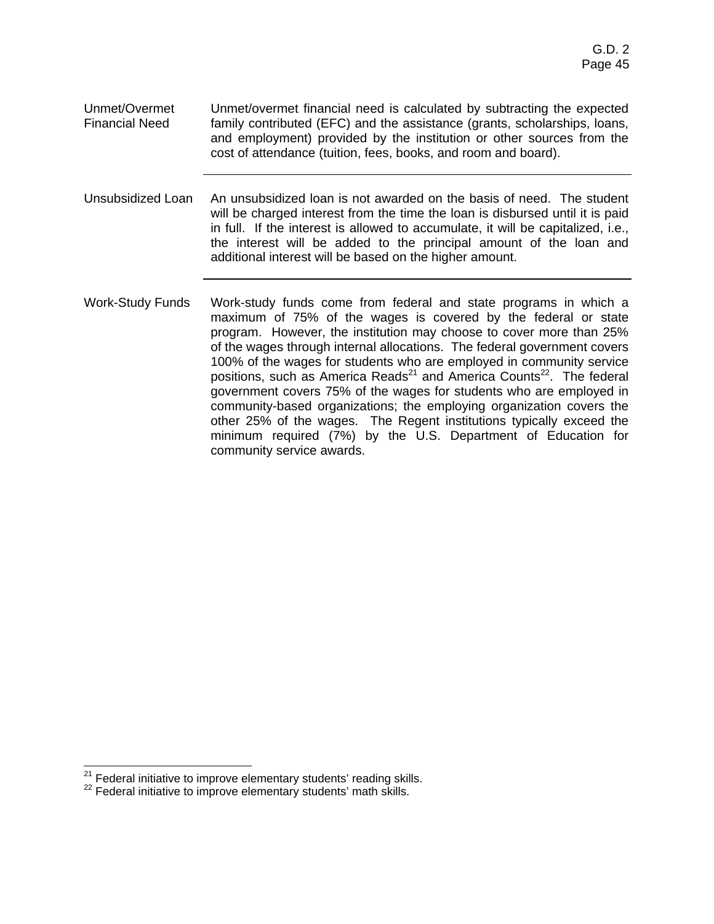- Unmet/Overmet Financial Need Unmet/overmet financial need is calculated by subtracting the expected family contributed (EFC) and the assistance (grants, scholarships, loans, and employment) provided by the institution or other sources from the cost of attendance (tuition, fees, books, and room and board).
- Unsubsidized Loan An unsubsidized loan is not awarded on the basis of need. The student will be charged interest from the time the loan is disbursed until it is paid in full. If the interest is allowed to accumulate, it will be capitalized, i.e., the interest will be added to the principal amount of the loan and additional interest will be based on the higher amount.
- Work-Study Funds Work-study funds come from federal and state programs in which a maximum of 75% of the wages is covered by the federal or state program. However, the institution may choose to cover more than 25% of the wages through internal allocations. The federal government covers 100% of the wages for students who are employed in community service positions, such as America Reads<sup>21</sup> and America Counts<sup>22</sup>. The federal government covers 75% of the wages for students who are employed in community-based organizations; the employing organization covers the other 25% of the wages. The Regent institutions typically exceed the minimum required (7%) by the U.S. Department of Education for community service awards.

  $21$  Federal initiative to improve elementary students' reading skills.<br> $22$  Federal initiative to improve elementary students' math skills.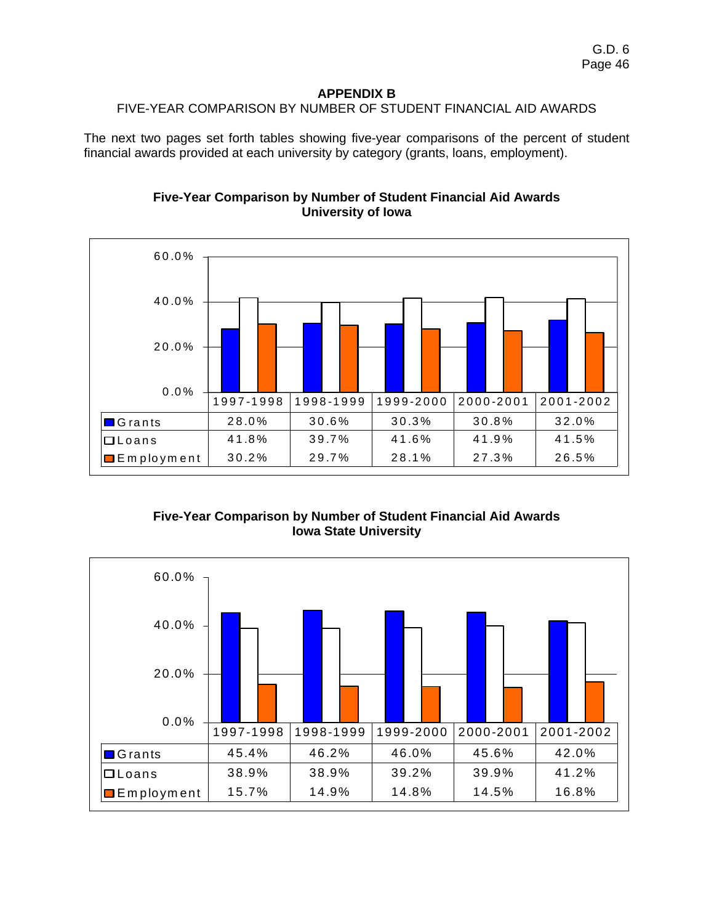#### **APPENDIX B**  FIVE-YEAR COMPARISON BY NUMBER OF STUDENT FINANCIAL AID AWARDS

The next two pages set forth tables showing five-year comparisons of the percent of student financial awards provided at each university by category (grants, loans, employment).



# **Five-Year Comparison by Number of Student Financial Aid Awards University of Iowa**

**Five-Year Comparison by Number of Student Financial Aid Awards Iowa State University** 

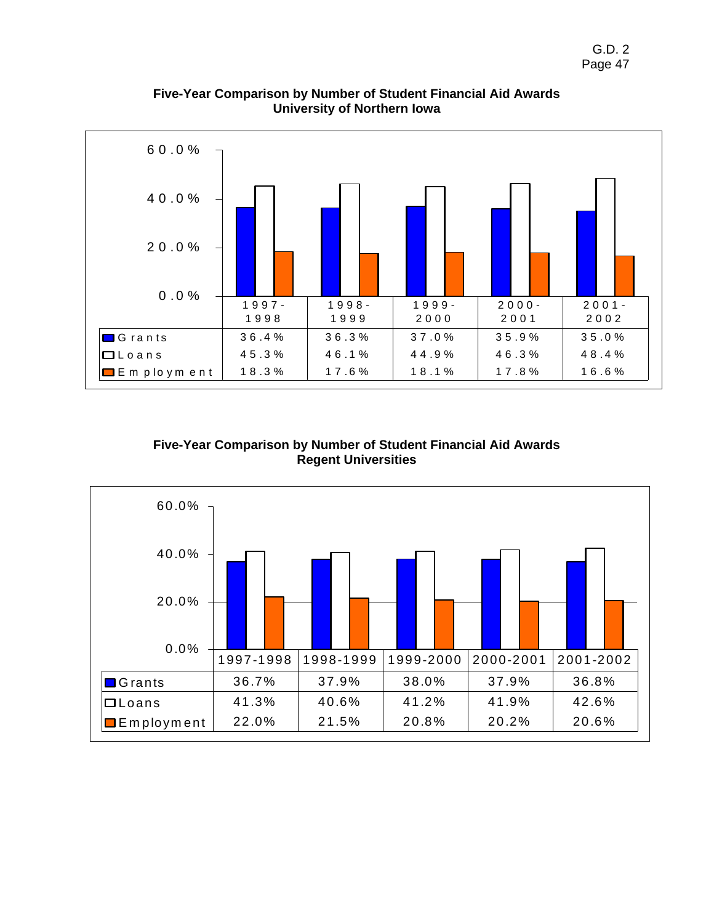

**Five-Year Comparison by Number of Student Financial Aid Awards University of Northern Iowa** 

# **Five-Year Comparison by Number of Student Financial Aid Awards Regent Universities**

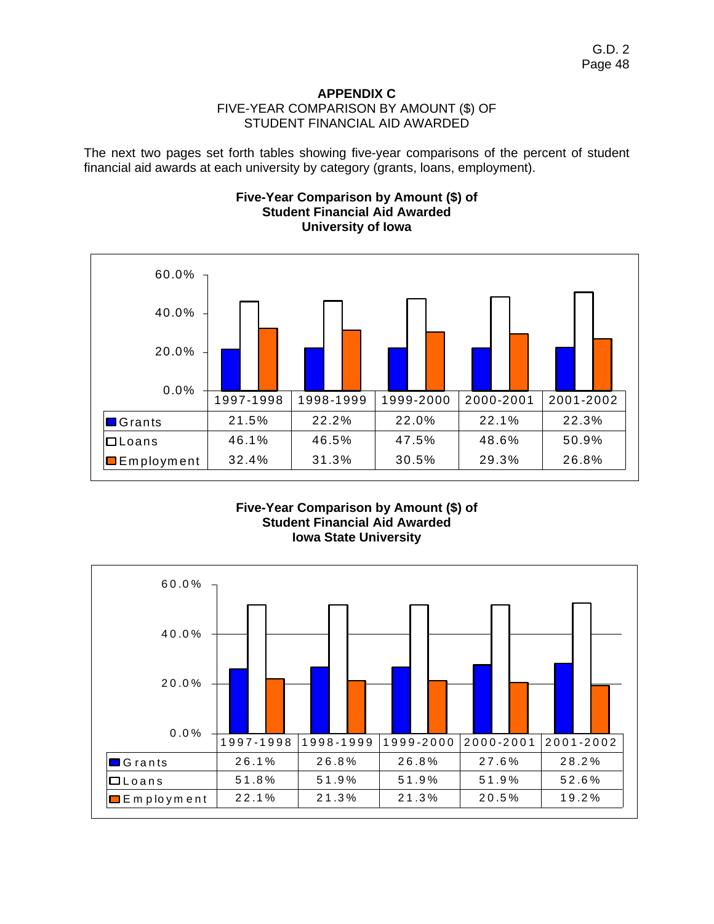## **APPENDIX C**  FIVE-YEAR COMPARISON BY AMOUNT (\$) OF STUDENT FINANCIAL AID AWARDED

The next two pages set forth tables showing five-year comparisons of the percent of student financial aid awards at each university by category (grants, loans, employment).

# **Five-Year Comparison by Amount (\$) of Student Financial Aid Awarded University of Iowa**



## **Five-Year Comparison by Amount (\$) of Student Financial Aid Awarded Iowa State University**

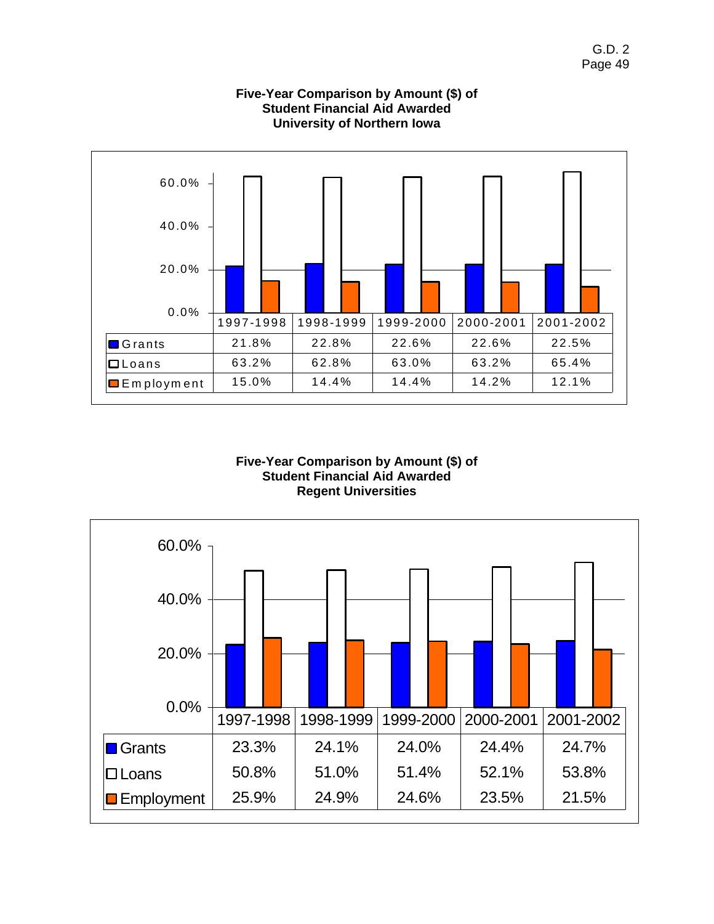

# **Five-Year Comparison by Amount (\$) of Student Financial Aid Awarded University of Northern Iowa**

### **Five-Year Comparison by Amount (\$) of Student Financial Aid Awarded Regent Universities**

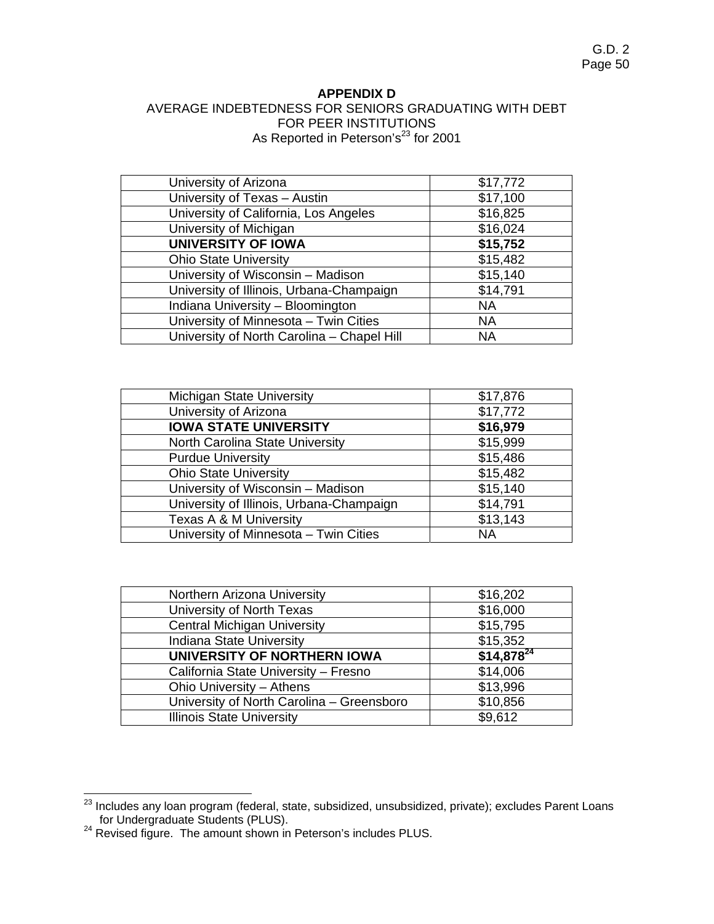#### **APPENDIX D**

# AVERAGE INDEBTEDNESS FOR SENIORS GRADUATING WITH DEBT FOR PEER INSTITUTIONS As Reported in Peterson's<sup>23</sup> for 2001

| University of Arizona                      | \$17,772  |
|--------------------------------------------|-----------|
| University of Texas - Austin               | \$17,100  |
| University of California, Los Angeles      | \$16,825  |
| University of Michigan                     | \$16,024  |
| <b>UNIVERSITY OF IOWA</b>                  | \$15,752  |
| <b>Ohio State University</b>               | \$15,482  |
| University of Wisconsin - Madison          | \$15,140  |
| University of Illinois, Urbana-Champaign   | \$14,791  |
| Indiana University - Bloomington           | <b>NA</b> |
| University of Minnesota - Twin Cities      | <b>NA</b> |
| University of North Carolina - Chapel Hill | ΝA        |

| <b>Michigan State University</b>         | \$17,876  |
|------------------------------------------|-----------|
| University of Arizona                    | \$17,772  |
| <b>IOWA STATE UNIVERSITY</b>             | \$16,979  |
| North Carolina State University          | \$15,999  |
| <b>Purdue University</b>                 | \$15,486  |
| <b>Ohio State University</b>             | \$15,482  |
| University of Wisconsin - Madison        | \$15,140  |
| University of Illinois, Urbana-Champaign | \$14,791  |
| Texas A & M University                   | \$13,143  |
| University of Minnesota - Twin Cities    | <b>NA</b> |

| Northern Arizona University               | \$16,202       |
|-------------------------------------------|----------------|
| University of North Texas                 | \$16,000       |
| <b>Central Michigan University</b>        | \$15,795       |
| Indiana State University                  | \$15,352       |
| UNIVERSITY OF NORTHERN IOWA               | $$14,878^{24}$ |
| California State University - Fresno      | \$14,006       |
| Ohio University - Athens                  | \$13,996       |
| University of North Carolina - Greensboro | \$10,856       |
| <b>Illinois State University</b>          | \$9,612        |

  $^{23}$  Includes any loan program (federal, state, subsidized, unsubsidized, private); excludes Parent Loans

for Undergraduate Students (PLUS).<br><sup>24</sup> Revised figure. The amount shown in Peterson's includes PLUS.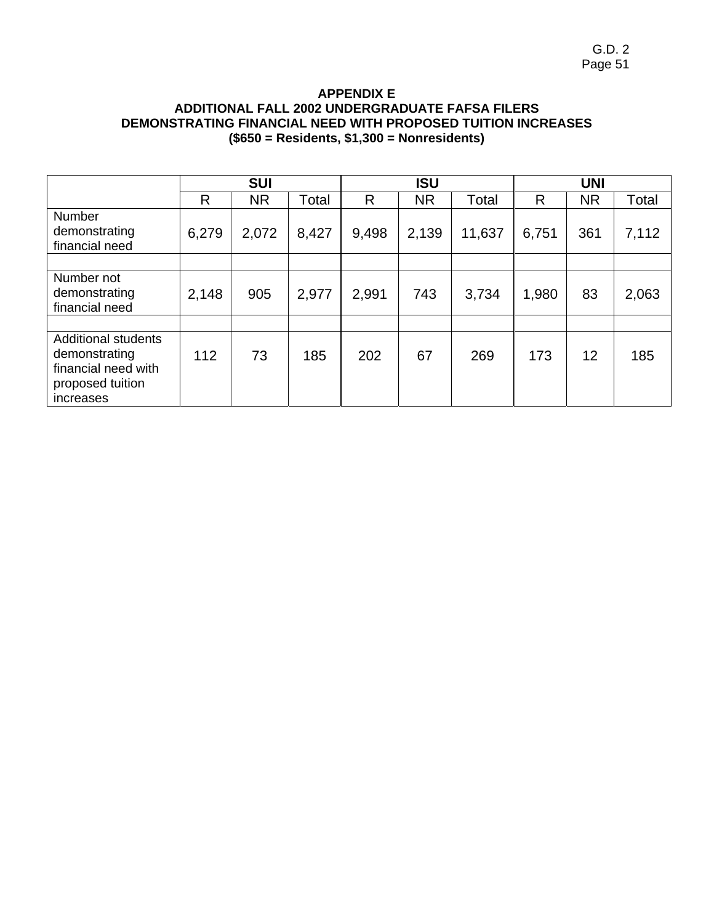### **APPENDIX E ADDITIONAL FALL 2002 UNDERGRADUATE FAFSA FILERS DEMONSTRATING FINANCIAL NEED WITH PROPOSED TUITION INCREASES (\$650 = Residents, \$1,300 = Nonresidents)**

|                                                                                                     |       | <b>SUI</b> |       |       | <b>ISU</b> |        | <b>UNI</b> |           |       |  |  |
|-----------------------------------------------------------------------------------------------------|-------|------------|-------|-------|------------|--------|------------|-----------|-------|--|--|
|                                                                                                     | R     | <b>NR</b>  | Total | R     | <b>NR</b>  | Total  | R          | <b>NR</b> | Total |  |  |
| Number<br>demonstrating<br>financial need                                                           | 6,279 | 2,072      | 8,427 | 9,498 | 2,139      | 11,637 | 6,751      | 361       | 7,112 |  |  |
|                                                                                                     |       |            |       |       |            |        |            |           |       |  |  |
| Number not<br>demonstrating<br>financial need                                                       | 2,148 | 905        | 2,977 | 2,991 | 743        | 3,734  | 1,980      | 83        | 2,063 |  |  |
|                                                                                                     |       |            |       |       |            |        |            |           |       |  |  |
| <b>Additional students</b><br>demonstrating<br>financial need with<br>proposed tuition<br>increases | 112   | 73         | 185   | 202   | 67         | 269    | 173        | 12        | 185   |  |  |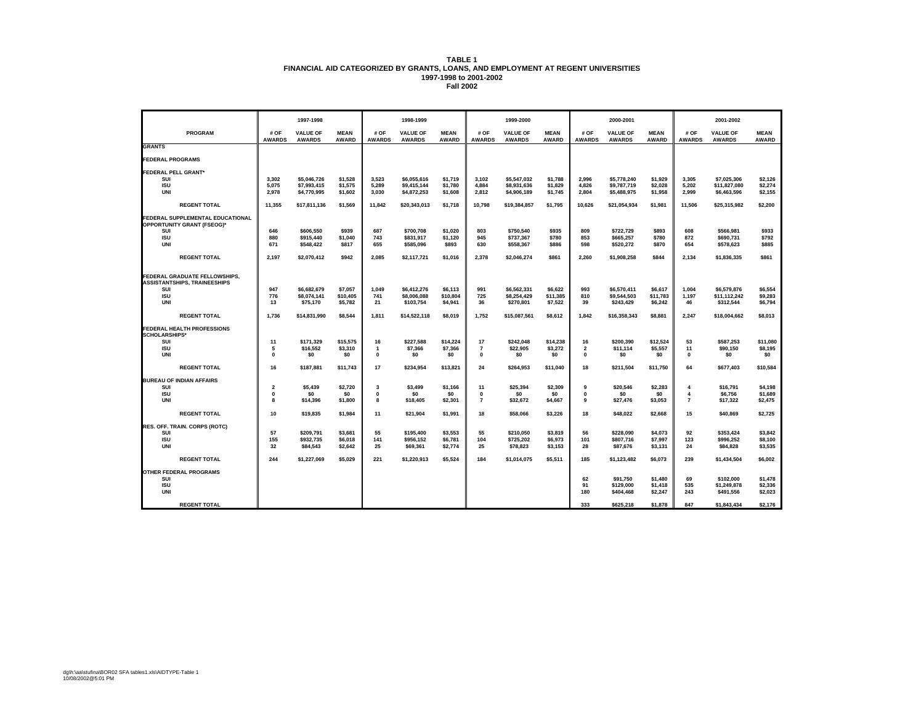|                                                                      |                                        | 1997-1998                        |                             |                       |                                  |                             |                       |                                  |                             |                       |                                  |                             |                       |                                  |                             |
|----------------------------------------------------------------------|----------------------------------------|----------------------------------|-----------------------------|-----------------------|----------------------------------|-----------------------------|-----------------------|----------------------------------|-----------------------------|-----------------------|----------------------------------|-----------------------------|-----------------------|----------------------------------|-----------------------------|
|                                                                      |                                        |                                  |                             |                       | 1998-1999                        |                             |                       | 1999-2000                        |                             |                       | 2000-2001                        |                             |                       | 2001-2002                        |                             |
| <b>PROGRAM</b>                                                       | # OF<br><b>AWARDS</b>                  | <b>VALUE OF</b><br><b>AWARDS</b> | <b>MEAN</b><br><b>AWARD</b> | # OF<br><b>AWARDS</b> | <b>VALUE OF</b><br><b>AWARDS</b> | <b>MEAN</b><br><b>AWARD</b> | # OF<br><b>AWARDS</b> | <b>VALUE OF</b><br><b>AWARDS</b> | <b>MEAN</b><br><b>AWARD</b> | # OF<br><b>AWARDS</b> | <b>VALUE OF</b><br><b>AWARDS</b> | <b>MEAN</b><br><b>AWARD</b> | # OF<br><b>AWARDS</b> | <b>VALUE OF</b><br><b>AWARDS</b> | <b>MEAN</b><br><b>AWARD</b> |
| <b>GRANTS</b>                                                        |                                        |                                  |                             |                       |                                  |                             |                       |                                  |                             |                       |                                  |                             |                       |                                  |                             |
| <b>FEDERAL PROGRAMS</b>                                              |                                        |                                  |                             |                       |                                  |                             |                       |                                  |                             |                       |                                  |                             |                       |                                  |                             |
| <b>FEDERAL PELL GRANT*</b>                                           |                                        |                                  |                             |                       |                                  |                             |                       |                                  |                             |                       |                                  |                             |                       |                                  |                             |
| SUI<br><b>ISU</b>                                                    | 3,302<br>5,075                         | \$5,046,726<br>\$7,993,415       | \$1,528<br>\$1,575          | 3,523<br>5,289        | \$6,055,616<br>\$9,415,144       | \$1,719<br>\$1,780          | 3,102<br>4,884        | \$5,547,032<br>\$8,931,636       | \$1,788<br>\$1,829          | 2,996<br>4,826        | \$5,778,240<br>\$9,787,719       | \$1,929<br>\$2.028          | 3,305<br>5,202        | \$7,025,306<br>\$11,827,080      | \$2,126<br>\$2,274          |
| <b>UNI</b>                                                           | 2,978                                  | \$4,770,995                      | \$1,602                     | 3,030                 | \$4,872,253                      | \$1,608                     | 2,812                 | \$4,906,189                      | \$1,745                     | 2,804                 | \$5,488,975                      | \$1,958                     | 2,999                 | \$6,463,596                      | \$2,155                     |
| <b>REGENT TOTAL</b>                                                  | 11,355                                 | \$17,811,136                     | \$1,569                     | 11,842                | \$20,343,013                     | \$1,718                     | 10.798                | \$19,384,857                     | \$1,795                     | 10.626                | \$21,054,934                     | \$1,981                     | 11,506                | \$25.315.982                     | \$2,200                     |
| FEDERAL SUPPLEMENTAL EDUCATIONAL                                     |                                        |                                  |                             |                       |                                  |                             |                       |                                  |                             |                       |                                  |                             |                       |                                  |                             |
| OPPORTUNITY GRANT (FSEOG)*                                           |                                        |                                  |                             |                       |                                  |                             |                       |                                  |                             |                       |                                  |                             |                       |                                  |                             |
| SUI<br><b>ISU</b>                                                    | 646<br>880                             | \$606,550<br>\$915,440           | \$939<br>\$1,040            | 687<br>743            | \$700,708<br>\$831,917           | \$1,020<br>\$1,120          | 803<br>945            | \$750,540<br>\$737,367           | \$935<br>\$780              | 809<br>853            | \$722,729<br>\$665,257           | \$893<br>\$780              | 608<br>872            | \$566,981<br>\$690,731           | \$933<br>\$792              |
| <b>UNI</b>                                                           | 671                                    | \$548.422                        | <b>\$817</b>                | 655                   | \$585.096                        | \$893                       | 630                   | \$558.367                        | \$886                       | 598                   | \$520,272                        | \$870                       | 654                   | \$578.623                        | \$885                       |
| <b>REGENT TOTAL</b>                                                  | 2,197                                  | \$2,070,412                      | \$942                       | 2.085                 | \$2,117,721                      | \$1,016                     | 2,378                 | \$2,046,274                      | \$861                       | 2,260                 | \$1,908,258                      | \$844                       | 2,134                 | \$1,836,335                      | \$861                       |
| FEDERAL GRADUATE FELLOWSHIPS,<br><b>ASSISTANTSHIPS, TRAINEESHIPS</b> |                                        |                                  |                             |                       |                                  |                             |                       |                                  |                             |                       |                                  |                             |                       |                                  |                             |
| SUI<br><b>ISU</b>                                                    | 947<br>776                             | \$6,682,679<br>\$8,074,141       | \$7,057<br>\$10,405         | 1,049<br>741          | \$6,412,276                      | \$6,113<br>\$10,804         | 991<br>725            | \$6,562,331                      | \$6,622                     | 993<br>810            | \$6,570,411                      | \$6,617<br>\$11,783         | 1,004                 | \$6,579,876                      | \$6,554                     |
| <b>UNI</b>                                                           | 13                                     | \$75,170                         | \$5,782                     | 21                    | \$8,006,088<br>\$103,754         | \$4,941                     | 36                    | \$8,254,429<br>\$270,801         | \$11,385<br>\$7,522         | 39                    | \$9,544,503<br>\$243,429         | \$6,242                     | 1,197<br>46           | \$11,112,242<br>\$312,544        | \$9,283<br>\$6,794          |
| <b>REGENT TOTAL</b>                                                  | 1,736                                  | \$14,831,990                     | \$8,544                     | 1,811                 | \$14,522,118                     | \$8,019                     | 1,752                 | \$15,087,561                     | \$8,612                     | 1,842                 | \$16,358,343                     | \$8,881                     | 2,247                 | \$18,004,662                     | \$8,013                     |
| <b>FEDERAL HEALTH PROFESSIONS</b>                                    |                                        |                                  |                             |                       |                                  |                             |                       |                                  |                             |                       |                                  |                             |                       |                                  |                             |
| <b>SCHOLARSHIPS*</b><br>SUI                                          | 11                                     | \$171,329                        | \$15,575                    | 16                    | \$227,588                        | \$14,224                    | 17                    | \$242,048                        | \$14,238                    | 16                    | \$200,390                        | \$12,524                    | 53                    | \$587,253                        | \$11,080                    |
| <b>ISU</b>                                                           | 5                                      | \$16,552                         | \$3,310                     | $\mathbf{1}$          | \$7,366                          | \$7,366                     | $\overline{7}$        | \$22,905                         | \$3,272                     | $\overline{2}$        | \$11,114                         | \$5,557                     | 11                    | \$90,150                         | \$8,195                     |
| UNI                                                                  | $\Omega$                               | \$0                              | \$0                         | $\mathbf 0$           | \$0                              | \$0                         | $\Omega$              | \$0                              | \$0                         | $\mathbf{0}$          | \$0                              | \$0                         | $\mathbf{0}$          | \$0                              | \$0                         |
| <b>REGENT TOTAL</b>                                                  | 16                                     | \$187.881                        | \$11.743                    | 17                    | \$234,954                        | \$13.821                    | 24                    | \$264,953                        | \$11.040                    | 18                    | \$211,504                        | \$11.750                    | 64                    | \$677.403                        | \$10,584                    |
| <b>BUREAU OF INDIAN AFFAIRS</b>                                      |                                        |                                  |                             |                       |                                  |                             |                       |                                  |                             |                       |                                  |                             |                       |                                  |                             |
| SUI<br><b>ISU</b>                                                    | $\overline{\mathbf{2}}$<br>$\mathbf 0$ | \$5,439<br>\$0                   | \$2,720<br>\$0              | 3<br>0                | \$3,499<br>\$0                   | \$1,166<br>\$0              | 11<br>$\pmb{0}$       | \$25,394<br>\$0                  | \$2,309<br>\$0              | 9<br>$\mathbf{0}$     | \$20,546<br>\$0                  | \$2,283<br>\$0              | $\overline{4}$<br>4   | \$16,791<br>\$6,756              | \$4,198<br>\$1,689          |
| <b>UNI</b>                                                           | 8                                      | \$14,396                         | \$1,800                     | 8                     | \$18,405                         | \$2,301                     | $\overline{7}$        | \$32,672                         | \$4,667                     | 9                     | \$27,476                         | \$3,053                     | $\overline{7}$        | \$17,322                         | \$2,475                     |
| <b>REGENT TOTAL</b>                                                  | 10                                     | \$19,835                         | \$1,984                     | 11                    | \$21,904                         | \$1,991                     | 18                    | \$58,066                         | \$3,226                     | 18                    | \$48,022                         | \$2,668                     | 15                    | \$40.869                         | \$2,725                     |
| RES. OFF. TRAIN. CORPS (ROTC)                                        |                                        |                                  |                             |                       |                                  |                             |                       |                                  |                             |                       |                                  |                             |                       |                                  |                             |
| SUI<br><b>ISU</b>                                                    | 57<br>155                              | \$209,791                        | \$3,681                     | 55<br>141             | \$195,400                        | \$3,553                     | 55<br>104             | \$210,050                        | \$3,819                     | 56                    | \$228,090                        | \$4,073                     | 92<br>123             | \$353,424<br>\$996,252           | \$3,842<br>\$8,100          |
| <b>UNI</b>                                                           | 32                                     | \$932,735<br>\$84,543            | \$6,018<br>\$2,642          | 25                    | \$956,152<br>\$69,361            | \$6,781<br>\$2,774          | 25                    | \$725,202<br>\$78,823            | \$6,973<br>\$3,153          | 101<br>28             | \$807,716<br>\$87,676            | \$7,997<br>\$3,131          | 24                    | \$84,828                         | \$3,535                     |
| <b>REGENT TOTAL</b>                                                  | 244                                    | \$1,227,069                      | \$5,029                     | 221                   | \$1,220,913                      | \$5,524                     | 184                   | \$1,014,075                      | \$5,511                     | 185                   | \$1,123,482                      | \$6,073                     | 239                   | \$1,434,504                      | \$6,002                     |
| OTHER FEDERAL PROGRAMS                                               |                                        |                                  |                             |                       |                                  |                             |                       |                                  |                             |                       |                                  |                             |                       |                                  |                             |
| SUI                                                                  |                                        |                                  |                             |                       |                                  |                             |                       |                                  |                             | 62                    | \$91,750                         | \$1,480                     | 69                    | \$102,000                        | \$1,478                     |
| <b>ISU</b>                                                           |                                        |                                  |                             |                       |                                  |                             |                       |                                  |                             | 91                    | \$129,000                        | \$1,418                     | 535                   | \$1.249.878                      | \$2,336                     |
| <b>UNI</b>                                                           |                                        |                                  |                             |                       |                                  |                             |                       |                                  |                             | 180                   | \$404,468                        | \$2,247                     | 243                   | \$491,556                        | \$2,023                     |
| <b>REGENT TOTAL</b>                                                  |                                        |                                  |                             |                       |                                  |                             |                       |                                  |                             | 333                   | \$625.218                        | \$1,878                     | 847                   | \$1.843.434                      | \$2,176                     |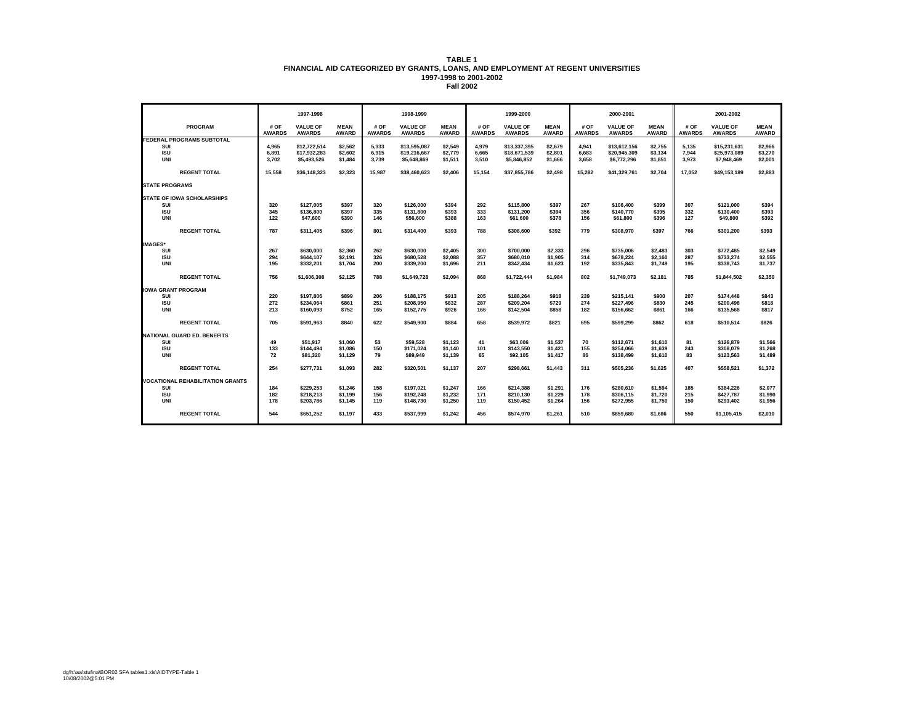|                                         |                       | 1997-1998                        |                             |                       | 1998-1999                        |                             |                       | 1999-2000                        |                             |                       | 2000-2001                        |                             |                       | 2001-2002                        |                             |
|-----------------------------------------|-----------------------|----------------------------------|-----------------------------|-----------------------|----------------------------------|-----------------------------|-----------------------|----------------------------------|-----------------------------|-----------------------|----------------------------------|-----------------------------|-----------------------|----------------------------------|-----------------------------|
| <b>PROGRAM</b>                          | # OF<br><b>AWARDS</b> | <b>VALUE OF</b><br><b>AWARDS</b> | <b>MEAN</b><br><b>AWARD</b> | # OF<br><b>AWARDS</b> | <b>VALUE OF</b><br><b>AWARDS</b> | <b>MEAN</b><br><b>AWARD</b> | # OF<br><b>AWARDS</b> | <b>VALUE OF</b><br><b>AWARDS</b> | <b>MEAN</b><br><b>AWARD</b> | # OF<br><b>AWARDS</b> | <b>VALUE OF</b><br><b>AWARDS</b> | <b>MEAN</b><br><b>AWARD</b> | # OF<br><b>AWARDS</b> | <b>VALUE OF</b><br><b>AWARDS</b> | <b>MEAN</b><br><b>AWARD</b> |
| <b>FEDERAL PROGRAMS SUBTOTAL</b>        |                       |                                  |                             |                       |                                  |                             |                       |                                  |                             |                       |                                  |                             |                       |                                  |                             |
| SUI<br><b>ISU</b>                       | 4,965<br>6,891        | \$12,722,514<br>\$17,932,283     | \$2,562<br>\$2,602          | 5,333<br>6.915        | \$13,595,087<br>\$19,216,667     | \$2,549<br>\$2,779          | 4,979<br>6.665        | \$13,337,395<br>\$18,671,539     | \$2,679<br>\$2,801          | 4,941<br>6.683        | \$13,612,156<br>\$20.945.309     | \$2,755<br>\$3,134          | 5,135<br>7.944        | \$15,231,631<br>\$25,973,089     | \$2,966<br>\$3,270          |
| <b>UNI</b>                              | 3,702                 | \$5,493,526                      | \$1,484                     | 3,739                 | \$5,648,869                      | \$1,511                     | 3,510                 | \$5,846,852                      | \$1,666                     | 3,658                 | \$6,772,296                      | \$1,851                     | 3.973                 | \$7,948,469                      | \$2,001                     |
|                                         |                       |                                  |                             |                       |                                  |                             |                       |                                  |                             |                       |                                  |                             |                       |                                  |                             |
| <b>REGENT TOTAL</b>                     | 15,558                | \$36,148,323                     | \$2,323                     | 15,987                | \$38,460,623                     | \$2,406                     | 15,154                | \$37,855,786                     | \$2,498                     | 15,282                | \$41,329,761                     | \$2,704                     | 17,052                | \$49,153,189                     | \$2,883                     |
| <b>STATE PROGRAMS</b>                   |                       |                                  |                             |                       |                                  |                             |                       |                                  |                             |                       |                                  |                             |                       |                                  |                             |
| <b>STATE OF IOWA SCHOLARSHIPS</b>       |                       |                                  |                             |                       |                                  |                             |                       |                                  |                             |                       |                                  |                             |                       |                                  |                             |
| SUI                                     | 320                   | \$127,005                        | \$397                       | 320                   | \$126,000                        | \$394                       | 292                   | \$115,800                        | \$397                       | 267                   | \$106,400                        | \$399                       | 307                   | \$121.000                        | \$394                       |
| <b>ISU</b>                              | 345                   | \$136,800                        | \$397                       | 335                   | \$131,800                        | \$393                       | 333                   | \$131.200                        | \$394                       | 356                   | \$140.770                        | \$395                       | 332                   | \$130,400                        | \$393                       |
| <b>UNI</b>                              | 122                   | \$47,600                         | \$390                       | 146                   | \$56,600                         | \$388                       | 163                   | \$61,600                         | \$378                       | 156                   | \$61,800                         | \$396                       | 127                   | \$49,800                         | \$392                       |
| <b>REGENT TOTAL</b>                     | 787                   | \$311,405                        | \$396                       | 801                   | \$314,400                        | \$393                       | 788                   | \$308,600                        | \$392                       | 779                   | \$308,970                        | \$397                       | 766                   | \$301,200                        | \$393                       |
| <b>IMAGES*</b>                          |                       |                                  |                             |                       |                                  |                             |                       |                                  |                             |                       |                                  |                             |                       |                                  |                             |
| SUI                                     | 267                   | \$630,000                        | \$2,360                     | 262                   | \$630,000                        | \$2,405                     | 300                   | \$700,000                        | \$2,333                     | 296                   | \$735,006                        | \$2,483                     | 303                   | \$772.485                        | \$2.549                     |
| <b>ISU</b>                              | 294                   | \$644,107                        | \$2,191                     | 326                   | \$680,528                        | \$2,088                     | 357                   | \$680,010                        | \$1,905                     | 314                   | \$678,224                        | \$2,160                     | 287                   | \$733,274                        | \$2,555                     |
| <b>UNI</b>                              | 195                   | \$332,201                        | \$1,704                     | 200                   | \$339,200                        | \$1,696                     | 211                   | \$342,434                        | \$1,623                     | 192                   | \$335,843                        | \$1,749                     | 195                   | \$338,743                        | \$1,737                     |
|                                         |                       |                                  |                             |                       |                                  |                             |                       |                                  |                             |                       |                                  |                             |                       |                                  |                             |
| <b>REGENT TOTAL</b>                     | 756                   | \$1,606,308                      | \$2,125                     | 788                   | \$1,649,728                      | \$2,094                     | 868                   | \$1,722,444                      | \$1,984                     | 802                   | \$1,749,073                      | \$2,181                     | 785                   | \$1,844,502                      | \$2,350                     |
| <b>IOWA GRANT PROGRAM</b>               |                       |                                  |                             |                       |                                  |                             |                       |                                  |                             |                       |                                  |                             |                       |                                  |                             |
| SUI                                     | 220                   | \$197.806                        | \$899                       | 206                   | \$188.175                        | \$913                       | 205                   | \$188.264                        | \$918                       | 239                   | \$215.141                        | \$900                       | 207                   | \$174.448                        | \$843                       |
| <b>ISU</b>                              | 272                   | \$234,064                        | \$861                       | 251                   | \$208,950                        | \$832                       | 287                   | \$209,204                        | \$729                       | 274                   | \$227,496                        | \$830                       | 245                   | \$200.498                        | \$818                       |
| <b>UNI</b>                              | 213                   | \$160,093                        | \$752                       | 165                   | \$152,775                        | \$926                       | 166                   | \$142,504                        | \$858                       | 182                   | \$156,662                        | \$861                       | 166                   | \$135,568                        | \$817                       |
|                                         |                       |                                  |                             |                       |                                  |                             |                       |                                  |                             |                       |                                  |                             |                       |                                  |                             |
| <b>REGENT TOTAL</b>                     | 705                   | \$591,963                        | \$840                       | 622                   | \$549,900                        | \$884                       | 658                   | \$539,972                        | \$821                       | 695                   | \$599,299                        | \$862                       | 618                   | \$510,514                        | \$826                       |
| <b>NATIONAL GUARD ED. BENEFITS</b>      |                       |                                  |                             |                       |                                  |                             |                       |                                  |                             |                       |                                  |                             |                       |                                  |                             |
| SUI                                     | 49                    | \$51,917                         | \$1,060                     | 53                    | \$59,528                         | \$1,123                     | 41                    | \$63,006                         | \$1,537                     | 70                    | \$112,671                        | \$1,610                     | 81                    | \$126,879                        | \$1,566                     |
| <b>ISU</b>                              | 133                   | \$144,494                        | \$1,086                     | 150                   | \$171,024                        | \$1,140                     | 101                   | \$143,550                        | \$1,421                     | 155                   | \$254,066                        | \$1,639                     | 243                   | \$308,079                        | \$1,268                     |
| <b>UNI</b>                              | 72                    | \$81,320                         | \$1,129                     | 79                    | \$89,949                         | \$1,139                     | 65                    | \$92,105                         | \$1,417                     | 86                    | \$138,499                        | \$1,610                     | 83                    | \$123,563                        | \$1,489                     |
|                                         |                       |                                  |                             |                       |                                  |                             |                       |                                  |                             |                       |                                  |                             |                       |                                  |                             |
| <b>REGENT TOTAL</b>                     | 254                   | \$277,731                        | \$1,093                     | 282                   | \$320,501                        | \$1,137                     | 207                   | \$298,661                        | \$1,443                     | 311                   | \$505,236                        | \$1,625                     | 407                   | \$558.521                        | \$1.372                     |
| <b>VOCATIONAL REHABILITATION GRANTS</b> |                       |                                  |                             |                       |                                  |                             |                       |                                  |                             |                       |                                  |                             |                       |                                  |                             |
| SUI                                     | 184                   | \$229,253                        | \$1,246                     | 158                   | \$197,021                        | \$1,247                     | 166                   | \$214,388                        | \$1,291                     | 176                   | \$280.610                        | \$1,594                     | 185                   | \$384,226                        | \$2,077                     |
| <b>ISU</b>                              | 182                   | \$218,213                        | \$1,199                     | 156                   | \$192,248                        | \$1,232                     | 171                   | \$210,130                        | \$1,229                     | 178                   | \$306,115                        | \$1,720                     | 215                   | \$427,787                        | \$1,990                     |
| <b>UNI</b>                              | 178                   | \$203,786                        | \$1,145                     | 119                   | \$148,730                        | \$1,250                     | 119                   | \$150,452                        | \$1,264                     | 156                   | \$272,955                        | \$1,750                     | 150                   | \$293,402                        | \$1,956                     |
| <b>REGENT TOTAL</b>                     | 544                   | \$651.252                        | \$1.197                     | 433                   | \$537.999                        | \$1.242                     | 456                   | \$574.970                        | \$1,261                     | 510                   | \$859.680                        | \$1.686                     | 550                   | \$1,105,415                      | \$2.010                     |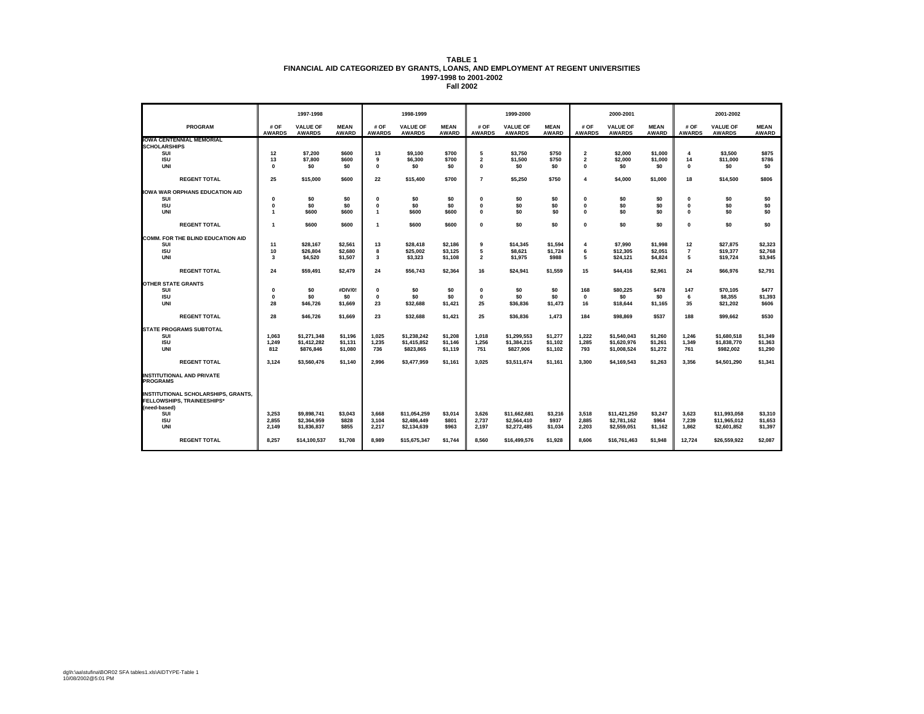|                                                                                                 |                       | 1997-1998                        |                             |                       | 1998-1999                        |                             |                       | 1999-2000                        |                             |                       | 2000-2001                        |                             |                       | 2001-2002                        |                             |
|-------------------------------------------------------------------------------------------------|-----------------------|----------------------------------|-----------------------------|-----------------------|----------------------------------|-----------------------------|-----------------------|----------------------------------|-----------------------------|-----------------------|----------------------------------|-----------------------------|-----------------------|----------------------------------|-----------------------------|
| <b>PROGRAM</b>                                                                                  | # OF<br><b>AWARDS</b> | <b>VALUE OF</b><br><b>AWARDS</b> | <b>MEAN</b><br><b>AWARD</b> | # OF<br><b>AWARDS</b> | <b>VALUE OF</b><br><b>AWARDS</b> | <b>MEAN</b><br><b>AWARD</b> | # OF<br><b>AWARDS</b> | <b>VALUE OF</b><br><b>AWARDS</b> | <b>MEAN</b><br><b>AWARD</b> | # OF<br><b>AWARDS</b> | <b>VALUE OF</b><br><b>AWARDS</b> | <b>MEAN</b><br><b>AWARD</b> | # OF<br><b>AWARDS</b> | <b>VALUE OF</b><br><b>AWARDS</b> | <b>MEAN</b><br><b>AWARD</b> |
| <b>IOWA CENTENNIAL MEMORIAL</b>                                                                 |                       |                                  |                             |                       |                                  |                             |                       |                                  |                             |                       |                                  |                             |                       |                                  |                             |
| <b>SCHOLARSHIPS</b>                                                                             |                       |                                  |                             |                       |                                  |                             |                       |                                  |                             |                       |                                  |                             |                       |                                  |                             |
| SUI                                                                                             | 12                    | \$7,200                          | \$600                       | 13                    | \$9,100                          | \$700                       | 5                     | \$3,750                          | \$750                       | $\mathbf 2$           | \$2,000                          | \$1,000                     | 4                     | \$3,500                          | \$875                       |
| <b>ISU</b>                                                                                      | 13                    | \$7,800                          | \$600                       | 9                     | \$6,300                          | \$700                       | $\overline{2}$        | \$1,500                          | \$750                       | $\overline{2}$        | \$2,000                          | \$1,000                     | 14                    | \$11,000                         | \$786                       |
| <b>UNI</b>                                                                                      | $\mathbf{0}$          | \$0                              | \$0                         | $\Omega$              | \$0                              | \$0                         | $\mathbf{a}$          | \$O                              | \$0                         | $\Omega$              | \$0                              | \$0                         | $\Omega$              | \$0                              | \$0                         |
| <b>REGENT TOTAL</b>                                                                             | 25                    | \$15,000                         | \$600                       | 22                    | \$15,400                         | \$700                       | $\overline{7}$        | \$5,250                          | \$750                       | 4                     | \$4,000                          | \$1,000                     | 18                    | \$14,500                         | \$806                       |
| <b>IOWA WAR ORPHANS EDUCATION AID</b>                                                           |                       |                                  |                             |                       |                                  |                             |                       |                                  |                             |                       |                                  |                             |                       |                                  |                             |
| SUI                                                                                             | $\mathbf 0$           | \$0                              | \$0                         | $\mathbf 0$           | \$0                              | \$0                         | $\mathbf{0}$          | \$0                              | \$0                         | $\mathbf{0}$          | \$0                              | \$0                         | $\mathbf{0}$          | \$0                              | \$0                         |
| <b>ISU</b>                                                                                      | $\mathbf 0$           | \$0                              | \$0                         | $\mathbf 0$           | \$0                              | \$0                         | $\mathbf{0}$          | \$0                              | \$0                         | $\mathbf{0}$          | \$0                              | \$0                         | $\Omega$              | \$0                              | \$0                         |
| <b>UNI</b>                                                                                      | $\overline{1}$        | \$600                            | \$600                       | $\overline{1}$        | \$600                            | \$600                       | $\mathbf{0}$          | \$O                              | \$0                         | $\mathbf{0}$          | \$0                              | \$0                         | $\Omega$              | \$0                              | \$0                         |
|                                                                                                 |                       |                                  |                             |                       |                                  |                             |                       |                                  |                             |                       |                                  |                             |                       |                                  |                             |
| <b>REGENT TOTAL</b>                                                                             | $\overline{1}$        | \$600                            | \$600                       | $\overline{1}$        | \$600                            | \$600                       | $\mathbf{a}$          | \$0                              | \$0                         | $\mathbf{0}$          | \$0                              | \$0                         | $\Omega$              | \$0                              | \$0                         |
| COMM. FOR THE BLIND EDUCATION AID                                                               |                       |                                  |                             |                       |                                  |                             |                       |                                  |                             |                       |                                  |                             |                       |                                  |                             |
| SUI                                                                                             | 11                    | \$28,167                         | \$2,561                     | 13                    | \$28,418                         | \$2,186                     | 9                     | \$14,345                         | \$1,594                     | 4                     | \$7,990                          | \$1,998                     | 12                    | \$27,875                         | \$2,323                     |
| <b>ISU</b>                                                                                      | 10                    | \$26,804                         | \$2,680                     | 8                     | \$25,002                         | \$3,125                     | 5                     | \$8,621                          | \$1,724                     | 6                     | \$12,305                         | \$2,051                     | $\overline{7}$        | \$19,377                         | \$2,768                     |
| <b>UNI</b>                                                                                      | $\mathbf{3}$          | \$4.520                          | \$1,507                     | 3                     | \$3,323                          | \$1,108                     | $\overline{2}$        | \$1,975                          | \$988                       | 5                     | \$24,121                         | \$4,824                     | 5                     | \$19,724                         | \$3,945                     |
| <b>REGENT TOTAL</b>                                                                             | 24                    | \$59,491                         | \$2,479                     | 24                    | \$56,743                         | \$2,364                     | 16                    | \$24,941                         | \$1,559                     | 15                    | \$44,416                         | \$2,961                     | 24                    | \$66,976                         | \$2,791                     |
| <b>OTHER STATE GRANTS</b>                                                                       |                       |                                  |                             |                       |                                  |                             |                       |                                  |                             |                       |                                  |                             |                       |                                  |                             |
| SUI                                                                                             | $\mathbf 0$           | \$0                              | #DIV/0!                     | $\mathbf 0$           | \$0                              | \$0                         | $\mathbf{0}$          | \$0                              | \$0                         | 168                   | \$80,225                         | \$478                       | 147                   | \$70.105                         | \$477                       |
| <b>ISU</b>                                                                                      | $\mathbf 0$           | \$0                              | \$0                         | $\Omega$              | \$0                              | \$0                         | $\mathbf{0}$          | \$O                              | \$0                         | $\mathbf 0$           | \$0                              | \$0                         | 6                     | \$8,355                          | \$1,393                     |
| <b>UNI</b>                                                                                      | 28                    | \$46,726                         | \$1,669                     | 23                    | \$32,688                         | \$1,421                     | 25                    | \$36,836                         | \$1,473                     | 16                    | \$18,644                         | \$1,165                     | 35                    | \$21,202                         | \$606                       |
|                                                                                                 |                       |                                  |                             |                       |                                  |                             |                       |                                  |                             |                       |                                  |                             |                       |                                  |                             |
| <b>REGENT TOTAL</b>                                                                             | 28                    | \$46,726                         | \$1,669                     | 23                    | \$32,688                         | \$1,421                     | 25                    | \$36,836                         | 1,473                       | 184                   | \$98,869                         | \$537                       | 188                   | \$99,662                         | \$530                       |
| <b>STATE PROGRAMS SUBTOTAL</b>                                                                  |                       |                                  |                             |                       |                                  |                             |                       |                                  |                             |                       |                                  |                             |                       |                                  |                             |
| SUI                                                                                             | 1,063                 | \$1,271,348                      | \$1,196                     | 1,025                 | \$1,238,242                      | \$1,208                     | 1,018                 | \$1.299.553                      | \$1,277                     | 1,222                 | \$1.540.043                      | \$1,260                     | 1,246                 | \$1,680,518                      | \$1,349                     |
| <b>ISU</b>                                                                                      | 1.249                 | \$1,412,282                      | \$1,131                     | 1.235                 | \$1,415,852                      | \$1,146                     | 1.256                 | \$1,384.215                      | \$1,102                     | 1.285                 | \$1.620.976                      | \$1,261                     | 1,349                 | \$1.838.770                      | \$1,363                     |
| <b>UNI</b>                                                                                      | 812                   | \$876,846                        | \$1,080                     | 736                   | \$823,865                        | \$1,119                     | 751                   | \$827,906                        | \$1,102                     | 793                   | \$1,008,524                      | \$1,272                     | 761                   | \$982,002                        | \$1,290                     |
| <b>REGENT TOTAL</b>                                                                             | 3.124                 | \$3.560.476                      | \$1,140                     | 2.996                 | \$3.477.959                      | \$1,161                     | 3.025                 | \$3.511.674                      | \$1,161                     | 3.300                 | \$4.169.543                      | \$1,263                     | 3.356                 | \$4,501.290                      | \$1,341                     |
| <b>INSTITUTIONAL AND PRIVATE</b><br><b>PROGRAMS</b>                                             |                       |                                  |                             |                       |                                  |                             |                       |                                  |                             |                       |                                  |                             |                       |                                  |                             |
| <b>INSTITUTIONAL SCHOLARSHIPS, GRANTS,</b><br><b>FELLOWSHIPS, TRAINEESHIPS*</b><br>(need-based) |                       |                                  |                             |                       |                                  |                             |                       |                                  |                             |                       |                                  |                             |                       |                                  |                             |
| SUI                                                                                             | 3,253                 | \$9.898.741                      | \$3.043                     | 3.668                 | \$11.054.259                     | \$3.014                     | 3.626                 | \$11.662.681                     | \$3,216                     | 3,518                 | \$11.421.250                     | \$3,247                     | 3.623                 | \$11.993.058                     | \$3,310                     |
| <b>ISU</b>                                                                                      | 2.855                 | \$2,364,959                      | \$828                       | 3,104                 | \$2,486,449                      | \$801                       | 2,737                 | \$2,564,410                      | \$937                       | 2.885                 | \$2,781,162                      | \$964                       | 7.239                 | \$11,965,012                     | \$1,653                     |
| <b>UNI</b>                                                                                      | 2,149                 | \$1,836,837                      | \$855                       | 2,217                 | \$2,134,639                      | \$963                       | 2,197                 | \$2,272,485                      | \$1,034                     | 2,203                 | \$2,559,051                      | \$1,162                     | 1,862                 | \$2,601,852                      | \$1,397                     |
| <b>REGENT TOTAL</b>                                                                             | 8.257                 | \$14,100,537                     | \$1,708                     | 8.989                 | \$15,675,347                     | \$1,744                     | 8.560                 | \$16,499,576                     | \$1,928                     | 8.606                 | \$16,761,463                     | \$1.948                     | 12.724                | \$26,559,922                     | \$2,087                     |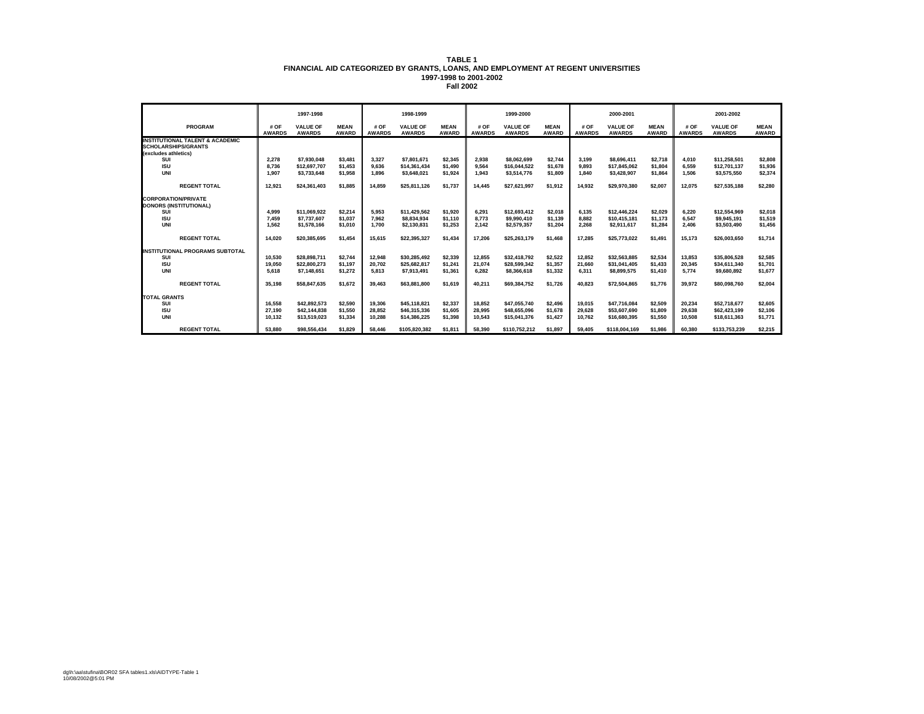|                                                             |                       | 1997-1998                        |                             |                       | 1998-1999                        |                             |                       | 1999-2000                        |                             |                       | 2000-2001                        |                             |                       | 2001-2002                        |                             |
|-------------------------------------------------------------|-----------------------|----------------------------------|-----------------------------|-----------------------|----------------------------------|-----------------------------|-----------------------|----------------------------------|-----------------------------|-----------------------|----------------------------------|-----------------------------|-----------------------|----------------------------------|-----------------------------|
| PROGRAM                                                     | # OF<br><b>AWARDS</b> | <b>VALUE OF</b><br><b>AWARDS</b> | <b>MEAN</b><br><b>AWARD</b> | # OF<br><b>AWARDS</b> | <b>VALUE OF</b><br><b>AWARDS</b> | <b>MEAN</b><br><b>AWARD</b> | # OF<br><b>AWARDS</b> | <b>VALUE OF</b><br><b>AWARDS</b> | <b>MEAN</b><br><b>AWARD</b> | # OF<br><b>AWARDS</b> | <b>VALUE OF</b><br><b>AWARDS</b> | <b>MEAN</b><br><b>AWARD</b> | # OF<br><b>AWARDS</b> | <b>VALUE OF</b><br><b>AWARDS</b> | <b>MEAN</b><br><b>AWARD</b> |
| <b>INSTITUTIONAL TALENT &amp; ACADEMIC</b>                  |                       |                                  |                             |                       |                                  |                             |                       |                                  |                             |                       |                                  |                             |                       |                                  |                             |
| <b>SCHOLARSHIPS/GRANTS</b>                                  |                       |                                  |                             |                       |                                  |                             |                       |                                  |                             |                       |                                  |                             |                       |                                  |                             |
| (excludes athletics)                                        |                       |                                  |                             |                       |                                  |                             |                       |                                  |                             |                       |                                  |                             |                       |                                  |                             |
| SUI                                                         | 2,278                 | \$7,930,048                      | \$3,481                     | 3,327                 | \$7,801.671                      | \$2,345                     | 2,938                 | \$8.062.699                      | \$2,744                     | 3,199                 | \$8,696,411                      | \$2,718                     | 4.010                 | \$11.258.501                     | \$2,808                     |
| <b>ISU</b>                                                  | 8.736                 | \$12,697.707                     | \$1,453                     | 9.636                 | \$14,361,434                     | \$1,490                     | 9.564                 | \$16.044.522                     | \$1,678                     | 9.893                 | \$17.845.062                     | \$1,804                     | 6.559                 | \$12,701,137                     | \$1,936                     |
| UNI                                                         | 1.907                 | \$3,733,648                      | \$1,958                     | 1.896                 | \$3,648,021                      | \$1,924                     | 1.943                 | \$3,514,776                      | \$1,809                     | 1.840                 | \$3,428,907                      | \$1,864                     | 1.506                 | \$3,575,550                      | \$2,374                     |
| <b>REGENT TOTAL</b>                                         | 12.921                | \$24.361.403                     | \$1,885                     | 14.859                | \$25.811.126                     | \$1,737                     | 14.445                | \$27.621.997                     | \$1,912                     | 14.932                | \$29,970,380                     | \$2.007                     | 12.075                | \$27,535,188                     | \$2.280                     |
|                                                             |                       |                                  |                             |                       |                                  |                             |                       |                                  |                             |                       |                                  |                             |                       |                                  |                             |
| <b>CORPORATION/PRIVATE</b><br><b>DONORS (INSTITUTIONAL)</b> |                       |                                  |                             |                       |                                  |                             |                       |                                  |                             |                       |                                  |                             |                       |                                  |                             |
| SUI                                                         | 4.999                 | \$11.069.922                     | \$2,214                     | 5.953                 | \$11.429.562                     | \$1,920                     | 6.291                 | \$12.693.412                     | \$2,018                     | 6.135                 | \$12,446.224                     | \$2,029                     | 6.220                 | \$12,554.969                     | \$2,018                     |
| <b>ISU</b>                                                  | 7.459                 | \$7.737.607                      | \$1.037                     | 7.962                 | \$8,834,934                      | \$1.110                     | 8.773                 | \$9,990.410                      | \$1.139                     | 8.882                 | \$10,415.181                     | \$1.173                     | 6.547                 | \$9.945.191                      | \$1,519                     |
| UNI                                                         | 1.562                 | \$1,578,166                      | \$1,010                     | 1.700                 | \$2.130.831                      | \$1.253                     | 2.142                 | \$2,579,357                      | \$1,204                     | 2.268                 | \$2.911.617                      | \$1.284                     | 2.406                 | \$3,503,490                      | \$1,456                     |
|                                                             |                       |                                  |                             |                       |                                  |                             |                       |                                  |                             |                       |                                  |                             |                       |                                  |                             |
| <b>REGENT TOTAL</b>                                         | 14.020                | \$20,385,695                     | \$1.454                     | 15.615                | \$22.395.327                     | \$1,434                     | 17.206                | \$25.263.179                     | \$1,468                     | 17.285                | \$25,773,022                     | \$1.491                     | 15.173                | \$26,003,650                     | \$1,714                     |
| <b>INSTITUTIONAL PROGRAMS SUBTOTAL</b>                      |                       |                                  |                             |                       |                                  |                             |                       |                                  |                             |                       |                                  |                             |                       |                                  |                             |
| SUI                                                         | 10,530                | \$28,898,711                     | \$2,744                     | 12,948                | \$30.285.492                     | \$2,339                     | 12.855                | \$32.418.792                     | \$2,522                     | 12,852                | \$32,563,885                     | \$2,534                     | 13.853                | \$35,806,528                     | \$2,585                     |
| <b>ISU</b>                                                  | 19.050                | \$22.800.273                     | \$1.197                     | 20.702                | \$25,682,817                     | \$1.241                     | 21.074                | \$28.599.342                     | \$1,357                     | 21.660                | \$31.041.405                     | \$1.433                     | 20.345                | \$34,611,340                     | \$1.701                     |
| UNI                                                         | 5.618                 | \$7,148,651                      | \$1,272                     | 5.813                 | \$7,913,491                      | \$1,361                     | 6,282                 | \$8,366,618                      | \$1,332                     | 6,311                 | \$8,899,575                      | \$1,410                     | 5.774                 | \$9,680,892                      | \$1,677                     |
| <b>REGENT TOTAL</b>                                         | 35.198                | \$58.847.635                     | \$1,672                     | 39.463                | \$63,881,800                     | \$1,619                     | 40,211                | \$69.384.752                     | \$1,726                     | 40.823                | \$72,504,865                     | \$1,776                     | 39.972                | \$80,098,760                     | \$2,004                     |
| <b>TOTAL GRANTS</b>                                         |                       |                                  |                             |                       |                                  |                             |                       |                                  |                             |                       |                                  |                             |                       |                                  |                             |
| SUI                                                         | 16,558                | \$42.892.573                     | \$2,590                     | 19.306                | \$45.118.821                     | \$2,337                     | 18.852                | \$47.055.740                     | \$2.496                     | 19.015                | \$47.716.084                     | \$2,509                     | 20.234                | \$52,718,677                     | \$2,605                     |
| <b>ISU</b>                                                  | 27,190                | \$42,144,838                     | \$1,550                     | 28.852                | \$46.315.336                     | \$1,605                     | 28,995                | \$48.655.096                     | \$1,678                     | 29.628                | \$53,607,690                     | \$1,809                     | 29.638                | \$62,423,199                     | \$2,106                     |
| <b>UNI</b>                                                  | 10.132                | \$13.519.023                     | \$1,334                     | 10.288                | \$14.386.225                     | \$1.398                     | 10.543                | \$15.041.376                     | \$1,427                     | 10.762                | \$16,680,395                     | \$1,550                     | 10.508                | \$18,611,363                     | \$1,771                     |
| <b>REGENT TOTAL</b>                                         | 53.880                | \$98,556,434                     | \$1.829                     | 58,446                | \$105,820,382                    | \$1.811                     | 58.390                | \$110.752.212                    | \$1.897                     | 59.405                | \$118,004.169                    | \$1.986                     | 60.380                | \$133.753.239                    | \$2.215                     |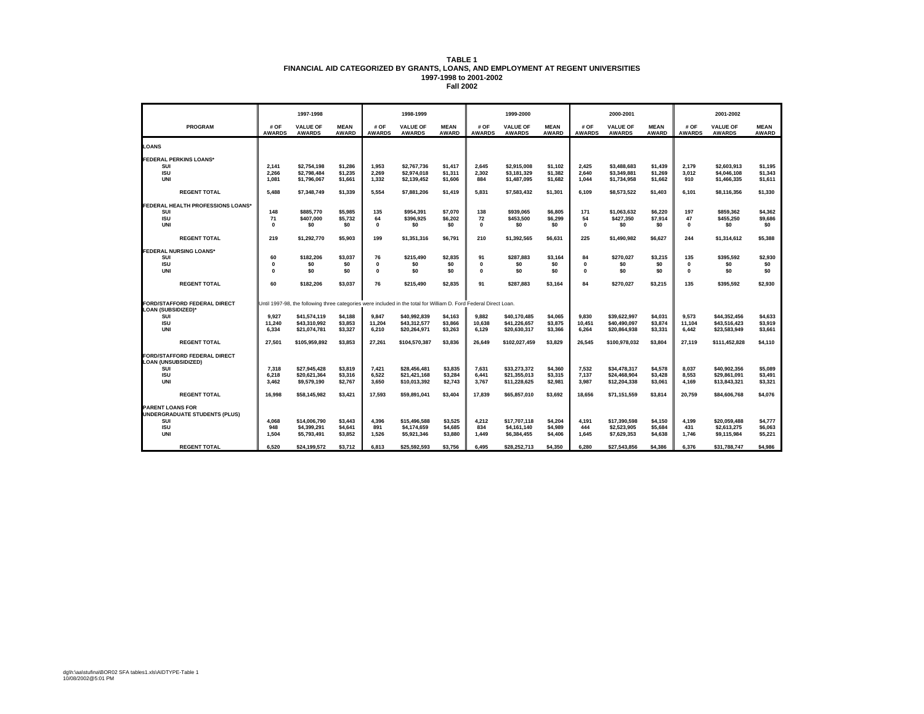|                                                                   |                             | 1997-1998                                                                                                         |                             |                              | 1998-1999                        |                             |                          | 1999-2000                        |                             |                          | 2000-2001                        |                             |                       | 2001-2002                        |                             |
|-------------------------------------------------------------------|-----------------------------|-------------------------------------------------------------------------------------------------------------------|-----------------------------|------------------------------|----------------------------------|-----------------------------|--------------------------|----------------------------------|-----------------------------|--------------------------|----------------------------------|-----------------------------|-----------------------|----------------------------------|-----------------------------|
| <b>PROGRAM</b>                                                    | # OF<br><b>AWARDS</b>       | <b>VALUE OF</b><br><b>AWARDS</b>                                                                                  | <b>MEAN</b><br><b>AWARD</b> | # OF<br><b>AWARDS</b>        | <b>VALUE OF</b><br><b>AWARDS</b> | <b>MEAN</b><br><b>AWARD</b> | # OF<br><b>AWARDS</b>    | <b>VALUE OF</b><br><b>AWARDS</b> | <b>MEAN</b><br><b>AWARD</b> | # OF<br><b>AWARDS</b>    | <b>VALUE OF</b><br><b>AWARDS</b> | <b>MEAN</b><br><b>AWARD</b> | # OF<br><b>AWARDS</b> | <b>VALUE OF</b><br><b>AWARDS</b> | <b>MEAN</b><br><b>AWARD</b> |
| <b>LOANS</b>                                                      |                             |                                                                                                                   |                             |                              |                                  |                             |                          |                                  |                             |                          |                                  |                             |                       |                                  |                             |
| <b>FEDERAL PERKINS LOANS*</b>                                     |                             |                                                                                                                   |                             |                              |                                  |                             |                          |                                  |                             |                          |                                  |                             |                       |                                  |                             |
| SUI<br><b>ISU</b>                                                 | 2,141<br>2.266              | \$2,754,198<br>\$2.798.484                                                                                        | \$1,286<br>\$1,235          | 1,953<br>2,269               | \$2,767,736<br>\$2.974.018       | \$1,417<br>\$1,311          | 2,645<br>2,302           | \$2.915.008<br>\$3.181.329       | \$1,102<br>\$1,382          | 2,425<br>2.640           | \$3,488,683<br>\$3.349.881       | \$1,439<br>\$1,269          | 2,179<br>3,012        | \$2,603,913<br>\$4.046.108       | \$1,195<br>\$1,343          |
| <b>UNI</b>                                                        | 1,081                       | \$1,796,067                                                                                                       | \$1,661                     | 1,332                        | \$2,139,452                      | \$1,606                     | 884                      | \$1,487,095                      | \$1,682                     | 1,044                    | \$1,734,958                      | \$1,662                     | 910                   | \$1,466,335                      | \$1,611                     |
| <b>REGENT TOTAL</b>                                               | 5.488                       | \$7.348.749                                                                                                       | \$1.339                     | 5.554                        | \$7.881.206                      | \$1.419                     | 5.831                    | \$7,583,432                      | \$1.301                     | 6.109                    | \$8,573,522                      | \$1,403                     | 6.101                 | \$8.116.356                      | \$1,330                     |
| FEDERAL HEALTH PROFESSIONS LOANS*                                 |                             |                                                                                                                   |                             |                              |                                  |                             |                          |                                  |                             |                          |                                  |                             |                       |                                  |                             |
| SUI                                                               | 148                         | \$885,770                                                                                                         | \$5,985                     | 135                          | \$954,391                        | \$7,070                     | 138                      | \$939,065                        | \$6,805                     | 171                      | \$1,063,632                      | \$6,220                     | 197                   | \$859,362                        | \$4,362                     |
| <b>ISU</b><br><b>UNI</b>                                          | 71<br>$\mathbf 0$           | \$407,000<br>\$0                                                                                                  | \$5,732<br>\$0              | 64<br>$\mathbf{0}$           | \$396,925<br>\$0                 | \$6,202<br>\$0              | 72<br>$\mathbf{0}$       | \$453,500<br>\$0                 | \$6,299<br>\$0              | 54<br>$\Omega$           | \$427,350<br>\$0                 | \$7,914<br>\$0              | 47<br>$\Omega$        | \$455,250<br>\$0                 | \$9,686<br>\$0              |
|                                                                   |                             |                                                                                                                   |                             |                              |                                  |                             |                          |                                  |                             |                          |                                  |                             |                       |                                  |                             |
| <b>REGENT TOTAL</b>                                               | 219                         | \$1,292,770                                                                                                       | \$5,903                     | 199                          | \$1,351,316                      | \$6,791                     | 210                      | \$1,392,565                      | \$6,631                     | 225                      | \$1,490,982                      | \$6,627                     | 244                   | \$1,314,612                      | \$5,388                     |
| <b>FEDERAL NURSING LOANS*</b>                                     |                             |                                                                                                                   |                             |                              |                                  |                             |                          |                                  |                             |                          |                                  |                             |                       |                                  |                             |
| SUI                                                               | 60                          | \$182,206                                                                                                         | \$3,037                     | 76                           | \$215,490                        | \$2,835                     | 91                       | \$287,883                        | \$3,164                     | 84                       | \$270.027                        | \$3,215                     | 135                   | \$395.592                        | \$2,930                     |
| <b>ISU</b><br><b>UNI</b>                                          | $\mathbf 0$<br>$\mathbf{0}$ | \$0<br>\$0                                                                                                        | \$0<br>\$0                  | $\mathbf{0}$<br>$\mathbf{0}$ | \$0<br>\$0                       | \$0<br>\$0                  | $\mathbf{0}$<br>$\Omega$ | \$0<br>\$0                       | \$0<br>\$0                  | $\mathbf{0}$<br>$\Omega$ | \$0<br>\$0                       | \$0<br>\$0                  | $\Omega$<br>$\Omega$  | \$0<br>\$0                       | \$0<br>\$0                  |
|                                                                   |                             |                                                                                                                   |                             |                              |                                  |                             |                          |                                  |                             |                          |                                  |                             |                       |                                  |                             |
| <b>REGENT TOTAL</b>                                               | 60                          | \$182.206                                                                                                         | \$3.037                     | 76                           | \$215.490                        | \$2.835                     | 91                       | \$287.883                        | \$3.164                     | 84                       | \$270.027                        | \$3.215                     | 135                   | \$395.592                        | \$2.930                     |
|                                                                   |                             |                                                                                                                   |                             |                              |                                  |                             |                          |                                  |                             |                          |                                  |                             |                       |                                  |                             |
| <b>FORD/STAFFORD FEDERAL DIRECT</b><br><b>LOAN (SUBSIDIZED)*</b>  |                             | Until 1997-98, the following three categories were included in the total for William D. Ford Federal Direct Loan. |                             |                              |                                  |                             |                          |                                  |                             |                          |                                  |                             |                       |                                  |                             |
| SUI                                                               | 9.927                       | \$41,574,119                                                                                                      | \$4,188                     | 9,847                        | \$40,992,839                     | \$4,163                     | 9.882                    | \$40,170,485                     | \$4,065                     | 9,830                    | \$39,622,997                     | \$4,031                     | 9,573                 | \$44,352,456                     | \$4,633                     |
| <b>ISU</b>                                                        | 11,240                      | \$43,310,992                                                                                                      | \$3,853                     | 11.204                       | \$43,312,577                     | \$3,866                     | 10,638                   | \$41,226,657                     | \$3,875                     | 10,451                   | \$40,490,097                     | \$3,874                     | 11,104                | \$43,516,423                     | \$3,919                     |
| <b>UNI</b>                                                        | 6,334                       | \$21,074,781                                                                                                      | \$3,327                     | 6,210                        | \$20,264,971                     | \$3,263                     | 6,129                    | \$20,630,317                     | \$3,366                     | 6,264                    | \$20,864,938                     | \$3,331                     | 6,442                 | \$23,583,949                     | \$3,661                     |
| <b>REGENT TOTAL</b>                                               | 27.501                      | \$105,959,892                                                                                                     | \$3,853                     | 27.261                       | \$104,570,387                    | \$3,836                     | 26,649                   | \$102,027,459                    | \$3,829                     | 26.545                   | \$100.978.032                    | \$3,804                     | 27.119                | \$111,452,828                    | \$4,110                     |
| <b>FORD/STAFFORD FEDERAL DIRECT</b><br><b>LOAN (UNSUBSIDIZED)</b> |                             |                                                                                                                   |                             |                              |                                  |                             |                          |                                  |                             |                          |                                  |                             |                       |                                  |                             |
| SUI                                                               | 7,318                       | \$27.945.428                                                                                                      | \$3,819                     | 7,421                        | \$28,456,481                     | \$3,835                     | 7,631                    | \$33.273.372                     | \$4,360                     | 7,532                    | \$34.478.317                     | \$4,578                     | 8,037                 | \$40.902.356                     | \$5,089                     |
| <b>ISU</b><br>UNI                                                 | 6.218<br>3,462              | \$20,621,364<br>\$9,579,190                                                                                       | \$3,316<br>\$2,767          | 6.522<br>3,650               | \$21,421,168<br>\$10,013,392     | \$3,284<br>\$2,743          | 6,441<br>3,767           | \$21,355,013<br>\$11,228,625     | \$3,315<br>\$2,981          | 7,137<br>3,987           | \$24,468.904<br>\$12,204,338     | \$3,428<br>\$3,061          | 8.553<br>4,169        | \$29.861.091<br>\$13,843,321     | \$3,491<br>\$3,321          |
|                                                                   |                             |                                                                                                                   |                             |                              |                                  |                             |                          |                                  |                             |                          |                                  |                             |                       |                                  |                             |
| <b>REGENT TOTAL</b>                                               | 16.998                      | \$58,145,982                                                                                                      | \$3,421                     | 17.593                       | \$59,891,041                     | \$3.404                     | 17.839                   | \$65,857,010                     | \$3,692                     | 18.656                   | \$71.151.559                     | \$3,814                     | 20.759                | \$84,606,768                     | \$4,076                     |
| <b>PARENT LOANS FOR</b><br><b>UNDERGRADUATE STUDENTS (PLUS)</b>   |                             |                                                                                                                   |                             |                              |                                  |                             |                          |                                  |                             |                          |                                  |                             |                       |                                  |                             |
| SUI                                                               | 4.068                       | \$14,006,790                                                                                                      | \$3,443                     | 4,396                        | \$15,496,588                     | \$3,525                     | 4,212                    | \$17,707,118                     | \$4,204                     | 4,191                    | \$17.390.598                     | \$4,150                     | 4,199                 | \$20.059.488                     | \$4,777                     |
| <b>ISU</b><br><b>UNI</b>                                          | 948<br>1.504                | \$4,399,291<br>\$5.793.491                                                                                        | \$4,641<br>\$3,852          | 891<br>1.526                 | \$4,174,659<br>\$5.921.346       | \$4,685<br>\$3,880          | 834<br>1.449             | \$4,161,140<br>\$6,384,455       | \$4,989<br>\$4,406          | 444<br>1.645             | \$2,523,905<br>\$7.629.353       | \$5,684<br>\$4,638          | 431<br>1.746          | \$2,613,275<br>\$9,115,984       | \$6,063<br>\$5.221          |
|                                                                   |                             |                                                                                                                   |                             |                              |                                  |                             |                          |                                  |                             |                          |                                  |                             |                       |                                  |                             |
| <b>REGENT TOTAL</b>                                               | 6,520                       | \$24,199,572                                                                                                      | \$3,712                     | 6.813                        | \$25,592,593                     | \$3,756                     | 6.495                    | \$28,252,713                     | \$4,350                     | 6.280                    | \$27,543,856                     | \$4,386                     | 6,376                 | \$31,788,747                     | \$4,986                     |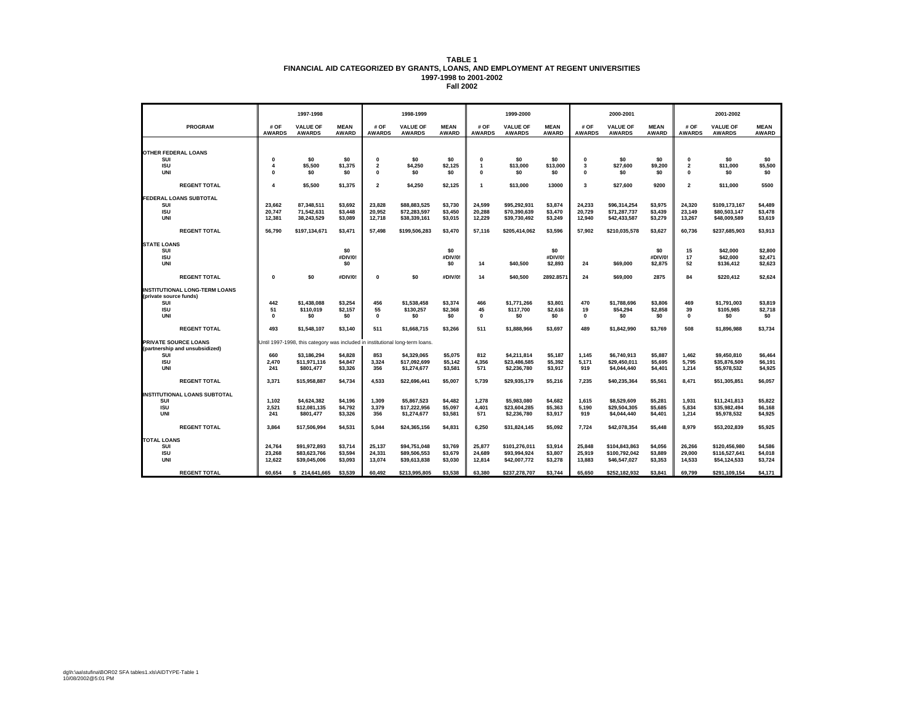|                                       |                                     | 1997-1998                                                                     |                             |                                     | 1998-1999                        |                             |                       | 1999-2000                        |                             |                       | 2000-2001                        |                             |                       | 2001-2002                        |                             |
|---------------------------------------|-------------------------------------|-------------------------------------------------------------------------------|-----------------------------|-------------------------------------|----------------------------------|-----------------------------|-----------------------|----------------------------------|-----------------------------|-----------------------|----------------------------------|-----------------------------|-----------------------|----------------------------------|-----------------------------|
| PROGRAM                               | # OF<br><b>AWARDS</b>               | <b>VALUE OF</b><br><b>AWARDS</b>                                              | <b>MEAN</b><br><b>AWARD</b> | # OF<br><b>AWARDS</b>               | <b>VALUE OF</b><br><b>AWARDS</b> | <b>MEAN</b><br><b>AWARD</b> | # OF<br><b>AWARDS</b> | <b>VALUE OF</b><br><b>AWARDS</b> | <b>MEAN</b><br><b>AWARD</b> | # OF<br><b>AWARDS</b> | <b>VALUE OF</b><br><b>AWARDS</b> | <b>MEAN</b><br><b>AWARD</b> | # OF<br><b>AWARDS</b> | <b>VALUE OF</b><br><b>AWARDS</b> | <b>MEAN</b><br><b>AWARD</b> |
|                                       |                                     |                                                                               |                             |                                     |                                  |                             |                       |                                  |                             |                       |                                  |                             |                       |                                  |                             |
| <b>OTHER FEDERAL LOANS</b>            |                                     |                                                                               |                             |                                     |                                  |                             |                       |                                  |                             |                       |                                  |                             |                       |                                  |                             |
| SUI                                   | $\Omega$                            | \$0                                                                           | \$0                         | $\mathbf 0$                         | \$0                              | \$O                         | 0                     | \$O                              | \$0                         | $\Omega$              | \$0                              | \$0                         | 0                     | \$0                              | \$0                         |
| <b>ISU</b><br><b>UNI</b>              | $\overline{\mathbf{4}}$<br>$\Omega$ | \$5,500                                                                       | \$1,375                     | $\overline{\mathbf{2}}$<br>$\Omega$ | \$4,250                          | \$2,125                     | $\mathbf{1}$          | \$13,000                         | \$13,000                    | 3                     | \$27,600                         | \$9,200                     | $\overline{2}$        | \$11,000                         | \$5,500                     |
|                                       |                                     | \$0                                                                           | \$0                         |                                     | \$0                              | \$0                         | $\Omega$              | \$0                              | \$0                         | $\Omega$              | \$0                              | \$0                         | $\Omega$              | \$0                              | \$0                         |
| <b>REGENT TOTAL</b>                   | $\overline{\mathbf{4}}$             | \$5,500                                                                       | \$1,375                     | $\overline{2}$                      | \$4,250                          | \$2,125                     | $\overline{1}$        | \$13,000                         | 13000                       | 3                     | \$27,600                         | 9200                        | $\overline{2}$        | \$11,000                         | 5500                        |
| FEDERAL LOANS SUBTOTAL                |                                     |                                                                               |                             |                                     |                                  |                             |                       |                                  |                             |                       |                                  |                             |                       |                                  |                             |
| SUI                                   | 23,662                              | 87,348,511                                                                    | \$3,692                     | 23,828                              | \$88,883,525                     | \$3,730                     | 24,599                | \$95,292,931                     | \$3,874                     | 24,233                | \$96,314,254                     | \$3,975                     | 24,320                | \$109,173,167                    | \$4,489                     |
| <b>ISU</b>                            | 20,747                              | 71,542,631                                                                    | \$3,448                     | 20,952                              | \$72,283,597                     | \$3,450                     | 20,288                | \$70,390,639                     | \$3,470                     | 20,729                | \$71,287,737                     | \$3,439                     | 23,149                | \$80,503,147                     | \$3,478                     |
| <b>UNI</b>                            | 12,381                              | 38,243,529                                                                    | \$3,089                     | 12,718                              | \$38,339,161                     | \$3,015                     | 12,229                | \$39,730,492                     | \$3,249                     | 12,940                | \$42,433,587                     | \$3,279                     | 13,267                | \$48,009,589                     | \$3,619                     |
| <b>REGENT TOTAL</b>                   | 56,790                              | \$197,134,671                                                                 | \$3,471                     | 57,498                              | \$199,506,283                    | \$3,470                     | 57,116                | \$205,414,062                    | \$3,596                     | 57,902                | \$210,035,578                    | \$3,627                     | 60,736                | \$237,685,903                    | \$3,913                     |
| <b>STATE LOANS</b>                    |                                     |                                                                               |                             |                                     |                                  |                             |                       |                                  |                             |                       |                                  |                             |                       |                                  |                             |
| SUI                                   |                                     |                                                                               | \$0                         |                                     |                                  | \$0                         |                       |                                  | \$0                         |                       |                                  | \$0                         | 15                    | \$42,000                         | \$2,800                     |
| <b>ISU</b><br><b>UNI</b>              |                                     |                                                                               | #DIV/0!<br>\$0              |                                     |                                  | #DIV/0!                     |                       |                                  | #DIV/0!                     | 24                    |                                  | #DIV/0!                     | 17<br>52              | \$42,000                         | \$2,471<br>\$2,623          |
|                                       |                                     |                                                                               |                             |                                     |                                  | \$0                         | 14                    | \$40,500                         | \$2,893                     |                       | \$69,000                         | \$2,875                     |                       | \$136,412                        |                             |
| <b>REGENT TOTAL</b>                   | $\pmb{0}$                           | \$0                                                                           | #DIV/0!                     | $\Omega$                            | \$0                              | #DIV/0!                     | 14                    | \$40,500                         | 2892.8571                   | 24                    | \$69,000                         | 2875                        | 84                    | \$220,412                        | \$2,624                     |
| <b>INSTITUTIONAL LONG-TERM LOANS</b>  |                                     |                                                                               |                             |                                     |                                  |                             |                       |                                  |                             |                       |                                  |                             |                       |                                  |                             |
| (private source funds)                |                                     |                                                                               |                             |                                     |                                  |                             |                       |                                  |                             |                       |                                  |                             |                       |                                  |                             |
| SUI                                   | 442                                 | \$1,438,088                                                                   | \$3,254                     | 456                                 | \$1,538,458                      | \$3,374                     | 466                   | \$1,771,266                      | \$3,801                     | 470                   | \$1,788,696                      | \$3,806                     | 469                   | \$1,791,003                      | \$3,819                     |
| <b>ISU</b><br><b>UNI</b>              | 51<br>$\Omega$                      | \$110,019<br>\$O                                                              | \$2,157<br>\$0              | 55<br>$\mathbf{0}$                  | \$130,257<br>\$0                 | \$2,368<br>\$0              | 45<br>$\mathbf 0$     | \$117,700<br>\$0                 | \$2,616<br>\$0              | 19<br>$\Omega$        | \$54,294<br>\$0                  | \$2,858<br>\$0              | 39<br>$\Omega$        | \$105,985<br>\$0                 | \$2,718<br>\$0              |
|                                       |                                     |                                                                               |                             |                                     |                                  |                             |                       |                                  |                             |                       |                                  |                             |                       |                                  |                             |
| <b>REGENT TOTAL</b>                   | 493                                 | \$1,548,107                                                                   | \$3,140                     | 511                                 | \$1,668,715                      | \$3,266                     | 511                   | \$1,888,966                      | \$3,697                     | 489                   | \$1,842,990                      | \$3,769                     | 508                   | \$1,896,988                      | \$3,734                     |
| <b>PRIVATE SOURCE LOANS</b>           |                                     | Until 1997-1998, this category was included in institutional long-term loans. |                             |                                     |                                  |                             |                       |                                  |                             |                       |                                  |                             |                       |                                  |                             |
| (partnership and unsubsidized)<br>SUI | 660                                 | \$3,186,294                                                                   | \$4,828                     | 853                                 | \$4,329,065                      | \$5,075                     | 812                   | \$4,211,814                      | \$5,187                     | 1,145                 | \$6,740,913                      | \$5,887                     | 1,462                 | \$9,450,810                      | \$6,464                     |
| <b>ISU</b>                            | 2,470                               | \$11,971,116                                                                  | \$4,847                     | 3,324                               | \$17,092,699                     | \$5,142                     | 4,356                 | \$23,486,585                     | \$5,392                     | 5,171                 | \$29,450,011                     | \$5,695                     | 5,795                 | \$35,876,509                     | \$6,191                     |
| <b>UNI</b>                            | 241                                 | \$801,477                                                                     | \$3,326                     | 356                                 | \$1,274,677                      | \$3,581                     | 571                   | \$2,236,780                      | \$3,917                     | 919                   | \$4,044,440                      | \$4,401                     | 1,214                 | \$5,978,532                      | \$4,925                     |
| <b>REGENT TOTAL</b>                   | 3,371                               | \$15,958,887                                                                  | \$4,734                     | 4,533                               | \$22,696,441                     | \$5,007                     | 5,739                 | \$29,935,179                     | \$5,216                     | 7,235                 | \$40,235,364                     | \$5,561                     | 8,471                 | \$51,305,851                     | \$6,057                     |
| <b>INSTITUTIONAL LOANS SUBTOTAL</b>   |                                     |                                                                               |                             |                                     |                                  |                             |                       |                                  |                             |                       |                                  |                             |                       |                                  |                             |
| SUI                                   | 1,102                               | \$4,624,382                                                                   | \$4,196                     | 1,309                               | \$5,867,523                      | \$4,482                     | 1,278                 | \$5,983,080                      | \$4,682                     | 1,615                 | \$8,529,609                      | \$5,281                     | 1,931                 | \$11,241,813                     | \$5,822                     |
| <b>ISU</b>                            | 2,521                               | \$12,081,135                                                                  | \$4,792                     | 3,379                               | \$17,222,956                     | \$5,097                     | 4,401                 | \$23,604,285                     | \$5,363                     | 5,190                 | \$29,504,305                     | \$5,685                     | 5,834                 | \$35,982,494                     | \$6,168                     |
| UNI                                   | 241                                 | \$801,477                                                                     | \$3,326                     | 356                                 | \$1,274,677                      | \$3,581                     | 571                   | \$2,236,780                      | \$3,917                     | 919                   | \$4,044,440                      | \$4,401                     | 1,214                 | \$5,978,532                      | \$4,925                     |
| <b>REGENT TOTAL</b>                   | 3,864                               | \$17,506,994                                                                  | \$4,531                     | 5,044                               | \$24,365,156                     | \$4,831                     | 6,250                 | \$31,824,145                     | \$5,092                     | 7,724                 | \$42,078,354                     | \$5,448                     | 8,979                 | \$53,202,839                     | \$5,925                     |
| <b>TOTAL LOANS</b>                    |                                     |                                                                               |                             |                                     |                                  |                             |                       |                                  |                             |                       |                                  |                             |                       |                                  |                             |
| SUI                                   | 24,764                              | \$91,972,893                                                                  | \$3,714                     | 25,137                              | \$94,751,048                     | \$3,769                     | 25,877                | \$101,276,011                    | \$3,914                     | 25,848                | \$104,843,863                    | \$4,056                     | 26,266                | \$120,456,980                    | \$4,586                     |
| <b>ISU</b>                            | 23,268                              | \$83,623,766                                                                  | \$3,594                     | 24,331                              | \$89,506,553                     | \$3,679                     | 24,689                | \$93,994,924                     | \$3,807                     | 25,919                | \$100,792,042                    | \$3,889                     | 29,000                | \$116,527,641                    | \$4,018                     |
| <b>UNI</b>                            | 12,622                              | \$39,045,006                                                                  | \$3,093                     | 13,074                              | \$39,613,838                     | \$3,030                     | 12,814                | \$42,007,772                     | \$3,278                     | 13,883                | \$46,547,027                     | \$3,353                     | 14,533                | \$54,124,533                     | \$3,724                     |
| <b>REGENT TOTAL</b>                   | 60.654                              | \$214,641,665                                                                 | \$3,539                     | 60.492                              | \$213,995,805                    | \$3,538                     | 63,380                | \$237,278,707                    | \$3,744                     | 65,650                | \$252,182,932                    | \$3,841                     | 69,799                | \$291,109,154                    | \$4,171                     |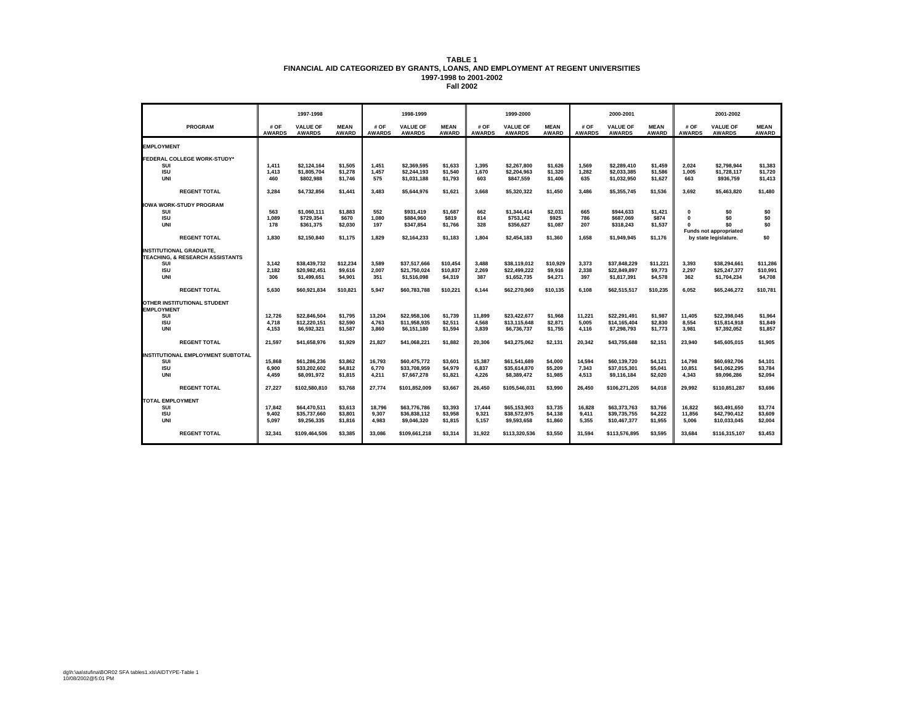|                                                                              |                       | 1997-1998                        |                             |                       | 1998-1999                        |                             |                       | 1999-2000                        |                             |                       | 2000-2001                        |                             |                       | 2001-2002                                              |                             |
|------------------------------------------------------------------------------|-----------------------|----------------------------------|-----------------------------|-----------------------|----------------------------------|-----------------------------|-----------------------|----------------------------------|-----------------------------|-----------------------|----------------------------------|-----------------------------|-----------------------|--------------------------------------------------------|-----------------------------|
| <b>PROGRAM</b>                                                               | # OF<br><b>AWARDS</b> | <b>VALUE OF</b><br><b>AWARDS</b> | <b>MEAN</b><br><b>AWARD</b> | # OF<br><b>AWARDS</b> | <b>VALUE OF</b><br><b>AWARDS</b> | <b>MEAN</b><br><b>AWARD</b> | # OF<br><b>AWARDS</b> | <b>VALUE OF</b><br><b>AWARDS</b> | <b>MEAN</b><br><b>AWARD</b> | # OF<br><b>AWARDS</b> | <b>VALUE OF</b><br><b>AWARDS</b> | <b>MEAN</b><br><b>AWARD</b> | # OF<br><b>AWARDS</b> | <b>VALUE OF</b><br><b>AWARDS</b>                       | <b>MEAN</b><br><b>AWARD</b> |
| <b>EMPLOYMENT</b>                                                            |                       |                                  |                             |                       |                                  |                             |                       |                                  |                             |                       |                                  |                             |                       |                                                        |                             |
| <b>FEDERAL COLLEGE WORK-STUDY*</b>                                           |                       |                                  |                             |                       |                                  |                             |                       |                                  |                             |                       |                                  |                             |                       |                                                        |                             |
| SUI<br><b>ISU</b>                                                            | 1,411<br>1.413        | \$2.124.164<br>\$1,805,704       | \$1.505<br>\$1,278          | 1,451<br>1.457        | \$2.369.595<br>\$2.244.193       | \$1.633<br>\$1,540          | 1.395<br>1.670        | \$2,267.800<br>\$2.204.963       | \$1.626<br>\$1,320          | 1.569<br>1.282        | \$2.289.410<br>\$2.033.385       | \$1.459<br>\$1,586          | 2.024<br>1.005        | \$2.798.944<br>\$1.728.117                             | \$1,383<br>\$1.720          |
| <b>UNI</b>                                                                   | 460                   | \$802.988                        | \$1,746                     | 575                   | \$1,031,188                      | \$1,793                     | 603                   | \$847.559                        | \$1,406                     | 635                   | \$1,032,950                      | \$1,627                     | 663                   | \$936,759                                              | \$1,413                     |
| <b>REGENT TOTAL</b>                                                          | 3,284                 | \$4,732,856                      | \$1.441                     | 3.483                 | \$5.644.976                      | \$1.621                     | 3.668                 | \$5,320,322                      | \$1,450                     | 3.486                 | \$5.355.745                      | \$1,536                     | 3.692                 | \$5.463.820                                            | \$1,480                     |
| <b>IOWA WORK-STUDY PROGRAM</b>                                               |                       |                                  |                             |                       |                                  |                             |                       |                                  |                             |                       |                                  |                             |                       |                                                        |                             |
| SUI<br><b>ISU</b>                                                            | 563<br>1,089          | \$1,060,111<br>\$729,354         | \$1,883<br>\$670            | 552<br>1,080          | \$931,419<br>\$884,960           | \$1,687<br>\$819            | 662<br>814            | \$1,344,414<br>\$753,142         | \$2,031<br>\$925            | 665<br>786            | \$944,633<br>\$687,069           | \$1,421<br>\$874            | $\bf{0}$<br>0         | \$0<br>\$0                                             | \$0<br>\$0                  |
| UNI                                                                          | 178                   | \$361,375                        | \$2,030                     | 197                   | \$347,854                        | \$1,766                     | 328                   | \$356,627                        | \$1,087                     | 207                   | \$318,243                        | \$1,537                     |                       | \$0                                                    | \$0                         |
| <b>REGENT TOTAL</b>                                                          | 1,830                 | \$2,150,840                      | \$1,175                     | 1,829                 | \$2,164,233                      | \$1,183                     | 1.804                 | \$2,454,183                      | \$1,360                     | 1,658                 | \$1,949,945                      | \$1,176                     |                       | <b>Funds not appropriated</b><br>by state legislature. | \$0                         |
| <b>INSTITUTIONAL GRADUATE.</b><br><b>TEACHING, &amp; RESEARCH ASSISTANTS</b> |                       |                                  |                             |                       |                                  |                             |                       |                                  |                             |                       |                                  |                             |                       |                                                        |                             |
| SUI                                                                          | 3,142                 | \$38,439,732                     | \$12,234                    | 3,589                 | \$37,517,666                     | \$10,454                    | 3.488                 | \$38,119,012                     | \$10,929                    | 3,373                 | \$37,848,229                     | \$11,221                    | 3,393                 | \$38.294.661                                           | \$11,286                    |
| <b>ISU</b><br>UNI                                                            | 2,182<br>306          | \$20.982.451<br>\$1,499,651      | \$9.616<br>\$4,901          | 2,007<br>351          | \$21.750.024<br>\$1,516,098      | \$10,837<br>\$4,319         | 2,269<br>387          | \$22.499.222<br>\$1,652,735      | \$9,916<br>\$4,271          | 2,338<br>397          | \$22.849.897<br>\$1,817,391      | \$9,773<br>\$4,578          | 2.297<br>362          | \$25.247.377<br>\$1,704,234                            | \$10,991<br>\$4,708         |
|                                                                              |                       |                                  |                             |                       |                                  |                             |                       |                                  |                             |                       |                                  |                             |                       |                                                        |                             |
| <b>REGENT TOTAL</b>                                                          | 5,630                 | \$60,921,834                     | \$10,821                    | 5,947                 | \$60,783,788                     | \$10,221                    | 6.144                 | \$62,270,969                     | \$10,135                    | 6,108                 | \$62,515,517                     | \$10,235                    | 6.052                 | \$65,246,272                                           | \$10,781                    |
| OTHER INSTITUTIONAL STUDENT<br><b>EMPLOYMENT</b>                             |                       |                                  |                             |                       |                                  |                             |                       |                                  |                             |                       |                                  |                             |                       |                                                        |                             |
| SUI<br><b>ISU</b>                                                            | 12,726                | \$22.846.504                     | \$1,795<br>\$2,590          | 13,204<br>4.763       | \$22.958.106<br>\$11.958.935     | \$1,739                     | 11.899<br>4.568       | \$23,422,677<br>\$13,115,648     | \$1,968<br>\$2,871          | 11,221<br>5.005       | \$22.291.491<br>\$14.165.404     | \$1,987                     | 11.405<br>8.554       | \$22.398.045<br>\$15,814.918                           | \$1,964<br>\$1.849          |
| <b>UNI</b>                                                                   | 4,718<br>4.153        | \$12,220,151<br>\$6,592,321      | \$1,587                     | 3.860                 | \$6,151,180                      | \$2,511<br>\$1,594          | 3.839                 | \$6,736,737                      | \$1,755                     | 4.116                 | \$7,298,793                      | \$2,830<br>\$1,773          | 3.981                 | \$7,392,052                                            | \$1,857                     |
| <b>REGENT TOTAL</b>                                                          | 21.597                | \$41.658.976                     | \$1.929                     | 21.827                | \$41.068.221                     | \$1.882                     | 20.306                | \$43.275.062                     | \$2.131                     | 20.342                | \$43.755.688                     | \$2.151                     | 23.940                | \$45,605,015                                           | \$1.905                     |
| <b>INSTITUTIONAL EMPLOYMENT SUBTOTAL</b>                                     |                       |                                  |                             |                       |                                  |                             |                       |                                  |                             |                       |                                  |                             |                       |                                                        |                             |
| SUI                                                                          | 15.868                | \$61.286.236                     | \$3,862                     | 16,793                | \$60,475,772                     | \$3,601                     | 15,387                | \$61.541.689                     | \$4,000                     | 14,594                | \$60.139.720                     | \$4,121                     | 14,798                | \$60,692.706                                           | \$4,101                     |
| <b>ISU</b><br><b>UNI</b>                                                     | 6.900<br>4.459        | \$33,202,602<br>\$8.091.972      | \$4.812<br>\$1.815          | 6.770<br>4.211        | \$33,708,959<br>\$7.667.278      | \$4.979<br>\$1.821          | 6.837<br>4.226        | \$35.614.870<br>\$8,389,472      | \$5,209<br>\$1,985          | 7.343<br>4.513        | \$37.015.301<br>\$9,116,184      | \$5.041<br>\$2.020          | 10.851<br>4.343       | \$41.062.295<br>\$9.096.286                            | \$3.784<br>\$2,094          |
| <b>REGENT TOTAL</b>                                                          | 27,227                | \$102,580,810                    | \$3,768                     | 27.774                | \$101,852,009                    | \$3,667                     | 26.450                | \$105.546.031                    | \$3,990                     | 26.450                | \$106,271,205                    | \$4,018                     | 29.992                | \$110.851.287                                          | \$3,696                     |
| <b>TOTAL EMPLOYMENT</b>                                                      |                       |                                  |                             |                       |                                  |                             |                       |                                  |                             |                       |                                  |                             |                       |                                                        |                             |
| SUI                                                                          | 17.842                | \$64,470.511                     | \$3,613                     | 18.796                | \$63,776,786                     | \$3,393                     | 17.444                | \$65.153.903                     | \$3,735                     | 16,828                | \$63,373,763                     | \$3,766                     | 16.822                | \$63,491,650                                           | \$3,774                     |
| <b>ISU</b><br><b>UNI</b>                                                     | 9.402<br>5,097        | \$35,737,660<br>\$9,256,335      | \$3,801<br>\$1,816          | 9.307<br>4,983        | \$36,838,112<br>\$9,046,320      | \$3,958<br>\$1,815          | 9.321<br>5,157        | \$38,572,975<br>\$9,593,658      | \$4,138<br>\$1,860          | 9.411<br>5,355        | \$39,735,755<br>\$10,467,377     | \$4,222<br>\$1,955          | 11.856<br>5,006       | \$42,790,412<br>\$10,033,045                           | \$3.609<br>\$2,004          |
|                                                                              |                       |                                  |                             |                       |                                  |                             |                       |                                  |                             |                       |                                  |                             |                       |                                                        |                             |
| <b>REGENT TOTAL</b>                                                          | 32,341                | \$109,464,506                    | \$3,385                     | 33.086                | \$109,661,218                    | \$3,314                     | 31.922                | \$113,320,536                    | \$3,550                     | 31.594                | \$113.576.895                    | \$3,595                     | 33.684                | \$116,315,107                                          | \$3,453                     |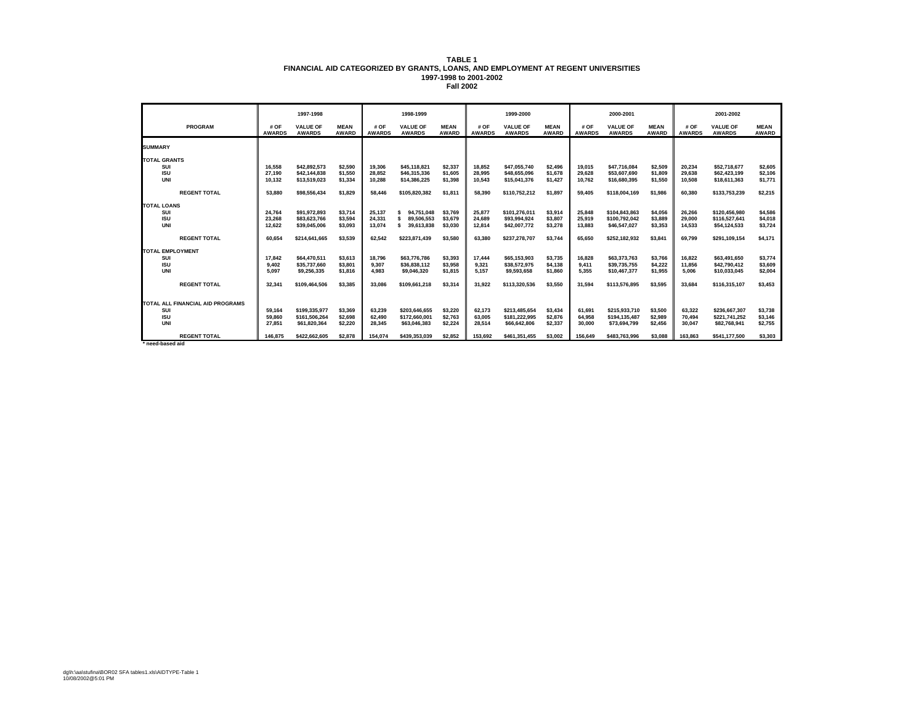|                                  |                       | 1997-1998                        |                      |                       | 1998-1999<br>1999-2000           |                             |                       | 2000-2001                        |                             |                       | 2001-2002                        |                             |                       |                                  |                             |
|----------------------------------|-----------------------|----------------------------------|----------------------|-----------------------|----------------------------------|-----------------------------|-----------------------|----------------------------------|-----------------------------|-----------------------|----------------------------------|-----------------------------|-----------------------|----------------------------------|-----------------------------|
| <b>PROGRAM</b>                   | # OF<br><b>AWARDS</b> | <b>VALUE OF</b><br><b>AWARDS</b> | <b>MEAN</b><br>AWARD | # OF<br><b>AWARDS</b> | <b>VALUE OF</b><br><b>AWARDS</b> | <b>MEAN</b><br><b>AWARD</b> | # OF<br><b>AWARDS</b> | <b>VALUE OF</b><br><b>AWARDS</b> | <b>MEAN</b><br><b>AWARD</b> | # OF<br><b>AWARDS</b> | <b>VALUE OF</b><br><b>AWARDS</b> | <b>MEAN</b><br><b>AWARD</b> | # OF<br><b>AWARDS</b> | <b>VALUE OF</b><br><b>AWARDS</b> | <b>MEAN</b><br><b>AWARD</b> |
| <b>SUMMARY</b>                   |                       |                                  |                      |                       |                                  |                             |                       |                                  |                             |                       |                                  |                             |                       |                                  |                             |
| <b>TOTAL GRANTS</b>              |                       |                                  |                      |                       |                                  |                             |                       |                                  |                             |                       |                                  |                             |                       |                                  |                             |
| SUI                              | 16.558                | \$42.892.573                     | \$2,590              | 19.306                | \$45,118,821                     | \$2,337                     | 18.852                | \$47,055,740                     | \$2.496                     | 19.015                | \$47,716,084                     | \$2,509                     | 20.234                | \$52,718,677                     | \$2,605                     |
| <b>ISU</b>                       | 27.190                | \$42,144,838                     | \$1.550              | 28.852                | \$46,315,336                     | \$1.605                     | 28.995                | \$48,655,096                     | \$1.678                     | 29.628                | \$53,607.690                     | \$1.809                     | 29.638                | \$62,423,199                     | \$2.106                     |
| <b>UNI</b>                       | 10.132                | \$13,519,023                     | \$1,334              | 10.288                | \$14,386,225                     | \$1,398                     | 10.543                | \$15,041,376                     | \$1,427                     | 10.762                | \$16,680,395                     | \$1,550                     | 10,508                | \$18,611,363                     | \$1,771                     |
| <b>REGENT TOTAL</b>              | 53.880                | \$98,556,434                     | \$1.829              | 58.446                | \$105.820.382                    | \$1.811                     | 58.390                | \$110,752,212                    | \$1.897                     | 59.405                | \$118,004,169                    | \$1.986                     | 60.380                | \$133.753.239                    | \$2,215                     |
| <b>TOTAL LOANS</b>               |                       |                                  |                      |                       |                                  |                             |                       |                                  |                             |                       |                                  |                             |                       |                                  |                             |
| SUI                              | 24,764                | \$91,972,893                     | \$3,714              | 25,137                | 94.751.048                       | \$3.769                     | 25,877                | \$101,276,011                    | \$3,914                     | 25,848                | \$104,843,863                    | \$4,056                     | 26,266                | \$120,456,980                    | \$4,586                     |
| <b>ISU</b>                       | 23.268                | \$83,623,766                     | \$3.594              | 24.331                | 89.506.553                       | \$3.679                     | 24.689                | \$93.994.924                     | \$3,807                     | 25.919                | \$100.792.042                    | \$3,889                     | 29.000                | \$116,527,641                    | \$4.018                     |
| UNI                              | 12.622                | \$39,045,006                     | \$3.093              | 13.074                | 39,613,838                       | \$3.030                     | 12.814                | \$42,007,772                     | \$3,278                     | 13.883                | \$46.547.027                     | \$3.353                     | 14.533                | \$54,124,533                     | \$3.724                     |
| <b>REGENT TOTAL</b>              | 60.654                | \$214,641,665                    | \$3.539              | 62.542                | \$223.871.439                    | \$3,580                     | 63.380                | \$237,278,707                    | \$3,744                     | 65.650                | \$252,182,932                    | \$3.841                     | 69.799                | \$291,109,154                    | \$4.171                     |
| <b>TOTAL EMPLOYMENT</b>          |                       |                                  |                      |                       |                                  |                             |                       |                                  |                             |                       |                                  |                             |                       |                                  |                             |
| SUI                              | 17.842                | \$64,470,511                     | \$3.613              | 18,796                | \$63,776,786                     | \$3,393                     | 17.444                | \$65,153,903                     | \$3,735                     | 16.828                | \$63,373,763                     | \$3,766                     | 16.822                | \$63,491,650                     | \$3,774                     |
| <b>ISU</b>                       | 9.402                 | \$35,737,660                     | \$3,801              | 9,307                 | \$36,838,112                     | \$3,958                     | 9,321                 | \$38,572,975                     | \$4,138                     | 9.411                 | \$39,735,755                     | \$4,222                     | 11.856                | \$42,790,412                     | \$3,609                     |
| <b>UNI</b>                       | 5.097                 | \$9,256,335                      | \$1.816              | 4.983                 | \$9,046,320                      | \$1,815                     | 5.157                 | \$9,593,658                      | \$1,860                     | 5.355                 | \$10,467,377                     | \$1,955                     | 5.006                 | \$10,033,045                     | \$2.004                     |
| <b>REGENT TOTAL</b>              | 32.341                | \$109,464,506                    | \$3,385              | 33.086                | \$109,661,218                    | \$3,314                     | 31.922                | \$113,320,536                    | \$3,550                     | 31.594                | \$113,576,895                    | \$3.595                     | 33.684                | \$116,315,107                    | \$3.453                     |
| TOTAL ALL FINANCIAL AID PROGRAMS |                       |                                  |                      |                       |                                  |                             |                       |                                  |                             |                       |                                  |                             |                       |                                  |                             |
| SUI                              | 59.164                | \$199.335.977                    | \$3,369              | 63.239                | \$203.646.655                    | \$3,220                     | 62.173                | \$213,485,654                    | \$3,434                     | 61.691                | \$215.933.710                    | \$3,500                     | 63.322                | \$236,667,307                    | \$3.738                     |
| <b>ISU</b>                       | 59.860                | \$161.506.264                    | \$2.698              | 62.490                | \$172,660,001                    | \$2.763                     | 63.005                | \$181,222,995                    | \$2,876                     | 64.958                | \$194,135,487                    | \$2,989                     | 70.494                | \$221.741.252                    | \$3,146                     |
| <b>UNI</b>                       | 27.851                | \$61.820.364                     | \$2.220              | 28.345                | \$63,046,383                     | \$2,224                     | 28.514                | \$66,642,806                     | \$2.337                     | 30,000                | \$73,694,799                     | \$2.456                     | 30.047                | \$82,768,941                     | \$2,755                     |
| <b>REGENT TOTAL</b>              | 146,875               | \$422.662.605                    | \$2,878              | 154.074               | \$439.353.039                    | \$2.852                     | 153.692               | \$461.351.455                    | \$3.002                     | 156.649               | \$483.763.996                    | \$3.088                     | 163.863               | \$541.177.500                    | \$3,303                     |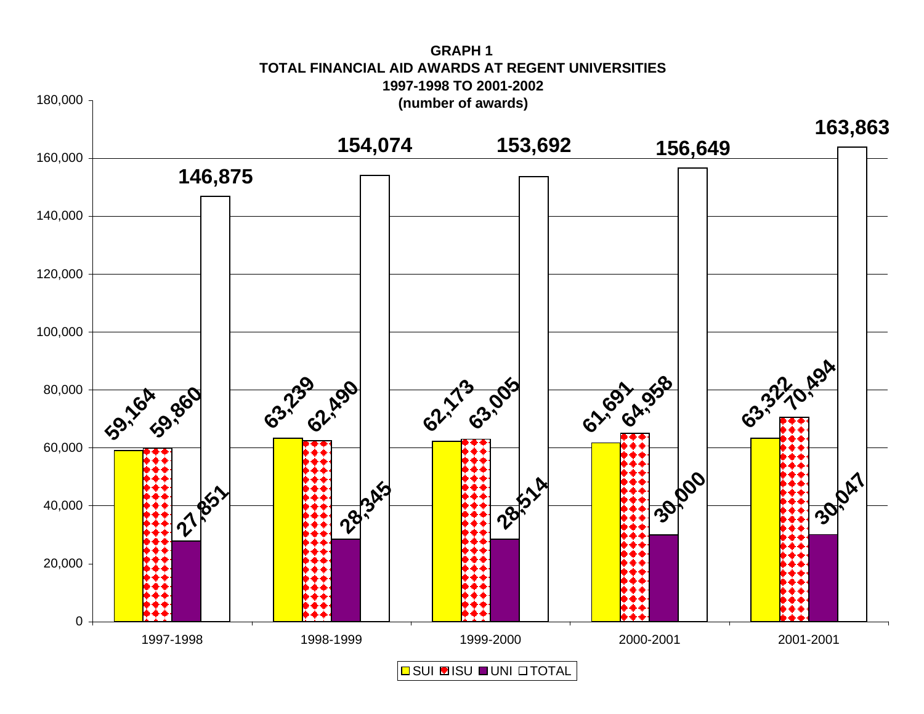![](_page_59_Figure_0.jpeg)

**GRAPH 1TOTAL FINANCIAL AID AWARDS AT REGENT UNIVERSITIES**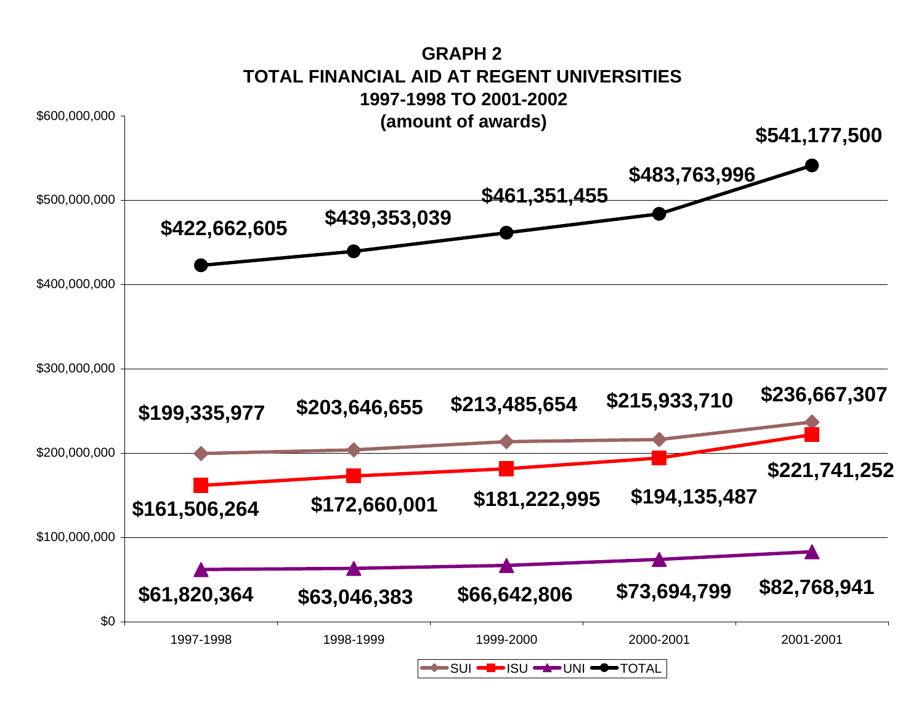![](_page_60_Figure_0.jpeg)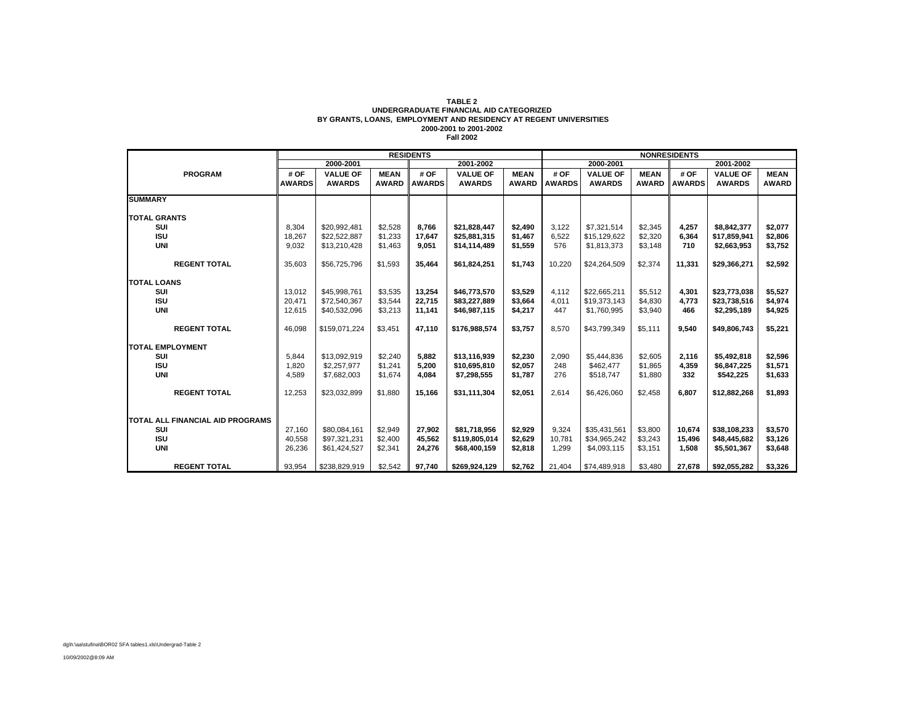#### **TABLE 2 UNDERGRADUATE FINANCIAL AID CATEGORIZED BY GRANTS, LOANS, EMPLOYMENT AND RESIDENCY AT REGENT UNIVERSITIES 2000-2001 to 2001-2002 Fall 2002**

|                                  | <b>RESIDENTS</b> |                 |              |               |                 |              | <b>NONRESIDENTS</b> |                 |              |               |                 |              |
|----------------------------------|------------------|-----------------|--------------|---------------|-----------------|--------------|---------------------|-----------------|--------------|---------------|-----------------|--------------|
|                                  |                  | 2000-2001       |              |               | 2001-2002       |              | 2000-2001           |                 |              |               | 2001-2002       |              |
| <b>PROGRAM</b>                   | # OF             | <b>VALUE OF</b> | <b>MEAN</b>  | # OF          | <b>VALUE OF</b> | <b>MEAN</b>  | # OF                | <b>VALUE OF</b> | <b>MEAN</b>  | # OF          | <b>VALUE OF</b> | <b>MEAN</b>  |
|                                  | <b>AWARDS</b>    | <b>AWARDS</b>   | <b>AWARD</b> | <b>AWARDS</b> | <b>AWARDS</b>   | <b>AWARD</b> | <b>AWARDS</b>       | <b>AWARDS</b>   | <b>AWARD</b> | <b>AWARDS</b> | <b>AWARDS</b>   | <b>AWARD</b> |
| <b>SUMMARY</b>                   |                  |                 |              |               |                 |              |                     |                 |              |               |                 |              |
| <b>TOTAL GRANTS</b>              |                  |                 |              |               |                 |              |                     |                 |              |               |                 |              |
| SUI                              | 8.304            | \$20.992.481    | \$2,528      | 8.766         | \$21.828.447    | \$2.490      | 3.122               | \$7.321.514     | \$2,345      | 4.257         | \$8.842.377     | \$2.077      |
| <b>ISU</b>                       | 18,267           | \$22,522,887    | \$1,233      | 17,647        | \$25,881,315    | \$1,467      | 6,522               | \$15,129,622    | \$2,320      | 6,364         | \$17,859,941    | \$2,806      |
| <b>UNI</b>                       | 9,032            | \$13,210,428    | \$1,463      | 9.051         | \$14,114,489    | \$1,559      | 576                 | \$1,813,373     | \$3,148      | 710           | \$2,663,953     | \$3,752      |
|                                  |                  |                 |              |               |                 |              |                     |                 |              |               |                 |              |
| <b>REGENT TOTAL</b>              | 35,603           | \$56,725,796    | \$1,593      | 35.464        | \$61,824,251    | \$1,743      | 10.220              | \$24,264,509    | \$2,374      | 11.331        | \$29,366,271    | \$2,592      |
| <b>TOTAL LOANS</b>               |                  |                 |              |               |                 |              |                     |                 |              |               |                 |              |
| SUI                              | 13,012           | \$45,998,761    | \$3,535      | 13.254        | \$46,773,570    | \$3,529      | 4,112               | \$22.665.211    | \$5,512      | 4,301         | \$23,773,038    | \$5,527      |
| <b>ISU</b>                       | 20,471           | \$72,540,367    | \$3,544      | 22.715        | \$83,227,889    | \$3.664      | 4.011               | \$19,373,143    | \$4.830      | 4.773         | \$23.738.516    | \$4,974      |
| <b>UNI</b>                       | 12,615           | \$40,532,096    | \$3,213      | 11,141        | \$46,987,115    | \$4,217      | 447                 | \$1,760,995     | \$3,940      | 466           | \$2,295,189     | \$4,925      |
|                                  |                  |                 |              |               |                 |              |                     |                 |              |               |                 |              |
| <b>REGENT TOTAL</b>              | 46.098           | \$159.071.224   | \$3,451      | 47.110        | \$176.988.574   | \$3,757      | 8.570               | \$43.799.349    | \$5,111      | 9.540         | \$49,806,743    | \$5,221      |
| <b>TOTAL EMPLOYMENT</b>          |                  |                 |              |               |                 |              |                     |                 |              |               |                 |              |
| SUI                              | 5,844            | \$13,092,919    | \$2,240      | 5.882         | \$13,116,939    | \$2,230      | 2,090               | \$5,444,836     | \$2,605      | 2,116         | \$5,492,818     | \$2,596      |
| <b>ISU</b>                       | 1,820            | \$2,257,977     | \$1,241      | 5.200         | \$10,695,810    | \$2,057      | 248                 | \$462,477       | \$1,865      | 4,359         | \$6,847,225     | \$1,571      |
| <b>UNI</b>                       | 4,589            | \$7,682,003     | \$1,674      | 4.084         | \$7,298,555     | \$1,787      | 276                 | \$518,747       | \$1,880      | 332           | \$542,225       | \$1,633      |
|                                  |                  |                 |              |               |                 |              |                     |                 |              |               |                 |              |
| <b>REGENT TOTAL</b>              | 12,253           | \$23,032,899    | \$1,880      | 15,166        | \$31,111,304    | \$2,051      | 2,614               | \$6,426,060     | \$2,458      | 6,807         | \$12,882,268    | \$1,893      |
|                                  |                  |                 |              |               |                 |              |                     |                 |              |               |                 |              |
| TOTAL ALL FINANCIAL AID PROGRAMS |                  |                 |              |               |                 |              |                     |                 |              |               |                 |              |
| SUI                              | 27,160           | \$80,084,161    | \$2,949      | 27.902        | \$81.718.956    | \$2,929      | 9,324               | \$35,431,561    | \$3,800      | 10.674        | \$38,108,233    | \$3,570      |
| <b>ISU</b>                       | 40,558           | \$97.321.231    | \$2,400      | 45.562        | \$119,805,014   | \$2,629      | 10.781              | \$34,965,242    | \$3,243      | 15.496        | \$48,445,682    | \$3,126      |
| <b>UNI</b>                       | 26,236           | \$61,424,527    | \$2,341      | 24.276        | \$68,400,159    | \$2,818      | 1.299               | \$4,093,115     | \$3,151      | 1.508         | \$5,501,367     | \$3,648      |
|                                  |                  |                 |              |               |                 |              |                     |                 |              |               |                 |              |
| <b>REGENT TOTAL</b>              | 93,954           | \$238,829,919   | \$2,542      | 97,740        | \$269,924,129   | \$2,762      | 21,404              | \$74,489,918    | \$3,480      | 27,678        | \$92,055,282    | \$3,326      |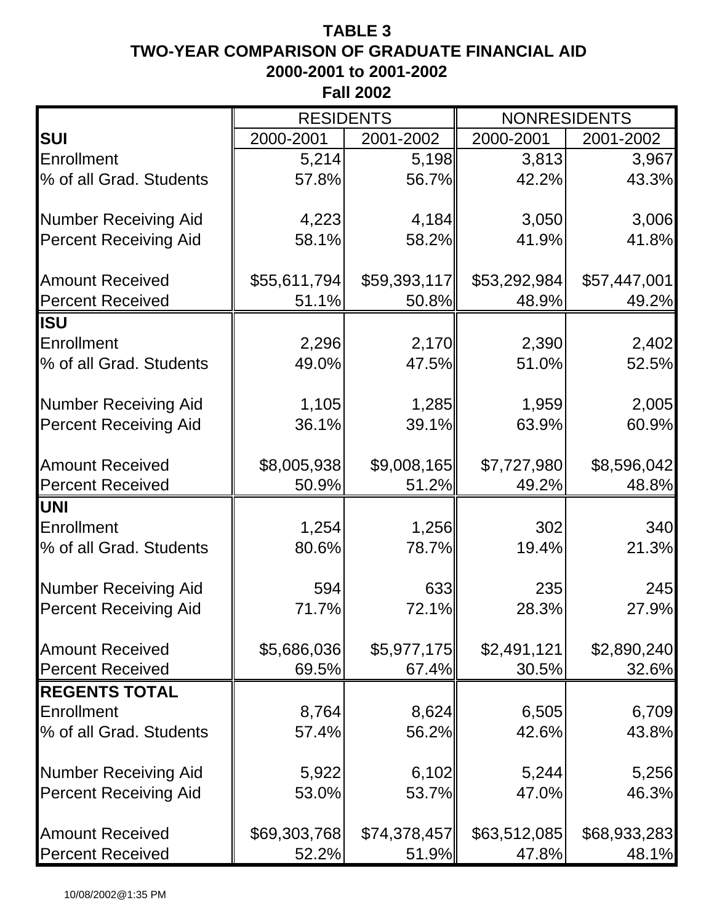# **TABLE 3 TWO-YEAR COMPARISON OF GRADUATE FINANCIAL AID 2000-2001 to 2001-2002 Fall 2002**

|                              | <b>RESIDENTS</b> |              | <b>NONRESIDENTS</b> |              |  |  |
|------------------------------|------------------|--------------|---------------------|--------------|--|--|
| <b>SUI</b>                   | 2000-2001        | 2001-2002    | 2000-2001           | 2001-2002    |  |  |
| Enrollment                   | 5,214            | 5,198        | 3,813               | 3,967        |  |  |
| % of all Grad. Students      | 57.8%            | 56.7%        | 42.2%               | 43.3%        |  |  |
| <b>Number Receiving Aid</b>  | 4,223            | 4,184        | 3,050               | 3,006        |  |  |
| <b>Percent Receiving Aid</b> | 58.1%            | 58.2%        | 41.9%               | 41.8%        |  |  |
| <b>Amount Received</b>       | \$55,611,794]    | \$59,393,117 | \$53,292,984        | \$57,447,001 |  |  |
| <b>Percent Received</b>      | 51.1%            | 50.8%        | 48.9%               | 49.2%        |  |  |
| <b>ISU</b>                   |                  |              |                     |              |  |  |
| Enrollment                   | 2,296            | 2,170        | 2,390               | 2,402        |  |  |
| % of all Grad. Students      | 49.0%            | 47.5%        | 51.0%               | 52.5%        |  |  |
| <b>Number Receiving Aid</b>  | 1,105            | 1,285        | 1,959               | 2,005        |  |  |
| <b>Percent Receiving Aid</b> | 36.1%            | 39.1%        | 63.9%               | 60.9%        |  |  |
| <b>Amount Received</b>       | \$8,005,938      | \$9,008,165  | \$7,727,980         | \$8,596,042  |  |  |
| <b>Percent Received</b>      | 50.9%            | 51.2%        | 49.2%               | 48.8%        |  |  |
| <b>UNI</b>                   |                  |              |                     |              |  |  |
| Enrollment                   | 1,254            | 1,256        | 302                 | 340          |  |  |
| % of all Grad. Students      | 80.6%            | 78.7%        | 19.4%               | 21.3%        |  |  |
| <b>Number Receiving Aid</b>  | 594              | 633          | 235                 | 245          |  |  |
| <b>Percent Receiving Aid</b> | 71.7%            | 72.1%        | 28.3%               | 27.9%        |  |  |
| <b>Amount Received</b>       | \$5,686,036      | \$5,977,175  | \$2,491,121         | \$2,890,240  |  |  |
| <b>Percent Received</b>      | 69.5%            | 67.4%        | 30.5%               | 32.6%        |  |  |
| <b>REGENTS TOTAL</b>         |                  |              |                     |              |  |  |
| Enrollment                   | 8,764            | 8,624        | 6,505               | 6,709        |  |  |
| % of all Grad. Students      | 57.4%            | 56.2%        | 42.6%               | 43.8%        |  |  |
| <b>Number Receiving Aid</b>  | 5,922            | 6,102        | 5,244               | 5,256        |  |  |
| <b>Percent Receiving Aid</b> | 53.0%            | 53.7%        | 47.0%               | 46.3%        |  |  |
| <b>Amount Received</b>       | \$69,303,768     | \$74,378,457 | \$63,512,085        | \$68,933,283 |  |  |
| <b>Percent Received</b>      | 52.2%            | 51.9%        | 47.8%               | 48.1%        |  |  |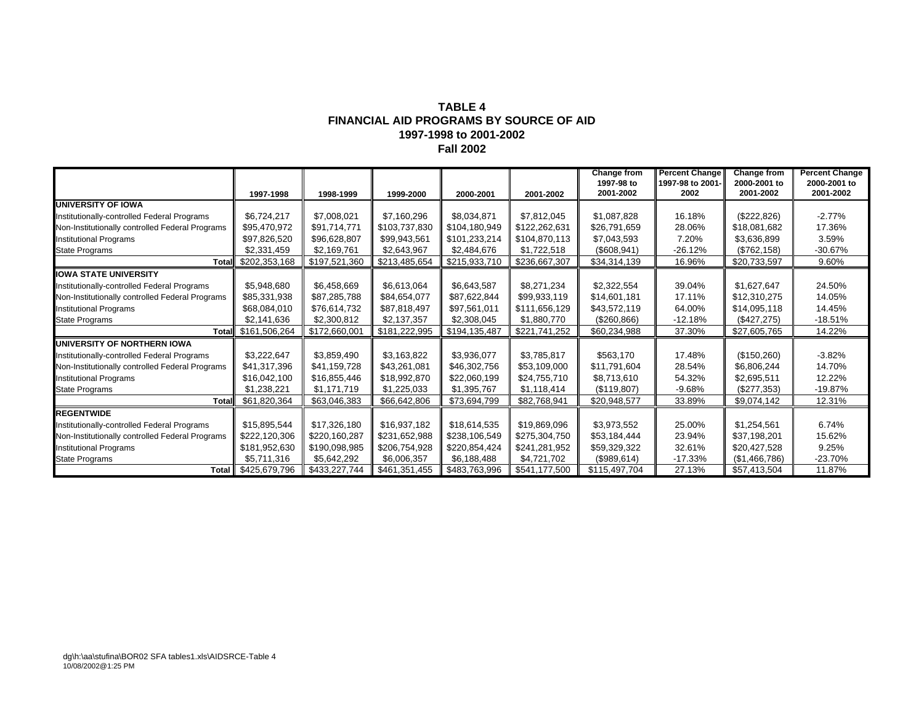#### **TABLE 4FINANCIAL AID PROGRAMS BY SOURCE OF AID 1997-1998 to 2001-2002 Fall 2002**

|                                                 |                     |               |               |               |               | <b>Change from</b>      | <b>Percent Change</b>    | <b>Change from</b>        | <b>Percent Change</b>     |
|-------------------------------------------------|---------------------|---------------|---------------|---------------|---------------|-------------------------|--------------------------|---------------------------|---------------------------|
|                                                 | 1997-1998           | 1998-1999     | 1999-2000     | 2000-2001     | 2001-2002     | 1997-98 to<br>2001-2002 | 1997-98 to 2001-<br>2002 | 2000-2001 to<br>2001-2002 | 2000-2001 to<br>2001-2002 |
| <b>UNIVERSITY OF IOWA</b>                       |                     |               |               |               |               |                         |                          |                           |                           |
| Institutionally-controlled Federal Programs     | \$6,724,217         | \$7,008,021   | \$7,160,296   | \$8,034,871   | \$7,812,045   | \$1,087,828             | 16.18%                   | (\$222,826)               | $-2.77%$                  |
| Non-Institutionally controlled Federal Programs | \$95.470.972        | \$91,714,771  | \$103,737,830 | \$104,180,949 | \$122,262,631 | \$26,791,659            | 28.06%                   | \$18,081,682              | 17.36%                    |
| <b>Institutional Programs</b>                   | \$97,826,520        | \$96,628,807  | \$99,943,561  | \$101,233,214 | \$104,870,113 | \$7,043,593             | 7.20%                    | \$3,636,899               | 3.59%                     |
| <b>State Programs</b>                           | \$2,331,459         | \$2,169,761   | \$2,643,967   | \$2,484,676   | \$1,722,518   | (\$608,941)             | $-26.12%$                | (\$762, 158)              | $-30.67%$                 |
| <b>Total</b>                                    | \$202,353,168       | \$197,521,360 | \$213,485,654 | \$215,933,710 | \$236,667,307 | \$34,314,139            | 16.96%                   | \$20,733,597              | 9.60%                     |
| <b>IOWA STATE UNIVERSITY</b>                    |                     |               |               |               |               |                         |                          |                           |                           |
| Institutionally-controlled Federal Programs     | \$5,948,680         | \$6,458,669   | \$6,613,064   | \$6,643,587   | \$8,271,234   | \$2,322,554             | 39.04%                   | \$1,627,647               | 24.50%                    |
| Non-Institutionally controlled Federal Programs | \$85,331,938        | \$87,285,788  | \$84,654,077  | \$87,622,844  | \$99,933,119  | \$14,601,181            | 17.11%                   | \$12,310,275              | 14.05%                    |
| <b>Institutional Programs</b>                   | \$68,084,010        | \$76,614,732  | \$87,818,497  | \$97,561,011  | \$111,656,129 | \$43,572,119            | 64.00%                   | \$14,095,118              | 14.45%                    |
| <b>State Programs</b>                           | \$2,141,636         | \$2,300,812   | \$2,137,357   | \$2,308,045   | \$1,880,770   | (\$260, 866)            | $-12.18%$                | (\$427,275)               | $-18.51%$                 |
|                                                 | Total \$161,506,264 | \$172,660,001 | \$181,222,995 | \$194,135,487 | \$221,741,252 | \$60,234,988            | 37.30%                   | \$27,605,765              | 14.22%                    |
| UNIVERSITY OF NORTHERN IOWA                     |                     |               |               |               |               |                         |                          |                           |                           |
| Institutionally-controlled Federal Programs     | \$3,222,647         | \$3,859,490   | \$3,163,822   | \$3,936,077   | \$3,785,817   | \$563,170               | 17.48%                   | (\$150,260)               | $-3.82%$                  |
| Non-Institutionally controlled Federal Programs | \$41,317,396        | \$41,159,728  | \$43,261,081  | \$46,302,756  | \$53,109,000  | \$11,791,604            | 28.54%                   | \$6,806,244               | 14.70%                    |
| <b>Institutional Programs</b>                   | \$16,042,100        | \$16,855,446  | \$18,992,870  | \$22,060,199  | \$24,755,710  | \$8,713,610             | 54.32%                   | \$2,695,511               | 12.22%                    |
| <b>State Programs</b>                           | \$1,238,221         | \$1,171,719   | \$1,225,033   | \$1,395,767   | \$1,118,414   | (\$119,807)             | $-9.68%$                 | (\$277,353)               | $-19.87%$                 |
| <b>Total</b>                                    | \$61,820,364        | \$63,046,383  | \$66,642,806  | \$73,694,799  | \$82,768,941  | \$20,948,577            | 33.89%                   | \$9,074,142               | 12.31%                    |
| <b>REGENTWIDE</b>                               |                     |               |               |               |               |                         |                          |                           |                           |
| Institutionally-controlled Federal Programs     | \$15,895,544        | \$17,326,180  | \$16,937,182  | \$18,614,535  | \$19,869,096  | \$3,973,552             | 25.00%                   | \$1,254,561               | 6.74%                     |
| Non-Institutionally controlled Federal Programs | \$222,120,306       | \$220,160,287 | \$231,652,988 | \$238,106,549 | \$275,304,750 | \$53,184,444            | 23.94%                   | \$37,198,201              | 15.62%                    |
| <b>Institutional Programs</b>                   | \$181,952,630       | \$190,098,985 | \$206,754,928 | \$220,854,424 | \$241,281,952 | \$59,329,322            | 32.61%                   | \$20,427,528              | 9.25%                     |
| <b>State Programs</b>                           | \$5,711,316         | \$5,642,292   | \$6,006,357   | \$6,188,488   | \$4,721,702   | (\$989,614)             | $-17.33%$                | (\$1,466,786)             | $-23.70%$                 |
| <b>Total</b>                                    | \$425,679,796       | \$433,227,744 | \$461,351,455 | \$483,763,996 | \$541,177,500 | \$115,497,704           | 27.13%                   | \$57,413,504              | 11.87%                    |